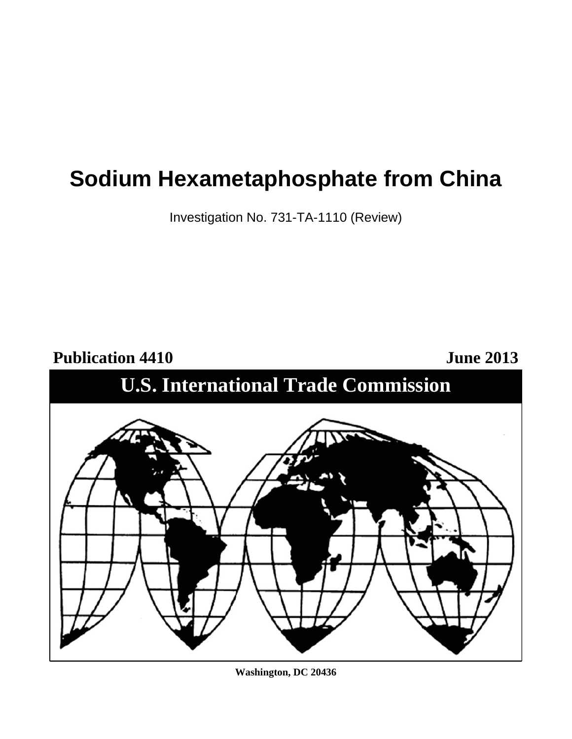# **Sodium Hexametaphosphate from China**

Investigation No. 731-TA-1110 (Review)



**Washington, DC 20436**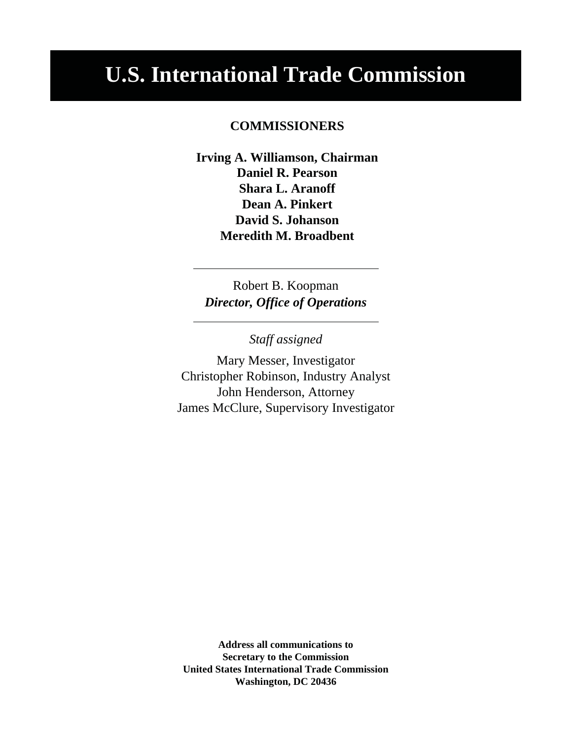# **U.S. International Trade Commission**

# **COMMISSIONERS**

**Irving A. Williamson, Chairman Daniel R. Pearson Shara L. Aranoff Dean A. Pinkert David S. Johanson Meredith M. Broadbent**

Robert B. Koopman *Director, Office of Operations*

*Staff assigned*

Mary Messer, Investigator Christopher Robinson, Industry Analyst John Henderson, Attorney James McClure, Supervisory Investigator

**Address all communications to Secretary to the Commission United States International Trade Commission Washington, DC 20436**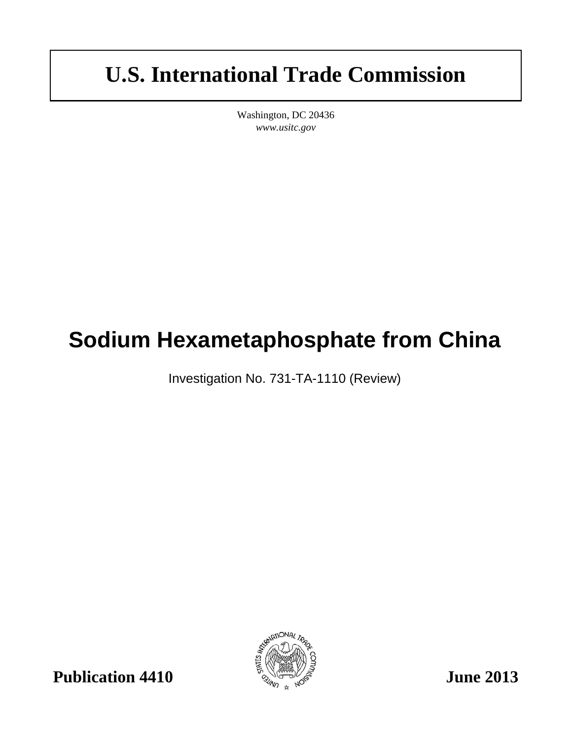# **U.S. International Trade Commission**

Washington, DC 20436 *www.usitc.gov*

# **Sodium Hexametaphosphate from China**

Investigation No. 731-TA-1110 (Review)

**Publication 4410**  $\frac{1}{2}$   $\frac{1}{2}$   $\frac{1}{2}$  June 2013

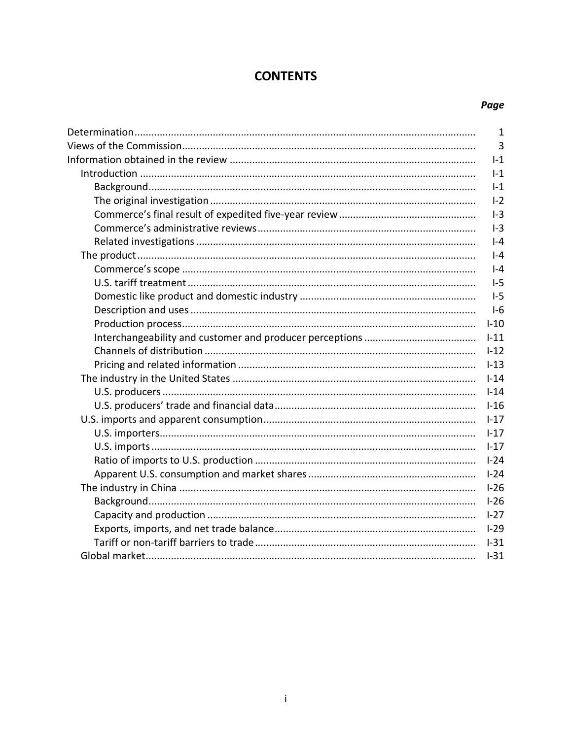# **CONTENTS**

# Page

| $\mathbf{1}$   |
|----------------|
| $\overline{3}$ |
| $I-1$          |
| $I-1$          |
| $1-1$          |
| $I-2$          |
| $I-3$          |
| $1-3$          |
| $I - 4$        |
| $-4$           |
| $  -4$         |
| $1-5$          |
| $1-5$          |
| $I-6$          |
| $I-10$         |
| $1 - 11$       |
| $1 - 12$       |
| $1 - 13$       |
| $1 - 14$       |
| $I-14$         |
| $1-16$         |
| $1 - 17$       |
| $1 - 17$       |
| $1 - 17$       |
| $I-24$         |
| $1-24$         |
| $1-26$         |
| $I-26$         |
| $1 - 27$       |
| $1-29$         |
| $1-31$         |
| $I-31$         |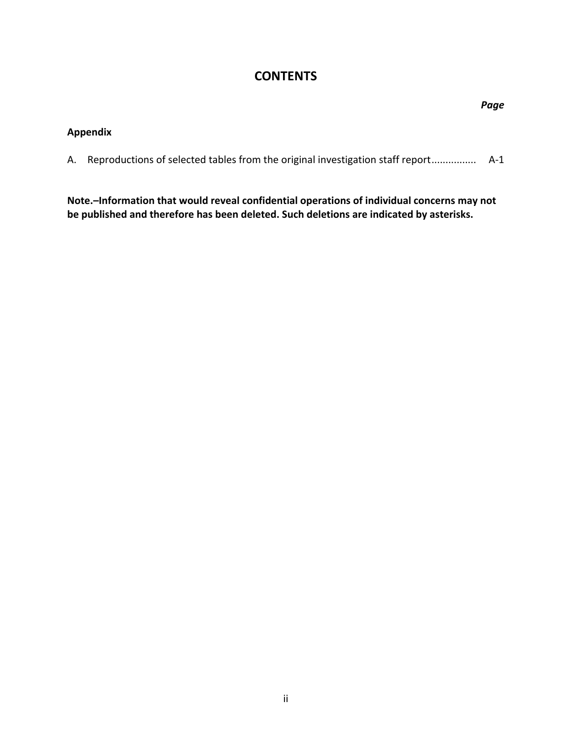# **CONTENTS**

|    |                                                                               | Page  |
|----|-------------------------------------------------------------------------------|-------|
|    | <b>Appendix</b>                                                               |       |
| А. | Reproductions of selected tables from the original investigation staff report | $A-1$ |
|    |                                                                               |       |

**Note.–Information that would reveal confidential operations of individual concerns may not be published and therefore has been deleted. Such deletions are indicated by asterisks.**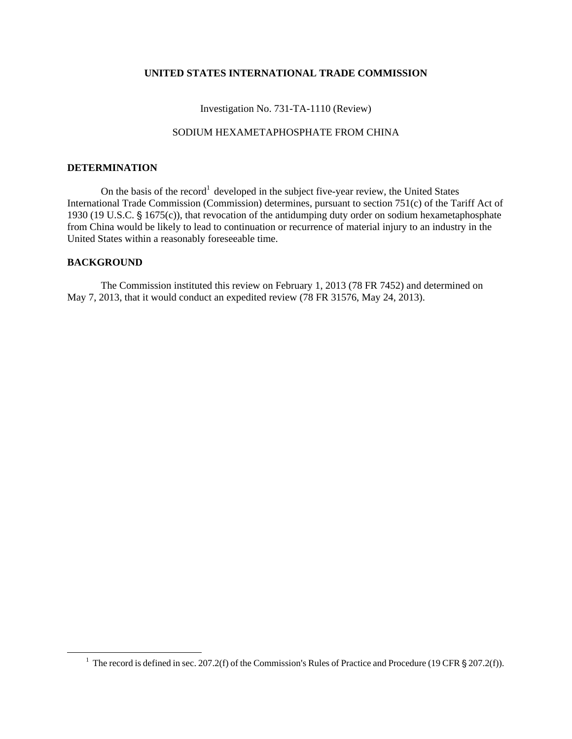#### **UNITED STATES INTERNATIONAL TRADE COMMISSION**

Investigation No. 731-TA-1110 (Review)

#### SODIUM HEXAMETAPHOSPHATE FROM CHINA

#### **DETERMINATION**

On the basis of the record<sup>1</sup> developed in the subject five-year review, the United States International Trade Commission (Commission) determines, pursuant to section 751(c) of the Tariff Act of 1930 (19 U.S.C.  $\S$  1675(c)), that revocation of the antidumping duty order on sodium hexametaphosphate from China would be likely to lead to continuation or recurrence of material injury to an industry in the United States within a reasonably foreseeable time.

#### **BACKGROUND**

 $\overline{a}$ 

The Commission instituted this review on February 1, 2013 (78 FR 7452) and determined on May 7, 2013, that it would conduct an expedited review (78 FR 31576, May 24, 2013).

<sup>&</sup>lt;sup>1</sup> The record is defined in sec. 207.2(f) of the Commission's Rules of Practice and Procedure (19 CFR  $\S 207.2(f)$ ).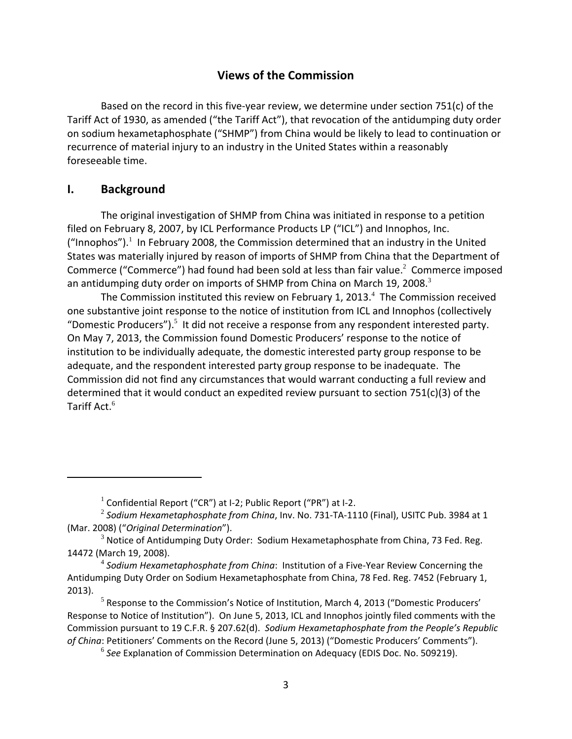# **Views of the Commission**

Based on the record in this five‐year review, we determine under section 751(c) of the Tariff Act of 1930, as amended ("the Tariff Act"), that revocation of the antidumping duty order on sodium hexametaphosphate ("SHMP") from China would be likely to lead to continuation or recurrence of material injury to an industry in the United States within a reasonably foreseeable time.

# **I. Background**

The original investigation of SHMP from China was initiated in response to a petition filed on February 8, 2007, by ICL Performance Products LP ("ICL") and Innophos, Inc. ("Innophos").<sup>1</sup> In February 2008, the Commission determined that an industry in the United States was materially injured by reason of imports of SHMP from China that the Department of Commerce ("Commerce") had found had been sold at less than fair value. $^2$  Commerce imposed an antidumping duty order on imports of SHMP from China on March 19, 2008. $^3$ 

The Commission instituted this review on February 1, 2013. $4$  The Commission received one substantive joint response to the notice of institution from ICL and Innophos (collectively "Domestic Producers"). $5$  It did not receive a response from any respondent interested party. On May 7, 2013, the Commission found Domestic Producers' response to the notice of institution to be individually adequate, the domestic interested party group response to be adequate, and the respondent interested party group response to be inadequate. The Commission did not find any circumstances that would warrant conducting a full review and determined that it would conduct an expedited review pursuant to section 751(c)(3) of the Tariff Act. $^6$ 

 $1$  Confidential Report ("CR") at I-2; Public Report ("PR") at I-2.

<sup>2</sup> *Sodium Hexametaphosphate from China*, Inv. No. 731‐TA‐1110 (Final), USITC Pub. 3984 at 1 (Mar. 2008) ("*Original Determination*").

 $3$  Notice of Antidumping Duty Order: Sodium Hexametaphosphate from China, 73 Fed. Reg. 14472 (March 19, 2008).

<sup>4</sup> *Sodium Hexametaphosphate from China*: Institution of a Five‐Year Review Concerning the Antidumping Duty Order on Sodium Hexametaphosphate from China, 78 Fed. Reg. 7452 (February 1, 2013).

 $<sup>5</sup>$  Response to the Commission's Notice of Institution, March 4, 2013 ("Domestic Producers'</sup> Response to Notice of Institution"). On June 5, 2013, ICL and Innophos jointly filed comments with the Commission pursuant to 19 C.F.R. § 207.62(d). *Sodium Hexametaphosphate from the People's Republic of China*: Petitioners' Comments on the Record (June 5, 2013) ("Domestic Producers' Comments").

<sup>6</sup> *See* Explanation of Commission Determination on Adequacy (EDIS Doc. No. 509219).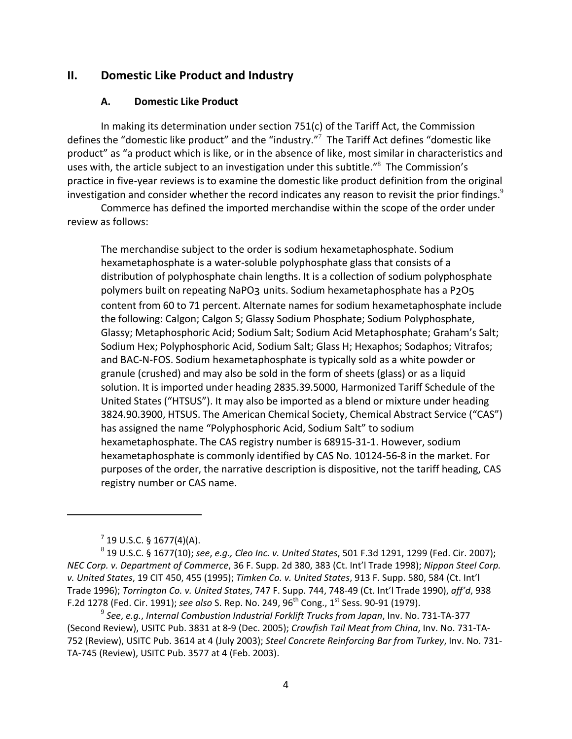## **II. Domestic Like Product and Industry**

#### **A. Domestic Like Product**

In making its determination under section 751(c) of the Tariff Act, the Commission defines the "domestic like product" and the "industry."<sup>7</sup> The Tariff Act defines "domestic like product" as "a product which is like, or in the absence of like, most similar in characteristics and uses with, the article subject to an investigation under this subtitle."<sup>8</sup> The Commission's practice in five‐year reviews is to examine the domestic like product definition from the original investigation and consider whether the record indicates any reason to revisit the prior findings.<sup>9</sup>

Commerce has defined the imported merchandise within the scope of the order under review as follows:

The merchandise subject to the order is sodium hexametaphosphate. Sodium hexametaphosphate is a water‐soluble polyphosphate glass that consists of a distribution of polyphosphate chain lengths. It is a collection of sodium polyphosphate polymers built on repeating NaPO3 units. Sodium hexametaphosphate has a P2O5 content from 60 to 71 percent. Alternate names for sodium hexametaphosphate include the following: Calgon; Calgon S; Glassy Sodium Phosphate; Sodium Polyphosphate, Glassy; Metaphosphoric Acid; Sodium Salt; Sodium Acid Metaphosphate; Graham's Salt; Sodium Hex; Polyphosphoric Acid, Sodium Salt; Glass H; Hexaphos; Sodaphos; Vitrafos; and BAC‐N‐FOS. Sodium hexametaphosphate is typically sold as a white powder or granule (crushed) and may also be sold in the form of sheets (glass) or as a liquid solution. It is imported under heading 2835.39.5000, Harmonized Tariff Schedule of the United States ("HTSUS"). It may also be imported as a blend or mixture under heading 3824.90.3900, HTSUS. The American Chemical Society, Chemical Abstract Service ("CAS") has assigned the name "Polyphosphoric Acid, Sodium Salt" to sodium hexametaphosphate. The CAS registry number is 68915‐31‐1. However, sodium hexametaphosphate is commonly identified by CAS No. 10124‐56‐8 in the market. For purposes of the order, the narrative description is dispositive, not the tariff heading, CAS registry number or CAS name.

 $7$  19 U.S.C. § 1677(4)(A).

<sup>8</sup> 19 U.S.C. § 1677(10); *see*, *e.g., Cleo Inc. v. United States*, 501 F.3d 1291, 1299 (Fed. Cir. 2007); *NEC Corp. v. Department of Commerce*, 36 F. Supp. 2d 380, 383 (Ct. Int'l Trade 1998); *Nippon Steel Corp. v. United States*, 19 CIT 450, 455 (1995); *Timken Co. v. United States*, 913 F. Supp. 580, 584 (Ct. Int'l Trade 1996); *Torrington Co. v. United States*, 747 F. Supp. 744, 748‐49 (Ct. Int'l Trade 1990), *aff'd*, 938 F.2d 1278 (Fed. Cir. 1991); *see also* S. Rep. No. 249, 96th Cong., 1st Sess. 90‐91 (1979).

<sup>9</sup> *See*, *e.g.*, *Internal Combustion Industrial Forklift Trucks from Japan*, Inv. No. 731‐TA‐377 (Second Review), USITC Pub. 3831 at 8‐9 (Dec. 2005); *Crawfish Tail Meat from China*, Inv. No. 731‐TA‐ 752 (Review), USITC Pub. 3614 at 4 (July 2003); *Steel Concrete Reinforcing Bar from Turkey*, Inv. No. 731‐ TA‐745 (Review), USITC Pub. 3577 at 4 (Feb. 2003).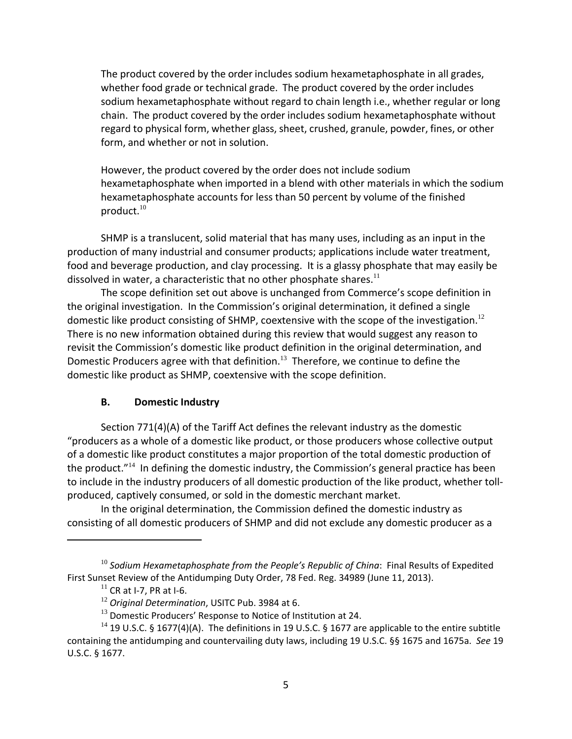The product covered by the order includes sodium hexametaphosphate in all grades, whether food grade or technical grade. The product covered by the order includes sodium hexametaphosphate without regard to chain length i.e., whether regular or long chain. The product covered by the order includes sodium hexametaphosphate without regard to physical form, whether glass, sheet, crushed, granule, powder, fines, or other form, and whether or not in solution.

However, the product covered by the order does not include sodium hexametaphosphate when imported in a blend with other materials in which the sodium hexametaphosphate accounts for less than 50 percent by volume of the finished product. $10$ 

SHMP is a translucent, solid material that has many uses, including as an input in the production of many industrial and consumer products; applications include water treatment, food and beverage production, and clay processing. It is a glassy phosphate that may easily be dissolved in water, a characteristic that no other phosphate shares.<sup>11</sup>

The scope definition set out above is unchanged from Commerce's scope definition in the original investigation. In the Commission's original determination, it defined a single domestic like product consisting of SHMP, coextensive with the scope of the investigation.<sup>12</sup> There is no new information obtained during this review that would suggest any reason to revisit the Commission's domestic like product definition in the original determination, and Domestic Producers agree with that definition.<sup>13</sup> Therefore, we continue to define the domestic like product as SHMP, coextensive with the scope definition.

# **B. Domestic Industry**

Section 771(4)(A) of the Tariff Act defines the relevant industry as the domestic "producers as a whole of a domestic like product, or those producers whose collective output of a domestic like product constitutes a major proportion of the total domestic production of the product."<sup>14</sup> In defining the domestic industry, the Commission's general practice has been to include in the industry producers of all domestic production of the like product, whether toll‐ produced, captively consumed, or sold in the domestic merchant market.

In the original determination, the Commission defined the domestic industry as consisting of all domestic producers of SHMP and did not exclude any domestic producer as a

<sup>10</sup> *Sodium Hexametaphosphate from the People's Republic of China*: Final Results of Expedited First Sunset Review of the Antidumping Duty Order, 78 Fed. Reg. 34989 (June 11, 2013).

 $11$  CR at I-7, PR at I-6.

<sup>12</sup> *Original Determination*, USITC Pub. 3984 at 6.

 $13$  Domestic Producers' Response to Notice of Institution at 24.

<sup>&</sup>lt;sup>14</sup> 19 U.S.C. § 1677(4)(A). The definitions in 19 U.S.C. § 1677 are applicable to the entire subtitle containing the antidumping and countervailing duty laws, including 19 U.S.C. §§ 1675 and 1675a. *See* 19 U.S.C. § 1677.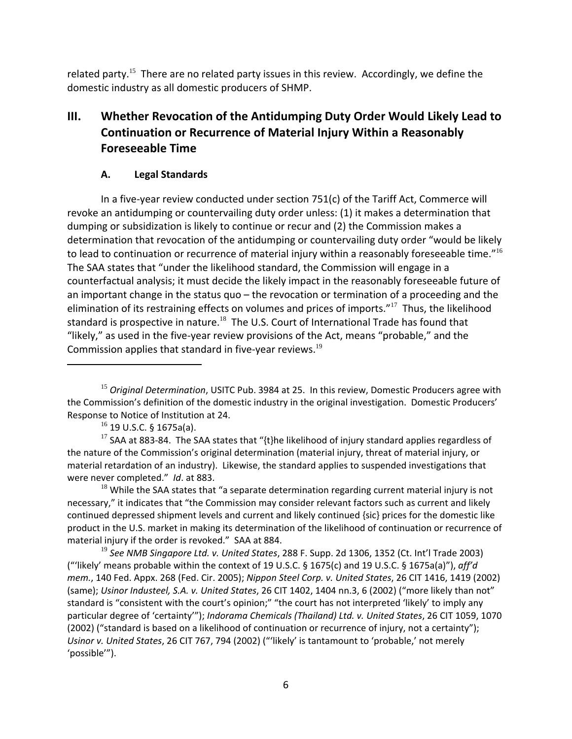related party.<sup>15</sup> There are no related party issues in this review. Accordingly, we define the domestic industry as all domestic producers of SHMP.

# **III. Whether Revocation of the Antidumping Duty Order Would Likely Lead to Continuation or Recurrence of Material Injury Within a Reasonably Foreseeable Time**

# **A. Legal Standards**

In a five‐year review conducted under section 751(c) of the Tariff Act, Commerce will revoke an antidumping or countervailing duty order unless: (1) it makes a determination that dumping or subsidization is likely to continue or recur and (2) the Commission makes a determination that revocation of the antidumping or countervailing duty order "would be likely to lead to continuation or recurrence of material injury within a reasonably foreseeable time."<sup>16</sup> The SAA states that "under the likelihood standard, the Commission will engage in a counterfactual analysis; it must decide the likely impact in the reasonably foreseeable future of an important change in the status quo – the revocation or termination of a proceeding and the elimination of its restraining effects on volumes and prices of imports."<sup>17</sup> Thus, the likelihood standard is prospective in nature.<sup>18</sup> The U.S. Court of International Trade has found that "likely," as used in the five‐year review provisions of the Act, means "probable," and the Commission applies that standard in five-year reviews.<sup>19</sup>

<sup>17</sup> SAA at 883-84. The SAA states that "{t}he likelihood of injury standard applies regardless of the nature of the Commission's original determination (material injury, threat of material injury, or material retardation of an industry). Likewise, the standard applies to suspended investigations that were never completed." *Id*. at 883.

 $18$  While the SAA states that "a separate determination regarding current material injury is not necessary," it indicates that "the Commission may consider relevant factors such as current and likely continued depressed shipment levels and current and likely continued {sic} prices for the domestic like product in the U.S. market in making its determination of the likelihood of continuation or recurrence of material injury if the order is revoked." SAA at 884.

<sup>19</sup> *See NMB Singapore Ltd. v. United States*, 288 F. Supp. 2d 1306, 1352 (Ct. Int'l Trade 2003) ("'likely' means probable within the context of 19 U.S.C. § 1675(c) and 19 U.S.C. § 1675a(a)"), *aff'd mem.*, 140 Fed. Appx. 268 (Fed. Cir. 2005); *Nippon Steel Corp. v. United States*, 26 CIT 1416, 1419 (2002) (same); *Usinor Industeel, S.A. v. United States*, 26 CIT 1402, 1404 nn.3, 6 (2002) ("more likely than not" standard is "consistent with the court's opinion;" "the court has not interpreted 'likely' to imply any particular degree of 'certainty'"); *Indorama Chemicals (Thailand) Ltd. v. United States*, 26 CIT 1059, 1070 (2002) ("standard is based on a likelihood of continuation or recurrence of injury, not a certainty"); *Usinor v. United States*, 26 CIT 767, 794 (2002) ("'likely' is tantamount to 'probable,' not merely 'possible'").

<sup>15</sup> *Original Determination*, USITC Pub. 3984 at 25. In this review, Domestic Producers agree with the Commission's definition of the domestic industry in the original investigation. Domestic Producers' Response to Notice of Institution at 24.

 $16$  19 U.S.C. § 1675a(a).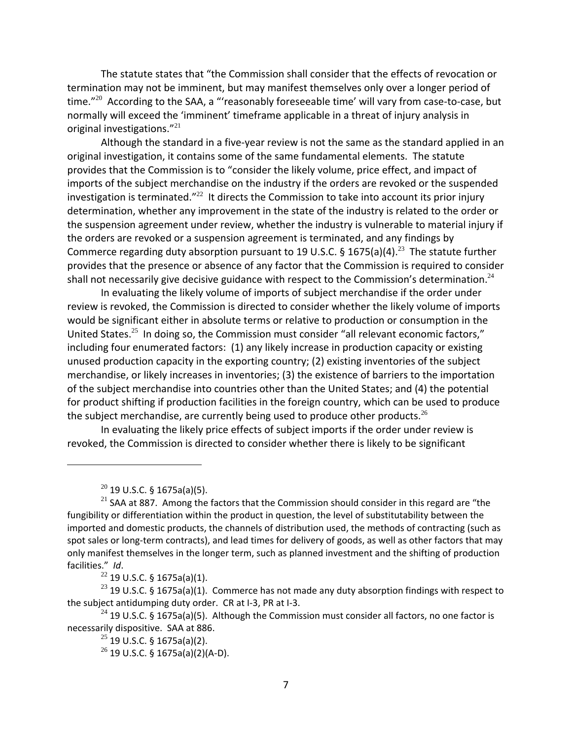The statute states that "the Commission shall consider that the effects of revocation or termination may not be imminent, but may manifest themselves only over a longer period of time. $"^{20}$  According to the SAA, a "'reasonably foreseeable time' will vary from case-to-case, but normally will exceed the 'imminent' timeframe applicable in a threat of injury analysis in original investigations."<sup>21</sup>

Although the standard in a five‐year review is not the same as the standard applied in an original investigation, it contains some of the same fundamental elements. The statute provides that the Commission is to "consider the likely volume, price effect, and impact of imports of the subject merchandise on the industry if the orders are revoked or the suspended investigation is terminated."<sup>22</sup> It directs the Commission to take into account its prior injury determination, whether any improvement in the state of the industry is related to the order or the suspension agreement under review, whether the industry is vulnerable to material injury if the orders are revoked or a suspension agreement is terminated, and any findings by Commerce regarding duty absorption pursuant to 19 U.S.C. § 1675(a)(4).<sup>23</sup> The statute further provides that the presence or absence of any factor that the Commission is required to consider shall not necessarily give decisive guidance with respect to the Commission's determination.<sup>24</sup>

In evaluating the likely volume of imports of subject merchandise if the order under review is revoked, the Commission is directed to consider whether the likely volume of imports would be significant either in absolute terms or relative to production or consumption in the United States.<sup>25</sup> In doing so, the Commission must consider "all relevant economic factors," including four enumerated factors: (1) any likely increase in production capacity or existing unused production capacity in the exporting country; (2) existing inventories of the subject merchandise, or likely increases in inventories; (3) the existence of barriers to the importation of the subject merchandise into countries other than the United States; and (4) the potential for product shifting if production facilities in the foreign country, which can be used to produce the subject merchandise, are currently being used to produce other products.<sup>26</sup>

In evaluating the likely price effects of subject imports if the order under review is revoked, the Commission is directed to consider whether there is likely to be significant

 $\frac{22}{22}$  19 U.S.C. § 1675a(a)(1).

 $20$  19 U.S.C. § 1675a(a)(5).

 $21$  SAA at 887. Among the factors that the Commission should consider in this regard are "the fungibility or differentiation within the product in question, the level of substitutability between the imported and domestic products, the channels of distribution used, the methods of contracting (such as spot sales or long-term contracts), and lead times for delivery of goods, as well as other factors that may only manifest themselves in the longer term, such as planned investment and the shifting of production facilities." *Id*.

<sup>&</sup>lt;sup>23</sup> 19 U.S.C. § 1675a(a)(1). Commerce has not made any duty absorption findings with respect to the subject antidumping duty order. CR at I‐3, PR at I‐3.

<sup>&</sup>lt;sup>24</sup> 19 U.S.C. § 1675a(a)(5). Although the Commission must consider all factors, no one factor is necessarily dispositive. SAA at 886.

 $25$  19 U.S.C. § 1675a(a)(2).

 $26$  19 U.S.C. § 1675a(a)(2)(A-D).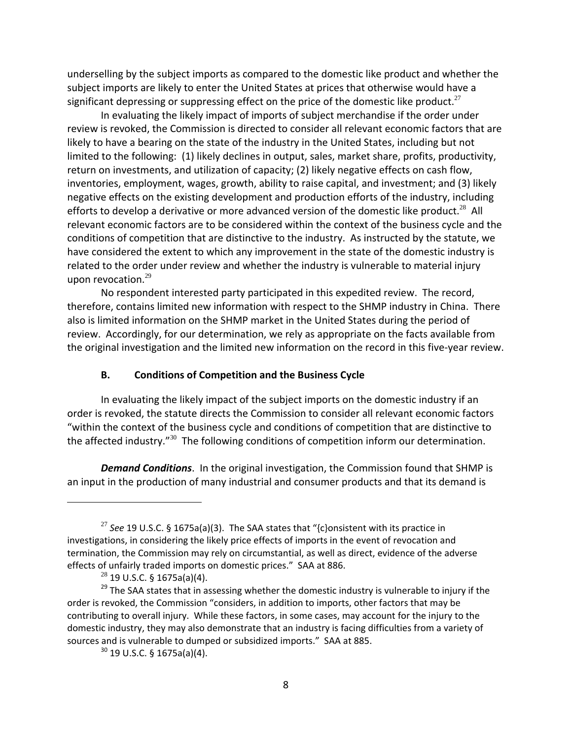underselling by the subject imports as compared to the domestic like product and whether the subject imports are likely to enter the United States at prices that otherwise would have a significant depressing or suppressing effect on the price of the domestic like product.<sup>27</sup>

In evaluating the likely impact of imports of subject merchandise if the order under review is revoked, the Commission is directed to consider all relevant economic factors that are likely to have a bearing on the state of the industry in the United States, including but not limited to the following: (1) likely declines in output, sales, market share, profits, productivity, return on investments, and utilization of capacity; (2) likely negative effects on cash flow, inventories, employment, wages, growth, ability to raise capital, and investment; and (3) likely negative effects on the existing development and production efforts of the industry, including efforts to develop a derivative or more advanced version of the domestic like product.<sup>28</sup> All relevant economic factors are to be considered within the context of the business cycle and the conditions of competition that are distinctive to the industry. As instructed by the statute, we have considered the extent to which any improvement in the state of the domestic industry is related to the order under review and whether the industry is vulnerable to material injury upon revocation.<sup>29</sup>

No respondent interested party participated in this expedited review. The record, therefore, contains limited new information with respect to the SHMP industry in China. There also is limited information on the SHMP market in the United States during the period of review. Accordingly, for our determination, we rely as appropriate on the facts available from the original investigation and the limited new information on the record in this five‐year review.

#### **B. Conditions of Competition and the Business Cycle**

In evaluating the likely impact of the subject imports on the domestic industry if an order is revoked, the statute directs the Commission to consider all relevant economic factors "within the context of the business cycle and conditions of competition that are distinctive to the affected industry."<sup>30</sup> The following conditions of competition inform our determination.

*Demand Conditions*. In the original investigation, the Commission found that SHMP is an input in the production of many industrial and consumer products and that its demand is

<sup>27</sup> *See* 19 U.S.C. § 1675a(a)(3). The SAA states that "{c}onsistent with its practice in investigations, in considering the likely price effects of imports in the event of revocation and termination, the Commission may rely on circumstantial, as well as direct, evidence of the adverse effects of unfairly traded imports on domestic prices." SAA at 886.

 $^{28}$  19 U.S.C. § 1675a(a)(4).

 $29$  The SAA states that in assessing whether the domestic industry is vulnerable to injury if the order is revoked, the Commission "considers, in addition to imports, other factors that may be contributing to overall injury. While these factors, in some cases, may account for the injury to the domestic industry, they may also demonstrate that an industry is facing difficulties from a variety of sources and is vulnerable to dumped or subsidized imports." SAA at 885.

<sup>30</sup> 19 U.S.C. § 1675a(a)(4).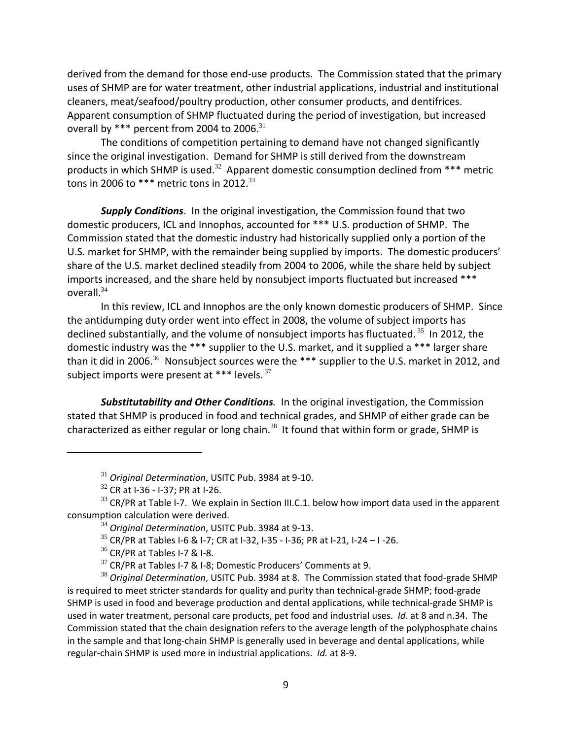derived from the demand for those end‐use products. The Commission stated that the primary uses of SHMP are for water treatment, other industrial applications, industrial and institutional cleaners, meat/seafood/poultry production, other consumer products, and dentifrices. Apparent consumption of SHMP fluctuated during the period of investigation, but increased overall by \*\*\* percent from 2004 to 2006.<sup>31</sup>

The conditions of competition pertaining to demand have not changed significantly since the original investigation. Demand for SHMP is still derived from the downstream products in which SHMP is used.<sup>32</sup> Apparent domestic consumption declined from \*\*\* metric tons in 2006 to \*\*\* metric tons in 2012. $^{33}$ 

*Supply Conditions*. In the original investigation, the Commission found that two domestic producers, ICL and Innophos, accounted for \*\*\* U.S. production of SHMP. The Commission stated that the domestic industry had historically supplied only a portion of the U.S. market for SHMP, with the remainder being supplied by imports. The domestic producers' share of the U.S. market declined steadily from 2004 to 2006, while the share held by subject imports increased, and the share held by nonsubject imports fluctuated but increased \*\*\* overall.<sup>34</sup>

In this review, ICL and Innophos are the only known domestic producers of SHMP. Since the antidumping duty order went into effect in 2008, the volume of subject imports has declined substantially, and the volume of nonsubject imports has fluctuated.<sup>35</sup> In 2012, the domestic industry was the \*\*\* supplier to the U.S. market, and it supplied a \*\*\* larger share than it did in 2006.<sup>36</sup> Nonsubject sources were the \*\*\* supplier to the U.S. market in 2012, and subject imports were present at \*\*\* levels.  $37$ 

*Substitutability and Other Conditions.* In the original investigation, the Commission stated that SHMP is produced in food and technical grades, and SHMP of either grade can be characterized as either regular or long chain. $38$  It found that within form or grade, SHMP is

<sup>31</sup> *Original Determination*, USITC Pub. 3984 at 9‐10.

 $32$  CR at I-36 - I-37; PR at I-26.

 $33$  CR/PR at Table I-7. We explain in Section III.C.1. below how import data used in the apparent consumption calculation were derived.

<sup>34</sup> *Original Determination*, USITC Pub. 3984 at 9‐13.

 $35$  CR/PR at Tables I-6 & I-7; CR at I-32, I-35 - I-36; PR at I-21, I-24 - I -26.

 $36$  CR/PR at Tables I-7 & I-8.

 $37$  CR/PR at Tables I-7 & I-8; Domestic Producers' Comments at 9.

<sup>38</sup> *Original Determination*, USITC Pub. 3984 at 8. The Commission stated that food‐grade SHMP is required to meet stricter standards for quality and purity than technical-grade SHMP; food-grade SHMP is used in food and beverage production and dental applications, while technical-grade SHMP is used in water treatment, personal care products, pet food and industrial uses. *Id*. at 8 and n.34. The Commission stated that the chain designation refers to the average length of the polyphosphate chains in the sample and that long-chain SHMP is generally used in beverage and dental applications, while regular‐chain SHMP is used more in industrial applications. *Id.* at 8‐9.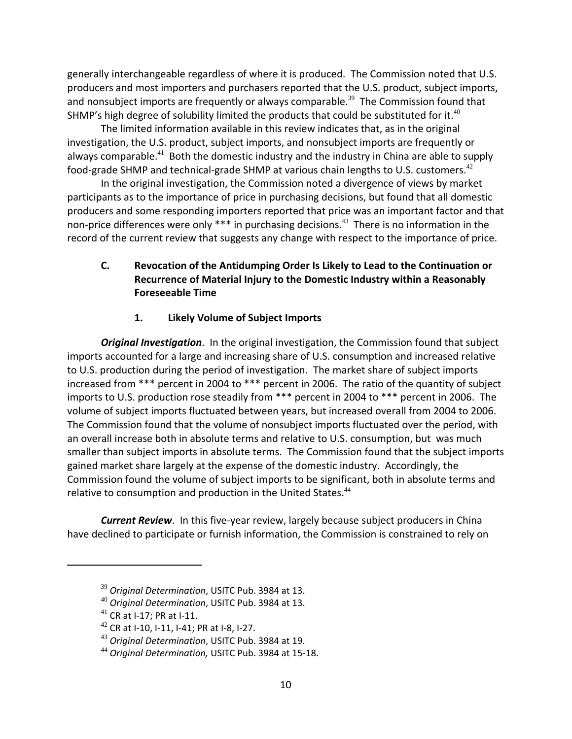generally interchangeable regardless of where it is produced. The Commission noted that U.S. producers and most importers and purchasers reported that the U.S. product, subject imports, and nonsubject imports are frequently or always comparable.<sup>39</sup> The Commission found that SHMP's high degree of solubility limited the products that could be substituted for it.<sup>40</sup>

The limited information available in this review indicates that, as in the original investigation, the U.S. product, subject imports, and nonsubject imports are frequently or always comparable.<sup>41</sup> Both the domestic industry and the industry in China are able to supply food-grade SHMP and technical-grade SHMP at various chain lengths to U.S. customers.<sup>42</sup>

In the original investigation, the Commission noted a divergence of views by market participants as to the importance of price in purchasing decisions, but found that all domestic producers and some responding importers reported that price was an important factor and that non-price differences were only \*\*\* in purchasing decisions.<sup>43</sup> There is no information in the record of the current review that suggests any change with respect to the importance of price.

# **C. Revocation of the Antidumping Order Is Likely to Lead to the Continuation or Recurrence of Material Injury to the Domestic Industry within a Reasonably Foreseeable Time**

# **1. Likely Volume of Subject Imports**

*Original Investigation*. In the original investigation, the Commission found that subject imports accounted for a large and increasing share of U.S. consumption and increased relative to U.S. production during the period of investigation. The market share of subject imports increased from \*\*\* percent in 2004 to \*\*\* percent in 2006. The ratio of the quantity of subject imports to U.S. production rose steadily from \*\*\* percent in 2004 to \*\*\* percent in 2006. The volume of subject imports fluctuated between years, but increased overall from 2004 to 2006. The Commission found that the volume of nonsubject imports fluctuated over the period, with an overall increase both in absolute terms and relative to U.S. consumption, but was much smaller than subject imports in absolute terms. The Commission found that the subject imports gained market share largely at the expense of the domestic industry. Accordingly, the Commission found the volume of subject imports to be significant, both in absolute terms and relative to consumption and production in the United States.<sup>44</sup>

**Current Review**. In this five-year review, largely because subject producers in China have declined to participate or furnish information, the Commission is constrained to rely on

<sup>39</sup> *Original Determination*, USITC Pub. 3984 at 13.

<sup>40</sup> *Original Determination*, USITC Pub. 3984 at 13.

<sup>41</sup> CR at I‐17; PR at I‐11.

 $42$  CR at I-10, I-11, I-41; PR at I-8, I-27.

<sup>43</sup> *Original Determination*, USITC Pub. 3984 at 19.

<sup>44</sup> *Original Determination,* USITC Pub. 3984 at 15‐18.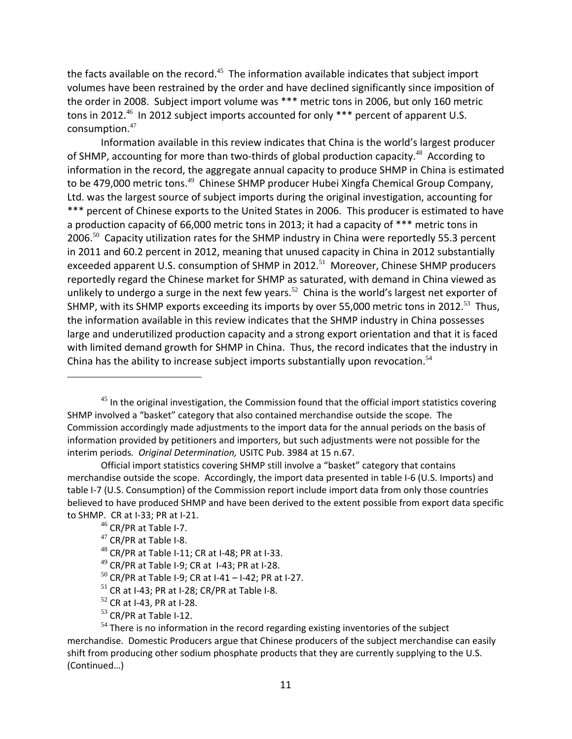the facts available on the record.<sup>45</sup> The information available indicates that subject import volumes have been restrained by the order and have declined significantly since imposition of the order in 2008. Subject import volume was \*\*\* metric tons in 2006, but only 160 metric tons in 2012.<sup>46</sup> In 2012 subject imports accounted for only  $***$  percent of apparent U.S. consumption.<sup>47</sup>

Information available in this review indicates that China is the world's largest producer of SHMP, accounting for more than two-thirds of global production capacity.<sup>48</sup> According to information in the record, the aggregate annual capacity to produce SHMP in China is estimated to be 479,000 metric tons.<sup>49</sup> Chinese SHMP producer Hubei Xingfa Chemical Group Company, Ltd. was the largest source of subject imports during the original investigation, accounting for \*\*\* percent of Chinese exports to the United States in 2006. This producer is estimated to have a production capacity of 66,000 metric tons in 2013; it had a capacity of \*\*\* metric tons in 2006.<sup>50</sup> Capacity utilization rates for the SHMP industry in China were reportedly 55.3 percent in 2011 and 60.2 percent in 2012, meaning that unused capacity in China in 2012 substantially exceeded apparent U.S. consumption of SHMP in 2012.<sup>51</sup> Moreover, Chinese SHMP producers reportedly regard the Chinese market for SHMP as saturated, with demand in China viewed as unlikely to undergo a surge in the next few years.<sup>52</sup> China is the world's largest net exporter of SHMP, with its SHMP exports exceeding its imports by over 55,000 metric tons in 2012.<sup>53</sup> Thus, the information available in this review indicates that the SHMP industry in China possesses large and underutilized production capacity and a strong export orientation and that it is faced with limited demand growth for SHMP in China. Thus, the record indicates that the industry in China has the ability to increase subject imports substantially upon revocation.<sup>54</sup>

 $53$  CR/PR at Table I-12.

 $45$  In the original investigation, the Commission found that the official import statistics covering SHMP involved a "basket" category that also contained merchandise outside the scope. The Commission accordingly made adjustments to the import data for the annual periods on the basis of information provided by petitioners and importers, but such adjustments were not possible for the interim periods*. Original Determination,* USITC Pub. 3984 at 15 n.67.

Official import statistics covering SHMP still involve a "basket" category that contains merchandise outside the scope. Accordingly, the import data presented in table I‐6 (U.S. Imports) and table I-7 (U.S. Consumption) of the Commission report include import data from only those countries believed to have produced SHMP and have been derived to the extent possible from export data specific to SHMP. CR at I‐33; PR at I‐21.

<sup>&</sup>lt;sup>46</sup> CR/PR at Table I-7.

 $47$  CR/PR at Table I-8.

 $48$  CR/PR at Table I-11; CR at I-48; PR at I-33.

 $49$  CR/PR at Table I-9; CR at I-43; PR at I-28.

 $50$  CR/PR at Table I-9; CR at I-41 – I-42; PR at I-27.

 $51$  CR at I-43; PR at I-28; CR/PR at Table I-8.

 $52$  CR at I-43, PR at I-28.

 $54$  There is no information in the record regarding existing inventories of the subject merchandise. Domestic Producers argue that Chinese producers of the subject merchandise can easily shift from producing other sodium phosphate products that they are currently supplying to the U.S. (Continued…)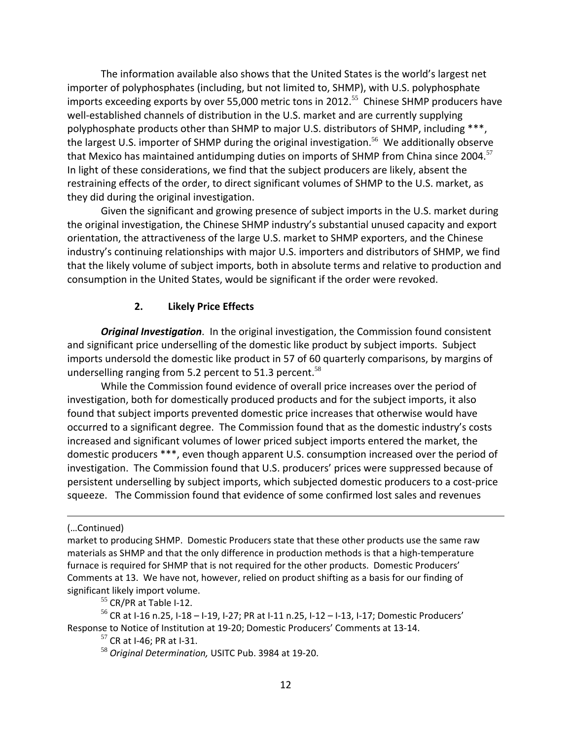The information available also shows that the United States is the world's largest net importer of polyphosphates (including, but not limited to, SHMP), with U.S. polyphosphate imports exceeding exports by over 55,000 metric tons in 2012.<sup>55</sup> Chinese SHMP producers have well-established channels of distribution in the U.S. market and are currently supplying polyphosphate products other than SHMP to major U.S. distributors of SHMP, including \*\*\*, the largest U.S. importer of SHMP during the original investigation.<sup>56</sup> We additionally observe that Mexico has maintained antidumping duties on imports of SHMP from China since 2004.<sup>57</sup> In light of these considerations, we find that the subject producers are likely, absent the restraining effects of the order, to direct significant volumes of SHMP to the U.S. market, as they did during the original investigation.

Given the significant and growing presence of subject imports in the U.S. market during the original investigation, the Chinese SHMP industry's substantial unused capacity and export orientation, the attractiveness of the large U.S. market to SHMP exporters, and the Chinese industry's continuing relationships with major U.S. importers and distributors of SHMP, we find that the likely volume of subject imports, both in absolute terms and relative to production and consumption in the United States, would be significant if the order were revoked.

## **2. Likely Price Effects**

*Original Investigation*. In the original investigation, the Commission found consistent and significant price underselling of the domestic like product by subject imports. Subject imports undersold the domestic like product in 57 of 60 quarterly comparisons, by margins of underselling ranging from 5.2 percent to 51.3 percent.<sup>58</sup>

While the Commission found evidence of overall price increases over the period of investigation, both for domestically produced products and for the subject imports, it also found that subject imports prevented domestic price increases that otherwise would have occurred to a significant degree. The Commission found that as the domestic industry's costs increased and significant volumes of lower priced subject imports entered the market, the domestic producers \*\*\*, even though apparent U.S. consumption increased over the period of investigation. The Commission found that U.S. producers' prices were suppressed because of persistent underselling by subject imports, which subjected domestic producers to a cost‐price squeeze. The Commission found that evidence of some confirmed lost sales and revenues

<u> Andreas Andreas Andreas Andreas Andreas Andreas Andreas Andreas Andreas Andreas Andreas Andreas Andreas Andr</u>

 $55$  CR/PR at Table I-12.

 $56$  CR at I-16 n.25, I-18 – I-19, I-27; PR at I-11 n.25, I-12 – I-13, I-17; Domestic Producers' Response to Notice of Institution at 19‐20; Domestic Producers' Comments at 13‐14.

 $57$  CR at I-46; PR at I-31.

<sup>58</sup> *Original Determination,* USITC Pub. 3984 at 19‐20.

<sup>(…</sup>Continued)

market to producing SHMP. Domestic Producers state that these other products use the same raw materials as SHMP and that the only difference in production methods is that a high-temperature furnace is required for SHMP that is not required for the other products. Domestic Producers' Comments at 13. We have not, however, relied on product shifting as a basis for our finding of significant likely import volume.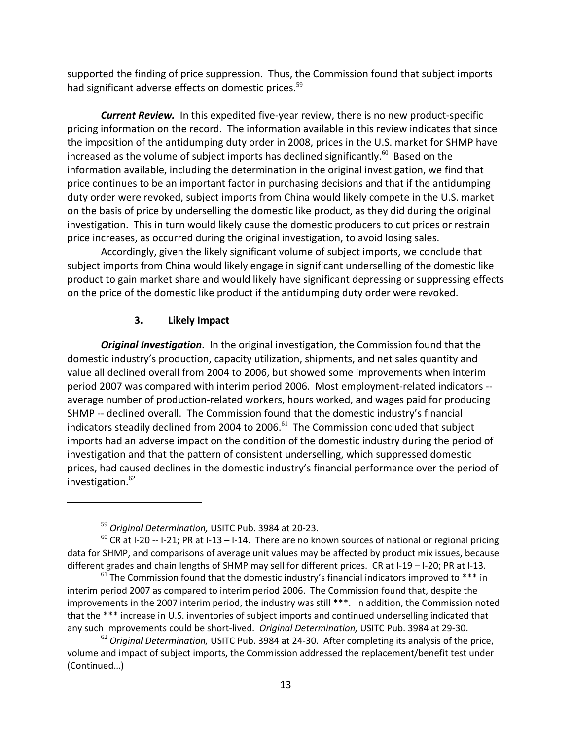supported the finding of price suppression. Thus, the Commission found that subject imports had significant adverse effects on domestic prices.<sup>59</sup>

*Current Review.* In this expedited five‐year review, there is no new product‐specific pricing information on the record. The information available in this review indicates that since the imposition of the antidumping duty order in 2008, prices in the U.S. market for SHMP have increased as the volume of subject imports has declined significantly.<sup>60</sup> Based on the information available, including the determination in the original investigation, we find that price continues to be an important factor in purchasing decisions and that if the antidumping duty order were revoked, subject imports from China would likely compete in the U.S. market on the basis of price by underselling the domestic like product, as they did during the original investigation. This in turn would likely cause the domestic producers to cut prices or restrain price increases, as occurred during the original investigation, to avoid losing sales.

Accordingly, given the likely significant volume of subject imports, we conclude that subject imports from China would likely engage in significant underselling of the domestic like product to gain market share and would likely have significant depressing or suppressing effects on the price of the domestic like product if the antidumping duty order were revoked.

## **3. Likely Impact**

*Original Investigation*. In the original investigation, the Commission found that the domestic industry's production, capacity utilization, shipments, and net sales quantity and value all declined overall from 2004 to 2006, but showed some improvements when interim period 2007 was compared with interim period 2006. Most employment-related indicators -average number of production‐related workers, hours worked, and wages paid for producing SHMP -- declined overall. The Commission found that the domestic industry's financial indicators steadily declined from 2004 to 2006.<sup>61</sup> The Commission concluded that subject imports had an adverse impact on the condition of the domestic industry during the period of investigation and that the pattern of consistent underselling, which suppressed domestic prices, had caused declines in the domestic industry's financial performance over the period of investigation.<sup>62</sup>

<sup>59</sup> *Original Determination,* USITC Pub. 3984 at 20‐23.

 $60$  CR at I-20 -- I-21; PR at I-13 – I-14. There are no known sources of national or regional pricing data for SHMP, and comparisons of average unit values may be affected by product mix issues, because different grades and chain lengths of SHMP may sell for different prices. CR at I-19 – I-20; PR at I-13.

 $61$  The Commission found that the domestic industry's financial indicators improved to  $***$  in interim period 2007 as compared to interim period 2006. The Commission found that, despite the improvements in the 2007 interim period, the industry was still \*\*\*. In addition, the Commission noted that the \*\*\* increase in U.S. inventories of subject imports and continued underselling indicated that any such improvements could be short‐lived. *Original Determination,* USITC Pub. 3984 at 29‐30.

<sup>62</sup> *Original Determination,* USITC Pub. 3984 at 24‐30. After completing its analysis of the price, volume and impact of subject imports, the Commission addressed the replacement/benefit test under (Continued…)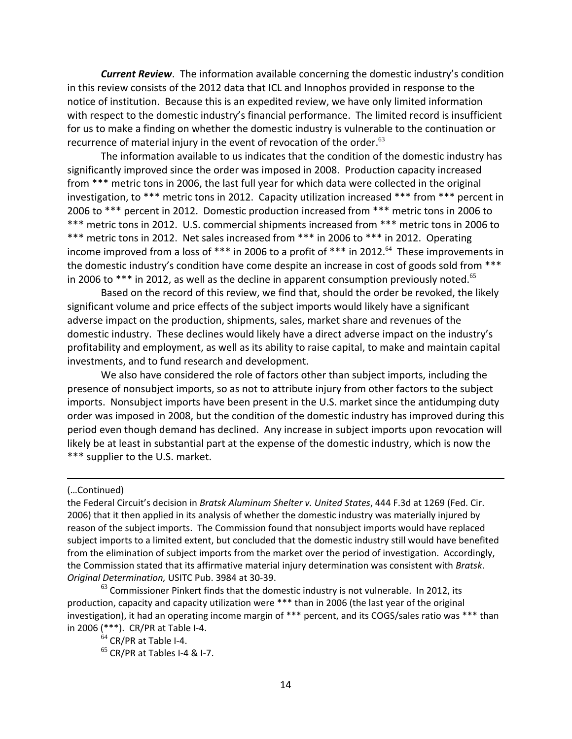*Current Review*. The information available concerning the domestic industry's condition in this review consists of the 2012 data that ICL and Innophos provided in response to the notice of institution. Because this is an expedited review, we have only limited information with respect to the domestic industry's financial performance. The limited record is insufficient for us to make a finding on whether the domestic industry is vulnerable to the continuation or recurrence of material injury in the event of revocation of the order. $63$ 

The information available to us indicates that the condition of the domestic industry has significantly improved since the order was imposed in 2008. Production capacity increased from \*\*\* metric tons in 2006, the last full year for which data were collected in the original investigation, to \*\*\* metric tons in 2012. Capacity utilization increased \*\*\* from \*\*\* percent in 2006 to \*\*\* percent in 2012. Domestic production increased from \*\*\* metric tons in 2006 to \*\*\* metric tons in 2012. U.S. commercial shipments increased from \*\*\* metric tons in 2006 to \*\*\* metric tons in 2012. Net sales increased from \*\*\* in 2006 to \*\*\* in 2012. Operating income improved from a loss of \*\*\* in 2006 to a profit of \*\*\* in 2012.<sup>64</sup> These improvements in the domestic industry's condition have come despite an increase in cost of goods sold from \*\*\* in 2006 to  $***$  in 2012, as well as the decline in apparent consumption previously noted.<sup>65</sup>

Based on the record of this review, we find that, should the order be revoked, the likely significant volume and price effects of the subject imports would likely have a significant adverse impact on the production, shipments, sales, market share and revenues of the domestic industry. These declines would likely have a direct adverse impact on the industry's profitability and employment, as well as its ability to raise capital, to make and maintain capital investments, and to fund research and development.

We also have considered the role of factors other than subject imports, including the presence of nonsubject imports, so as not to attribute injury from other factors to the subject imports. Nonsubject imports have been present in the U.S. market since the antidumping duty order was imposed in 2008, but the condition of the domestic industry has improved during this period even though demand has declined. Any increase in subject imports upon revocation will likely be at least in substantial part at the expense of the domestic industry, which is now the \*\*\* supplier to the U.S. market.

<u> 1989 - Johann Stein, marwolaethau a cyfeiliad y cyfeiliad a gynydd a gynydd a gynydd a gynydd a gynydd a gyn</u>

#### (…Continued)

the Federal Circuit's decision in *Bratsk Aluminum Shelter v. United States*, 444 F.3d at 1269 (Fed. Cir. 2006) that it then applied in its analysis of whether the domestic industry was materially injured by reason of the subject imports. The Commission found that nonsubject imports would have replaced subject imports to a limited extent, but concluded that the domestic industry still would have benefited from the elimination of subject imports from the market over the period of investigation. Accordingly, the Commission stated that its affirmative material injury determination was consistent with *Bratsk*. *Original Determination,* USITC Pub. 3984 at 30‐39.

 $^{63}$  Commissioner Pinkert finds that the domestic industry is not vulnerable. In 2012, its production, capacity and capacity utilization were \*\*\* than in 2006 (the last year of the original investigation), it had an operating income margin of \*\*\* percent, and its COGS/sales ratio was \*\*\* than in 2006 (\*\*\*). CR/PR at Table I‐4.

 $64$  CR/PR at Table I-4.

 $65$  CR/PR at Tables I-4 & I-7.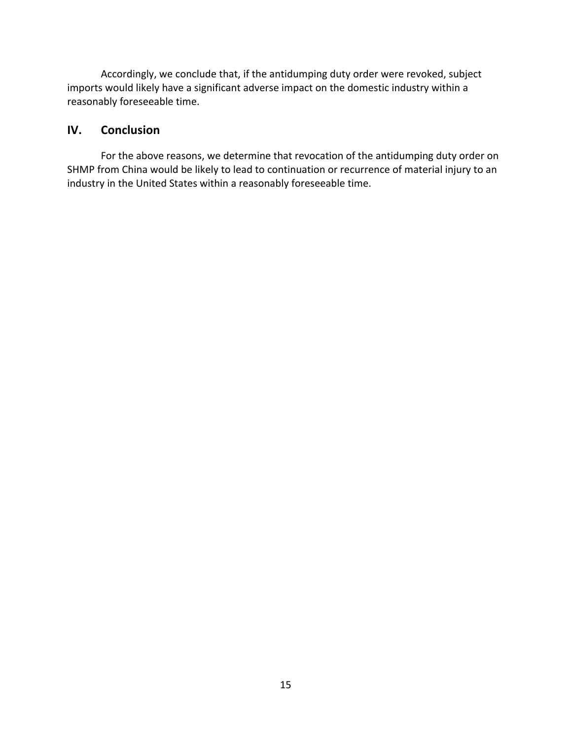Accordingly, we conclude that, if the antidumping duty order were revoked, subject imports would likely have a significant adverse impact on the domestic industry within a reasonably foreseeable time.

# **IV. Conclusion**

For the above reasons, we determine that revocation of the antidumping duty order on SHMP from China would be likely to lead to continuation or recurrence of material injury to an industry in the United States within a reasonably foreseeable time.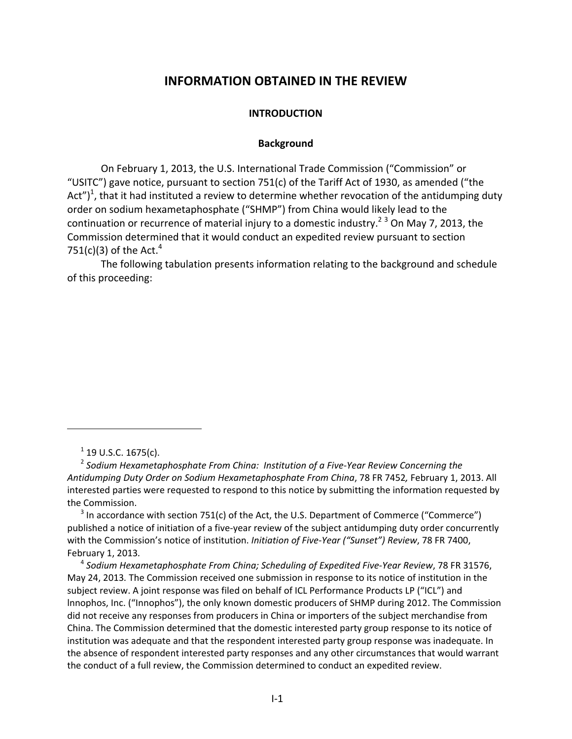# **INFORMATION OBTAINED IN THE REVIEW**

#### **INTRODUCTION**

#### **Background**

On February 1, 2013, the U.S. International Trade Commission ("Commission" or "USITC") gave notice, pursuant to section 751(c) of the Tariff Act of 1930, as amended ("the Act")<sup>1</sup>, that it had instituted a review to determine whether revocation of the antidumping duty order on sodium hexametaphosphate ("SHMP") from China would likely lead to the continuation or recurrence of material injury to a domestic industry.<sup>2 3</sup> On May 7, 2013, the Commission determined that it would conduct an expedited review pursuant to section 751(c)(3) of the Act. $^4$ 

The following tabulation presents information relating to the background and schedule of this proceeding:

 $3$  In accordance with section 751(c) of the Act, the U.S. Department of Commerce ("Commerce") published a notice of initiation of a five-year review of the subject antidumping duty order concurrently with the Commission's notice of institution. *Initiation of Five‐Year ("Sunset") Review*, 78 FR 7400, February 1, 2013*.*

<sup>4</sup> *Sodium Hexametaphosphate From China; Scheduling of Expedited Five‐Year Review*, 78 FR 31576, May 24, 2013*.* The Commission received one submission in response to its notice of institution in the subject review. A joint response was filed on behalf of ICL Performance Products LP ("ICL") and lnnophos, Inc. ("Innophos"), the only known domestic producers of SHMP during 2012. The Commission did not receive any responses from producers in China or importers of the subject merchandise from China. The Commission determined that the domestic interested party group response to its notice of institution was adequate and that the respondent interested party group response was inadequate. In the absence of respondent interested party responses and any other circumstances that would warrant the conduct of a full review, the Commission determined to conduct an expedited review.

 $1$  19 U.S.C. 1675(c).

<sup>2</sup> *Sodium Hexametaphosphate From China: Institution of a Five‐Year Review Concerning the Antidumping Duty Order on Sodium Hexametaphosphate From China*, 78 FR 7452*,* February 1, 2013. All interested parties were requested to respond to this notice by submitting the information requested by the Commission.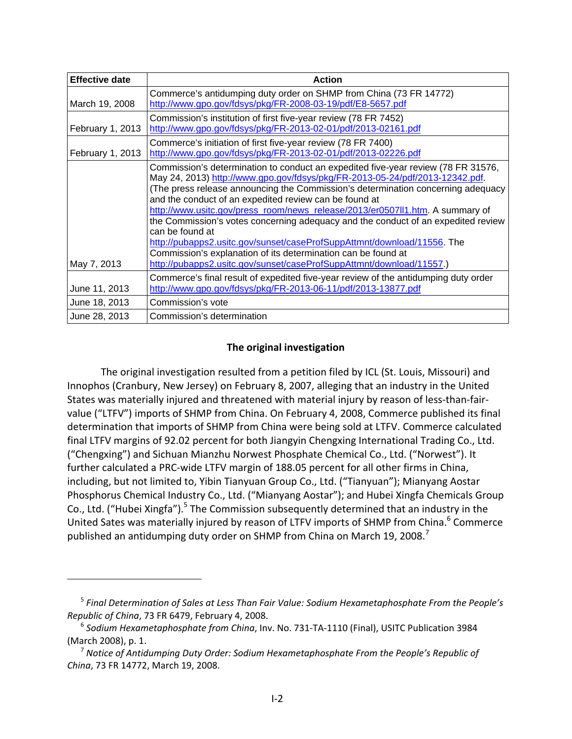| <b>Effective date</b> | <b>Action</b>                                                                                                                                                                                                                                                                                                                                                                                                                                                                                                                                                                                                                                                                                                                |
|-----------------------|------------------------------------------------------------------------------------------------------------------------------------------------------------------------------------------------------------------------------------------------------------------------------------------------------------------------------------------------------------------------------------------------------------------------------------------------------------------------------------------------------------------------------------------------------------------------------------------------------------------------------------------------------------------------------------------------------------------------------|
| March 19, 2008        | Commerce's antidumping duty order on SHMP from China (73 FR 14772)<br>http://www.gpo.gov/fdsys/pkg/FR-2008-03-19/pdf/E8-5657.pdf                                                                                                                                                                                                                                                                                                                                                                                                                                                                                                                                                                                             |
| February 1, 2013      | Commission's institution of first five-year review (78 FR 7452)<br>http://www.gpo.gov/fdsys/pkg/FR-2013-02-01/pdf/2013-02161.pdf                                                                                                                                                                                                                                                                                                                                                                                                                                                                                                                                                                                             |
| February 1, 2013      | Commerce's initiation of first five-year review (78 FR 7400)<br>http://www.gpo.gov/fdsys/pkg/FR-2013-02-01/pdf/2013-02226.pdf                                                                                                                                                                                                                                                                                                                                                                                                                                                                                                                                                                                                |
| May 7, 2013           | Commission's determination to conduct an expedited five-year review (78 FR 31576,<br>May 24, 2013) http://www.gpo.gov/fdsys/pkg/FR-2013-05-24/pdf/2013-12342.pdf.<br>(The press release announcing the Commission's determination concerning adequacy<br>and the conduct of an expedited review can be found at<br>http://www.usitc.gov/press_room/news_release/2013/er0507ll1.htm. A summary of<br>the Commission's votes concerning adequacy and the conduct of an expedited review<br>can be found at<br>http://pubapps2.usitc.gov/sunset/caseProfSuppAttmnt/download/11556. The<br>Commission's explanation of its determination can be found at<br>http://pubapps2.usitc.gov/sunset/caseProfSuppAttmnt/download/11557.) |
| June 11, 2013         | Commerce's final result of expedited five-year review of the antidumping duty order<br>http://www.gpo.gov/fdsys/pkg/FR-2013-06-11/pdf/2013-13877.pdf                                                                                                                                                                                                                                                                                                                                                                                                                                                                                                                                                                         |
| June 18, 2013         | Commission's vote                                                                                                                                                                                                                                                                                                                                                                                                                                                                                                                                                                                                                                                                                                            |
| June 28, 2013         | Commission's determination                                                                                                                                                                                                                                                                                                                                                                                                                                                                                                                                                                                                                                                                                                   |

# **The original investigation**

The original investigation resulted from a petition filed by ICL (St. Louis, Missouri) and Innophos (Cranbury, New Jersey) on February 8, 2007, alleging that an industry in the United States was materially injured and threatened with material injury by reason of less-than-fairvalue ("LTFV") imports of SHMP from China. On February 4, 2008, Commerce published its final determination that imports of SHMP from China were being sold at LTFV. Commerce calculated final LTFV margins of 92.02 percent for both Jiangyin Chengxing International Trading Co., Ltd. ("Chengxing") and Sichuan Mianzhu Norwest Phosphate Chemical Co., Ltd. ("Norwest"). It further calculated a PRC‐wide LTFV margin of 188.05 percent for all other firms in China, including, but not limited to, Yibin Tianyuan Group Co., Ltd. ("Tianyuan"); Mianyang Aostar Phosphorus Chemical Industry Co., Ltd. ("Mianyang Aostar"); and Hubei Xingfa Chemicals Group Co., Ltd. ("Hubei Xingfa").<sup>5</sup> The Commission subsequently determined that an industry in the United Sates was materially injured by reason of LTFV imports of SHMP from China.<sup>6</sup> Commerce published an antidumping duty order on SHMP from China on March 19, 2008.<sup>7</sup>

<sup>5</sup> *Final Determination of Sales at Less Than Fair Value: Sodium Hexametaphosphate From the People's Republic of China*, 73 FR 6479, February 4, 2008.

<sup>6</sup> *Sodium Hexametaphosphate from China*, Inv. No. 731‐TA‐1110 (Final), USITC Publication 3984 (March 2008), p. 1.

<sup>7</sup> *Notice of Antidumping Duty Order: Sodium Hexametaphosphate From the People's Republic of China*, 73 FR 14772, March 19, 2008.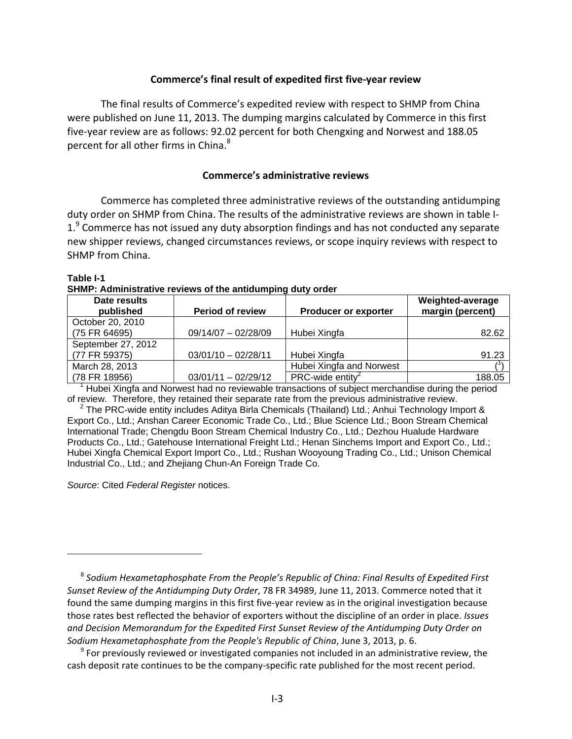#### **Commerce's final result of expedited first five‐year review**

The final results of Commerce's expedited review with respect to SHMP from China were published on June 11, 2013. The dumping margins calculated by Commerce in this first five‐year review are as follows: 92.02 percent for both Chengxing and Norwest and 188.05 percent for all other firms in China. $8<sup>8</sup>$ 

#### **Commerce's administrative reviews**

Commerce has completed three administrative reviews of the outstanding antidumping duty order on SHMP from China. The results of the administrative reviews are shown in table I‐ 1.<sup>9</sup> Commerce has not issued any duty absorption findings and has not conducted any separate new shipper reviews, changed circumstances reviews, or scope inquiry reviews with respect to SHMP from China.

**Table I-1 SHMP: Administrative reviews of the antidumping duty order** 

| Date results<br>published | <b>Period of review</b> | <b>Producer or exporter</b>     | Weighted-average<br>margin (percent) |
|---------------------------|-------------------------|---------------------------------|--------------------------------------|
| October 20, 2010          |                         |                                 |                                      |
| (75 FR 64695)             | $09/14/07 - 02/28/09$   | Hubei Xingfa                    | 82.62                                |
| September 27, 2012        |                         |                                 |                                      |
| (77 FR 59375)             | $03/01/10 - 02/28/11$   | Hubei Xingfa                    | 91.23                                |
| March 28, 2013            |                         | Hubei Xingfa and Norwest        |                                      |
| (78 FR 18956)             | $03/01/11 - 02/29/12$   | $PRC$ -wide entity <sup>2</sup> | 188.05                               |

<sup>1</sup> Hubei Xingfa and Norwest had no reviewable transactions of subject merchandise during the period of review. Therefore, they retained their separate rate from the previous administrative review.

<sup>2</sup> The PRC-wide entity includes Aditya Birla Chemicals (Thailand) Ltd.; Anhui Technology Import & Export Co., Ltd.; Anshan Career Economic Trade Co., Ltd.; Blue Science Ltd.; Boon Stream Chemical International Trade; Chengdu Boon Stream Chemical Industry Co., Ltd.; Dezhou Hualude Hardware Products Co., Ltd.; Gatehouse International Freight Ltd.; Henan Sinchems Import and Export Co., Ltd.; Hubei Xingfa Chemical Export Import Co., Ltd.; Rushan Wooyoung Trading Co., Ltd.; Unison Chemical Industrial Co., Ltd.; and Zhejiang Chun-An Foreign Trade Co.

*Source*: Cited *Federal Register* notices.

<sup>8</sup> *Sodium Hexametaphosphate From the People's Republic of China: Final Results of Expedited First Sunset Review of the Antidumping Duty Order*, 78 FR 34989, June 11, 2013. Commerce noted that it found the same dumping margins in this first five‐year review as in the original investigation because those rates best reflected the behavior of exporters without the discipline of an order in place. *Issues and Decision Memorandum for the Expedited First Sunset Review of the Antidumping Duty Order on Sodium Hexametaphosphate from the People's Republic of China*, June 3, 2013, p. 6.

 $9$  For previously reviewed or investigated companies not included in an administrative review, the cash deposit rate continues to be the company‐specific rate published for the most recent period.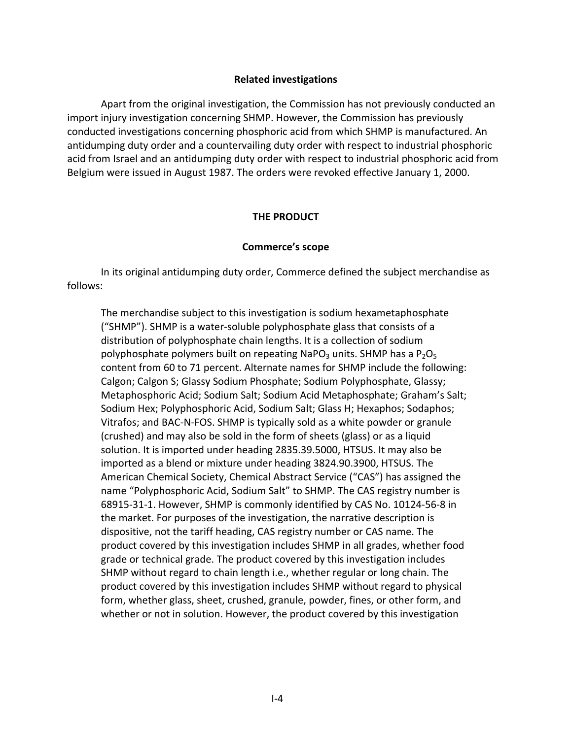## **Related investigations**

Apart from the original investigation, the Commission has not previously conducted an import injury investigation concerning SHMP. However, the Commission has previously conducted investigations concerning phosphoric acid from which SHMP is manufactured. An antidumping duty order and a countervailing duty order with respect to industrial phosphoric acid from Israel and an antidumping duty order with respect to industrial phosphoric acid from Belgium were issued in August 1987. The orders were revoked effective January 1, 2000.

#### **THE PRODUCT**

#### **Commerce's scope**

In its original antidumping duty order, Commerce defined the subject merchandise as follows:

The merchandise subject to this investigation is sodium hexametaphosphate ("SHMP"). SHMP is a water‐soluble polyphosphate glass that consists of a distribution of polyphosphate chain lengths. It is a collection of sodium polyphosphate polymers built on repeating NaPO<sub>3</sub> units. SHMP has a  $P_2O_5$ content from 60 to 71 percent. Alternate names for SHMP include the following: Calgon; Calgon S; Glassy Sodium Phosphate; Sodium Polyphosphate, Glassy; Metaphosphoric Acid; Sodium Salt; Sodium Acid Metaphosphate; Graham's Salt; Sodium Hex; Polyphosphoric Acid, Sodium Salt; Glass H; Hexaphos; Sodaphos; Vitrafos; and BAC‐N‐FOS. SHMP is typically sold as a white powder or granule (crushed) and may also be sold in the form of sheets (glass) or as a liquid solution. It is imported under heading 2835.39.5000, HTSUS. It may also be imported as a blend or mixture under heading 3824.90.3900, HTSUS. The American Chemical Society, Chemical Abstract Service ("CAS") has assigned the name "Polyphosphoric Acid, Sodium Salt" to SHMP. The CAS registry number is 68915‐31‐1. However, SHMP is commonly identified by CAS No. 10124‐56‐8 in the market. For purposes of the investigation, the narrative description is dispositive, not the tariff heading, CAS registry number or CAS name. The product covered by this investigation includes SHMP in all grades, whether food grade or technical grade. The product covered by this investigation includes SHMP without regard to chain length i.e., whether regular or long chain. The product covered by this investigation includes SHMP without regard to physical form, whether glass, sheet, crushed, granule, powder, fines, or other form, and whether or not in solution. However, the product covered by this investigation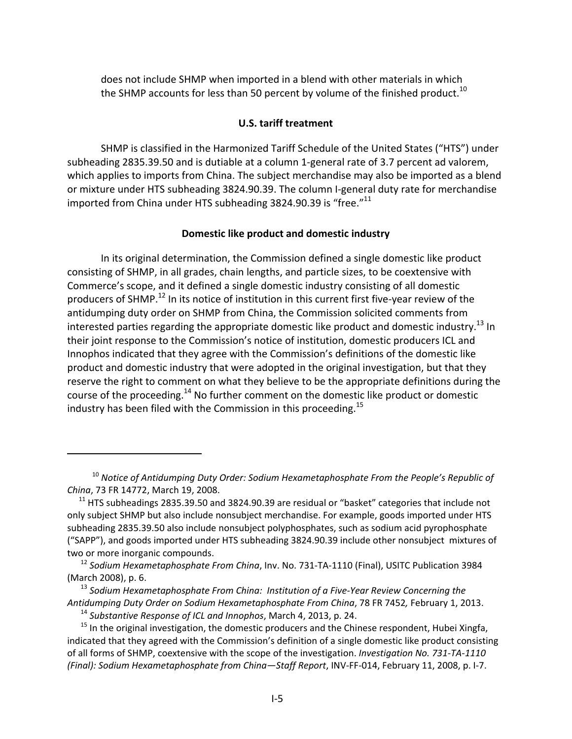does not include SHMP when imported in a blend with other materials in which the SHMP accounts for less than 50 percent by volume of the finished product.<sup>10</sup>

## **U.S. tariff treatment**

SHMP is classified in the Harmonized Tariff Schedule of the United States ("HTS") under subheading 2835.39.50 and is dutiable at a column 1‐general rate of 3.7 percent ad valorem, which applies to imports from China. The subject merchandise may also be imported as a blend or mixture under HTS subheading 3824.90.39. The column I‐general duty rate for merchandise imported from China under HTS subheading 3824.90.39 is "free."<sup>11</sup>

#### **Domestic like product and domestic industry**

In its original determination, the Commission defined a single domestic like product consisting of SHMP, in all grades, chain lengths, and particle sizes, to be coextensive with Commerce's scope, and it defined a single domestic industry consisting of all domestic producers of SHMP.<sup>12</sup> In its notice of institution in this current first five-year review of the antidumping duty order on SHMP from China, the Commission solicited comments from interested parties regarding the appropriate domestic like product and domestic industry.<sup>13</sup> In their joint response to the Commission's notice of institution, domestic producers ICL and Innophos indicated that they agree with the Commission's definitions of the domestic like product and domestic industry that were adopted in the original investigation, but that they reserve the right to comment on what they believe to be the appropriate definitions during the course of the proceeding.<sup>14</sup> No further comment on the domestic like product or domestic industry has been filed with the Commission in this proceeding.<sup>15</sup>

<sup>10</sup> *Notice of Antidumping Duty Order: Sodium Hexametaphosphate From the People's Republic of China*, 73 FR 14772, March 19, 2008.

 $11$  HTS subheadings 2835.39.50 and 3824.90.39 are residual or "basket" categories that include not only subject SHMP but also include nonsubject merchandise. For example, goods imported under HTS subheading 2835.39.50 also include nonsubject polyphosphates, such as sodium acid pyrophosphate ("SAPP"), and goods imported under HTS subheading 3824.90.39 include other nonsubject mixtures of two or more inorganic compounds.

<sup>12</sup> *Sodium Hexametaphosphate From China*, Inv. No. 731‐TA‐1110 (Final), USITC Publication 3984 (March 2008), p. 6.

<sup>13</sup> *Sodium Hexametaphosphate From China: Institution of a Five‐Year Review Concerning the Antidumping Duty Order on Sodium Hexametaphosphate From China*, 78 FR 7452*,* February 1, 2013.

<sup>14</sup> *Substantive Response of ICL and Innophos*, March 4, 2013, p. 24.

<sup>&</sup>lt;sup>15</sup> In the original investigation, the domestic producers and the Chinese respondent, Hubei Xingfa, indicated that they agreed with the Commission's definition of a single domestic like product consisting of all forms of SHMP, coextensive with the scope of the investigation. *Investigation No. 731‐TA‐1110 (Final): Sodium Hexametaphosphate from China—Staff Report*, INV‐FF‐014, February 11, 2008, p. I‐7.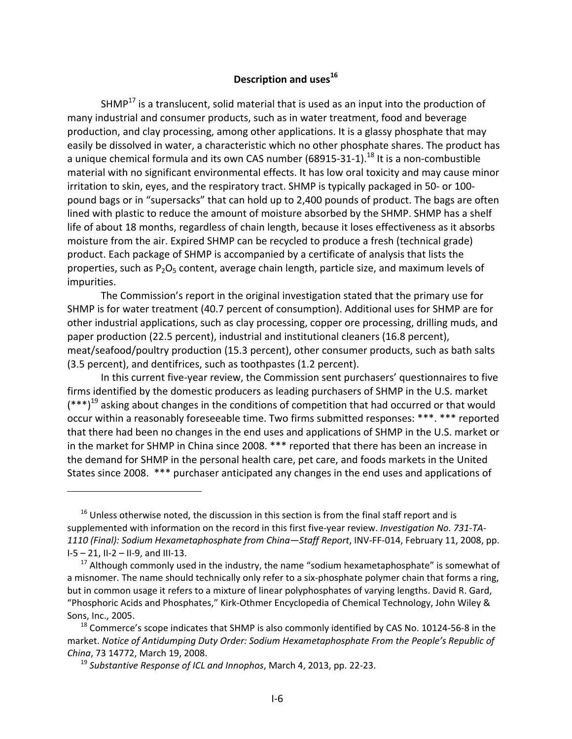# **Description** and uses<sup>16</sup>

 $SHMP<sup>17</sup>$  is a translucent, solid material that is used as an input into the production of many industrial and consumer products, such as in water treatment, food and beverage production, and clay processing, among other applications. It is a glassy phosphate that may easily be dissolved in water, a characteristic which no other phosphate shares. The product has a unique chemical formula and its own CAS number (68915-31-1).<sup>18</sup> It is a non-combustible material with no significant environmental effects. It has low oral toxicity and may cause minor irritation to skin, eyes, and the respiratory tract. SHMP is typically packaged in 50‐ or 100‐ pound bags or in "supersacks" that can hold up to 2,400 pounds of product. The bags are often lined with plastic to reduce the amount of moisture absorbed by the SHMP. SHMP has a shelf life of about 18 months, regardless of chain length, because it loses effectiveness as it absorbs moisture from the air. Expired SHMP can be recycled to produce a fresh (technical grade) product. Each package of SHMP is accompanied by a certificate of analysis that lists the properties, such as  $P_2O_5$  content, average chain length, particle size, and maximum levels of impurities.

The Commission's report in the original investigation stated that the primary use for SHMP is for water treatment (40.7 percent of consumption). Additional uses for SHMP are for other industrial applications, such as clay processing, copper ore processing, drilling muds, and paper production (22.5 percent), industrial and institutional cleaners (16.8 percent), meat/seafood/poultry production (15.3 percent), other consumer products, such as bath salts (3.5 percent), and dentifrices, such as toothpastes (1.2 percent).

In this current five‐year review, the Commission sent purchasers' questionnaires to five firms identified by the domestic producers as leading purchasers of SHMP in the U.S. market  $(***)^{19}$  asking about changes in the conditions of competition that had occurred or that would occur within a reasonably foreseeable time. Two firms submitted responses: \*\*\*. \*\*\* reported that there had been no changes in the end uses and applications of SHMP in the U.S. market or in the market for SHMP in China since 2008. \*\*\* reported that there has been an increase in the demand for SHMP in the personal health care, pet care, and foods markets in the United States since 2008. \*\*\* purchaser anticipated any changes in the end uses and applications of

 $16$  Unless otherwise noted, the discussion in this section is from the final staff report and is supplemented with information on the record in this first five‐year review. *Investigation No. 731‐TA‐ 1110 (Final): Sodium Hexametaphosphate from China—Staff Report*, INV‐FF‐014, February 11, 2008, pp. I‐5 – 21, II‐2 – II‐9, and III‐13.

 $17$  Although commonly used in the industry, the name "sodium hexametaphosphate" is somewhat of a misnomer. The name should technically only refer to a six-phosphate polymer chain that forms a ring, but in common usage it refers to a mixture of linear polyphosphates of varying lengths. David R. Gard, "Phosphoric Acids and Phosphates," Kirk‐Othmer Encyclopedia of Chemical Technology, John Wiley & Sons, Inc., 2005.

 $18$  Commerce's scope indicates that SHMP is also commonly identified by CAS No. 10124-56-8 in the market. *Notice of Antidumping Duty Order: Sodium Hexametaphosphate From the People's Republic of China*, 73 14772, March 19, 2008.

<sup>19</sup> *Substantive Response of ICL and Innophos*, March 4, 2013, pp. 22‐23.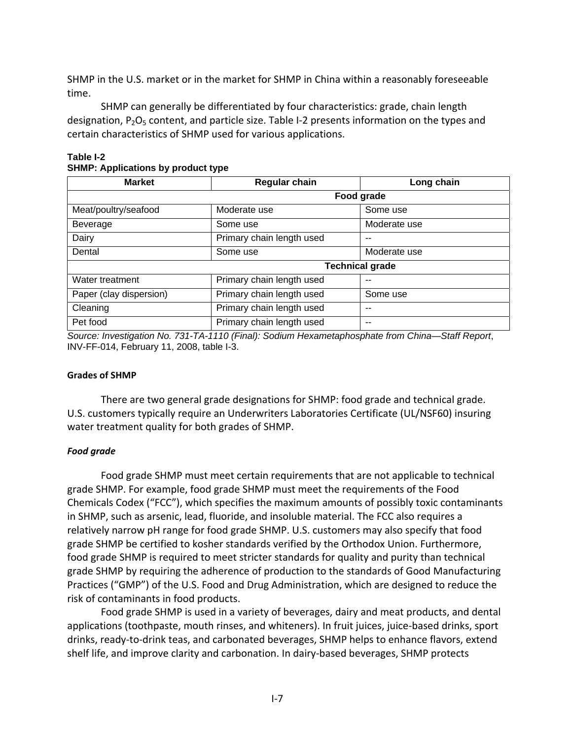SHMP in the U.S. market or in the market for SHMP in China within a reasonably foreseeable time.

SHMP can generally be differentiated by four characteristics: grade, chain length designation,  $P_2O_5$  content, and particle size. Table I-2 presents information on the types and certain characteristics of SHMP used for various applications.

| <b>Market</b>           | <b>Regular chain</b>      | Long chain             |  |
|-------------------------|---------------------------|------------------------|--|
|                         |                           | Food grade             |  |
| Meat/poultry/seafood    | Moderate use              | Some use               |  |
| Beverage                | Some use                  | Moderate use           |  |
| Dairy                   | Primary chain length used | --                     |  |
| Dental                  | Some use                  | Moderate use           |  |
|                         |                           | <b>Technical grade</b> |  |
| Water treatment         | Primary chain length used |                        |  |
| Paper (clay dispersion) | Primary chain length used | Some use               |  |
| Cleaning                | Primary chain length used | --                     |  |
| Pet food                | Primary chain length used |                        |  |

#### **Table I-2 SHMP: Applications by product type**

*Source: Investigation No. 731-TA-1110 (Final): Sodium Hexametaphosphate from China—Staff Report*, INV-FF-014, February 11, 2008, table I-3.

## **Grades of SHMP**

There are two general grade designations for SHMP: food grade and technical grade. U.S. customers typically require an Underwriters Laboratories Certificate (UL/NSF60) insuring water treatment quality for both grades of SHMP.

## *Food grade*

Food grade SHMP must meet certain requirements that are not applicable to technical grade SHMP. For example, food grade SHMP must meet the requirements of the Food Chemicals Codex ("FCC"), which specifies the maximum amounts of possibly toxic contaminants in SHMP, such as arsenic, lead, fluoride, and insoluble material. The FCC also requires a relatively narrow pH range for food grade SHMP. U.S. customers may also specify that food grade SHMP be certified to kosher standards verified by the Orthodox Union. Furthermore, food grade SHMP is required to meet stricter standards for quality and purity than technical grade SHMP by requiring the adherence of production to the standards of Good Manufacturing Practices ("GMP") of the U.S. Food and Drug Administration, which are designed to reduce the risk of contaminants in food products.

Food grade SHMP is used in a variety of beverages, dairy and meat products, and dental applications (toothpaste, mouth rinses, and whiteners). In fruit juices, juice-based drinks, sport drinks, ready‐to‐drink teas, and carbonated beverages, SHMP helps to enhance flavors, extend shelf life, and improve clarity and carbonation. In dairy‐based beverages, SHMP protects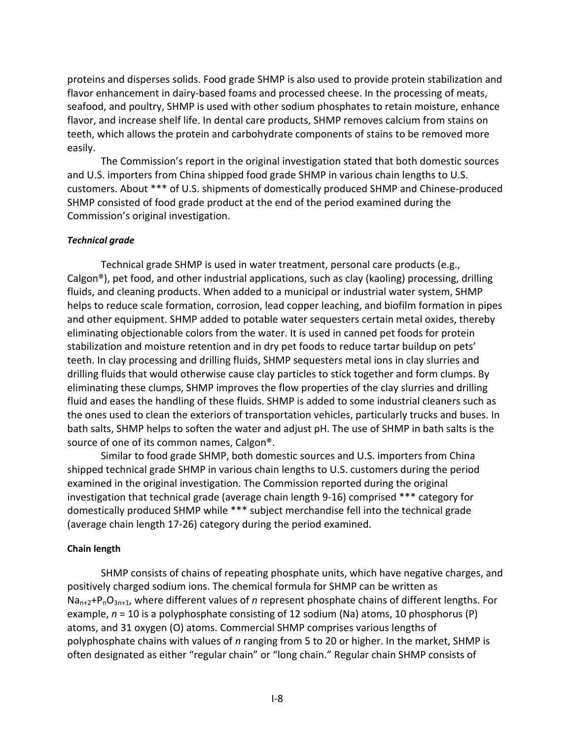proteins and disperses solids. Food grade SHMP is also used to provide protein stabilization and flavor enhancement in dairy-based foams and processed cheese. In the processing of meats, seafood, and poultry, SHMP is used with other sodium phosphates to retain moisture, enhance flavor, and increase shelf life. In dental care products, SHMP removes calcium from stains on teeth, which allows the protein and carbohydrate components of stains to be removed more easily.

The Commission's report in the original investigation stated that both domestic sources and U.S. importers from China shipped food grade SHMP in various chain lengths to U.S. customers. About \*\*\* of U.S. shipments of domestically produced SHMP and Chinese‐produced SHMP consisted of food grade product at the end of the period examined during the Commission's original investigation.

## *Technical grade*

Technical grade SHMP is used in water treatment, personal care products (e.g., Calgon<sup>®</sup>), pet food, and other industrial applications, such as clay (kaoling) processing, drilling fluids, and cleaning products. When added to a municipal or industrial water system, SHMP helps to reduce scale formation, corrosion, lead copper leaching, and biofilm formation in pipes and other equipment. SHMP added to potable water sequesters certain metal oxides, thereby eliminating objectionable colors from the water. It is used in canned pet foods for protein stabilization and moisture retention and in dry pet foods to reduce tartar buildup on pets' teeth. In clay processing and drilling fluids, SHMP sequesters metal ions in clay slurries and drilling fluids that would otherwise cause clay particles to stick together and form clumps. By eliminating these clumps, SHMP improves the flow properties of the clay slurries and drilling fluid and eases the handling of these fluids. SHMP is added to some industrial cleaners such as the ones used to clean the exteriors of transportation vehicles, particularly trucks and buses. In bath salts, SHMP helps to soften the water and adjust pH. The use of SHMP in bath salts is the source of one of its common names, Calgon®.

Similar to food grade SHMP, both domestic sources and U.S. importers from China shipped technical grade SHMP in various chain lengths to U.S. customers during the period examined in the original investigation. The Commission reported during the original investigation that technical grade (average chain length 9‐16) comprised \*\*\* category for domestically produced SHMP while \*\*\* subject merchandise fell into the technical grade (average chain length 17‐26) category during the period examined.

## **Chain length**

SHMP consists of chains of repeating phosphate units, which have negative charges, and positively charged sodium ions. The chemical formula for SHMP can be written as Na<sub>n+2</sub>+P<sub>n</sub>O<sub>3n+1</sub>, where different values of *n* represent phosphate chains of different lengths. For example, *n* = 10 is a polyphosphate consisting of 12 sodium (Na) atoms, 10 phosphorus (P) atoms, and 31 oxygen (O) atoms. Commercial SHMP comprises various lengths of polyphosphate chains with values of *n* ranging from 5 to 20 or higher. In the market, SHMP is often designated as either "regular chain" or "long chain." Regular chain SHMP consists of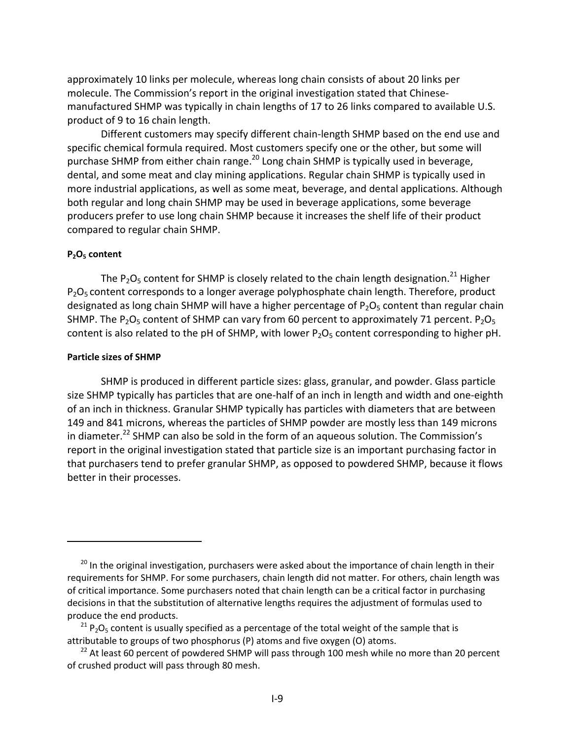approximately 10 links per molecule, whereas long chain consists of about 20 links per molecule. The Commission's report in the original investigation stated that Chinese‐ manufactured SHMP was typically in chain lengths of 17 to 26 links compared to available U.S. product of 9 to 16 chain length.

Different customers may specify different chain‐length SHMP based on the end use and specific chemical formula required. Most customers specify one or the other, but some will purchase SHMP from either chain range.<sup>20</sup> Long chain SHMP is typically used in beverage, dental, and some meat and clay mining applications. Regular chain SHMP is typically used in more industrial applications, as well as some meat, beverage, and dental applications. Although both regular and long chain SHMP may be used in beverage applications, some beverage producers prefer to use long chain SHMP because it increases the shelf life of their product compared to regular chain SHMP.

#### **P2O5 content**

The  $P_2O_5$  content for SHMP is closely related to the chain length designation.<sup>21</sup> Higher  $P_2O_5$  content corresponds to a longer average polyphosphate chain length. Therefore, product designated as long chain SHMP will have a higher percentage of  $P_2O_5$  content than regular chain SHMP. The  $P_2O_5$  content of SHMP can vary from 60 percent to approximately 71 percent.  $P_2O_5$ content is also related to the pH of SHMP, with lower  $P_2O_5$  content corresponding to higher pH.

#### **Particle sizes of SHMP**

SHMP is produced in different particle sizes: glass, granular, and powder. Glass particle size SHMP typically has particles that are one-half of an inch in length and width and one-eighth of an inch in thickness. Granular SHMP typically has particles with diameters that are between 149 and 841 microns, whereas the particles of SHMP powder are mostly less than 149 microns in diameter.<sup>22</sup> SHMP can also be sold in the form of an aqueous solution. The Commission's report in the original investigation stated that particle size is an important purchasing factor in that purchasers tend to prefer granular SHMP, as opposed to powdered SHMP, because it flows better in their processes.

 $20$  In the original investigation, purchasers were asked about the importance of chain length in their requirements for SHMP. For some purchasers, chain length did not matter. For others, chain length was of critical importance. Some purchasers noted that chain length can be a critical factor in purchasing decisions in that the substitution of alternative lengths requires the adjustment of formulas used to produce the end products.

 $21$  P<sub>2</sub>O<sub>5</sub> content is usually specified as a percentage of the total weight of the sample that is attributable to groups of two phosphorus (P) atoms and five oxygen (O) atoms.

 $22$  At least 60 percent of powdered SHMP will pass through 100 mesh while no more than 20 percent of crushed product will pass through 80 mesh.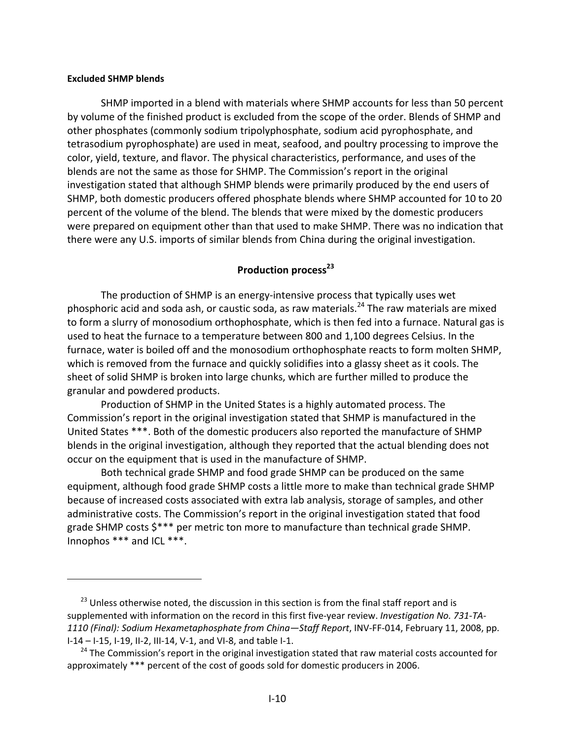#### **Excluded SHMP blends**

SHMP imported in a blend with materials where SHMP accounts for less than 50 percent by volume of the finished product is excluded from the scope of the order. Blends of SHMP and other phosphates (commonly sodium tripolyphosphate, sodium acid pyrophosphate, and tetrasodium pyrophosphate) are used in meat, seafood, and poultry processing to improve the color, yield, texture, and flavor. The physical characteristics, performance, and uses of the blends are not the same as those for SHMP. The Commission's report in the original investigation stated that although SHMP blends were primarily produced by the end users of SHMP, both domestic producers offered phosphate blends where SHMP accounted for 10 to 20 percent of the volume of the blend. The blends that were mixed by the domestic producers were prepared on equipment other than that used to make SHMP. There was no indication that there were any U.S. imports of similar blends from China during the original investigation.

# **Production process**<sup>23</sup>

The production of SHMP is an energy-intensive process that typically uses wet phosphoric acid and soda ash, or caustic soda, as raw materials.<sup>24</sup> The raw materials are mixed to form a slurry of monosodium orthophosphate, which is then fed into a furnace. Natural gas is used to heat the furnace to a temperature between 800 and 1,100 degrees Celsius. In the furnace, water is boiled off and the monosodium orthophosphate reacts to form molten SHMP, which is removed from the furnace and quickly solidifies into a glassy sheet as it cools. The sheet of solid SHMP is broken into large chunks, which are further milled to produce the granular and powdered products.

Production of SHMP in the United States is a highly automated process. The Commission's report in the original investigation stated that SHMP is manufactured in the United States \*\*\*. Both of the domestic producers also reported the manufacture of SHMP blends in the original investigation, although they reported that the actual blending does not occur on the equipment that is used in the manufacture of SHMP.

Both technical grade SHMP and food grade SHMP can be produced on the same equipment, although food grade SHMP costs a little more to make than technical grade SHMP because of increased costs associated with extra lab analysis, storage of samples, and other administrative costs. The Commission's report in the original investigation stated that food grade SHMP costs \$\*\*\* per metric ton more to manufacture than technical grade SHMP. Innophos \*\*\* and ICL \*\*\*.

 $23$  Unless otherwise noted, the discussion in this section is from the final staff report and is supplemented with information on the record in this first five‐year review. *Investigation No. 731‐TA‐ 1110 (Final): Sodium Hexametaphosphate from China—Staff Report*, INV‐FF‐014, February 11, 2008, pp. I‐14 – I‐15, I‐19, II‐2, III‐14, V‐1, and VI‐8, and table I‐1.

 $24$  The Commission's report in the original investigation stated that raw material costs accounted for approximately \*\*\* percent of the cost of goods sold for domestic producers in 2006.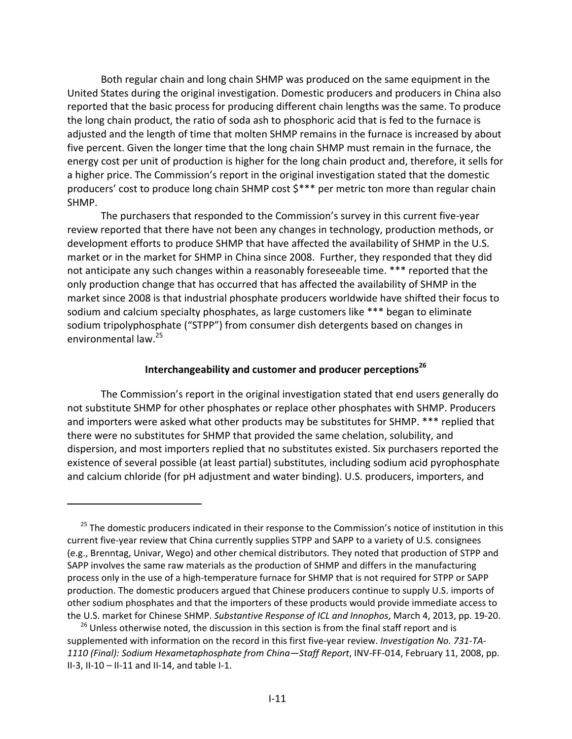Both regular chain and long chain SHMP was produced on the same equipment in the United States during the original investigation. Domestic producers and producers in China also reported that the basic process for producing different chain lengths was the same. To produce the long chain product, the ratio of soda ash to phosphoric acid that is fed to the furnace is adjusted and the length of time that molten SHMP remains in the furnace is increased by about five percent. Given the longer time that the long chain SHMP must remain in the furnace, the energy cost per unit of production is higher for the long chain product and, therefore, it sells for a higher price. The Commission's report in the original investigation stated that the domestic producers' cost to produce long chain SHMP cost  $$***$  per metric ton more than regular chain SHMP.

The purchasers that responded to the Commission's survey in this current five‐year review reported that there have not been any changes in technology, production methods, or development efforts to produce SHMP that have affected the availability of SHMP in the U.S. market or in the market for SHMP in China since 2008. Further, they responded that they did not anticipate any such changes within a reasonably foreseeable time. \*\*\* reported that the only production change that has occurred that has affected the availability of SHMP in the market since 2008 is that industrial phosphate producers worldwide have shifted their focus to sodium and calcium specialty phosphates, as large customers like \*\*\* began to eliminate sodium tripolyphosphate ("STPP") from consumer dish detergents based on changes in environmental law.25

## **Interchangeability and customer and producer perceptions<sup>26</sup>**

The Commission's report in the original investigation stated that end users generally do not substitute SHMP for other phosphates or replace other phosphates with SHMP. Producers and importers were asked what other products may be substitutes for SHMP. \*\*\* replied that there were no substitutes for SHMP that provided the same chelation, solubility, and dispersion, and most importers replied that no substitutes existed. Six purchasers reported the existence of several possible (at least partial) substitutes, including sodium acid pyrophosphate and calcium chloride (for pH adjustment and water binding). U.S. producers, importers, and

<sup>&</sup>lt;sup>25</sup> The domestic producers indicated in their response to the Commission's notice of institution in this current five-year review that China currently supplies STPP and SAPP to a variety of U.S. consignees (e.g., Brenntag, Univar, Wego) and other chemical distributors. They noted that production of STPP and SAPP involves the same raw materials as the production of SHMP and differs in the manufacturing process only in the use of a high‐temperature furnace for SHMP that is not required for STPP or SAPP production. The domestic producers argued that Chinese producers continue to supply U.S. imports of other sodium phosphates and that the importers of these products would provide immediate access to the U.S. market for Chinese SHMP. *Substantive Response of ICL and Innophos*, March 4, 2013, pp. 19‐20.

<sup>&</sup>lt;sup>26</sup> Unless otherwise noted, the discussion in this section is from the final staff report and is supplemented with information on the record in this first five‐year review. *Investigation No. 731‐TA‐ 1110 (Final): Sodium Hexametaphosphate from China—Staff Report*, INV‐FF‐014, February 11, 2008, pp. II‐3, II‐10 – II‐11 and II‐14, and table I‐1.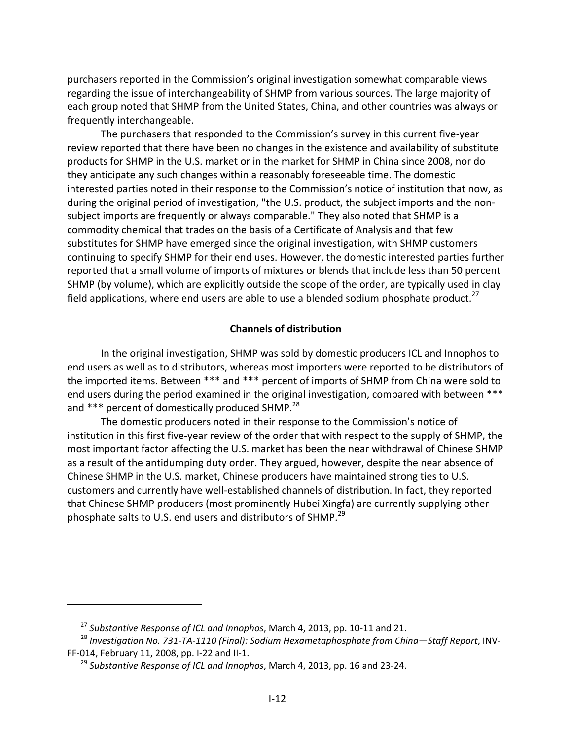purchasers reported in the Commission's original investigation somewhat comparable views regarding the issue of interchangeability of SHMP from various sources. The large majority of each group noted that SHMP from the United States, China, and other countries was always or frequently interchangeable.

The purchasers that responded to the Commission's survey in this current five‐year review reported that there have been no changes in the existence and availability of substitute products for SHMP in the U.S. market or in the market for SHMP in China since 2008, nor do they anticipate any such changes within a reasonably foreseeable time. The domestic interested parties noted in their response to the Commission's notice of institution that now, as during the original period of investigation, "the U.S. product, the subject imports and the non‐ subject imports are frequently or always comparable." They also noted that SHMP is a commodity chemical that trades on the basis of a Certificate of Analysis and that few substitutes for SHMP have emerged since the original investigation, with SHMP customers continuing to specify SHMP for their end uses. However, the domestic interested parties further reported that a small volume of imports of mixtures or blends that include less than 50 percent SHMP (by volume), which are explicitly outside the scope of the order, are typically used in clay field applications, where end users are able to use a blended sodium phosphate product.<sup>27</sup>

## **Channels of distribution**

In the original investigation, SHMP was sold by domestic producers ICL and Innophos to end users as well as to distributors, whereas most importers were reported to be distributors of the imported items. Between \*\*\* and \*\*\* percent of imports of SHMP from China were sold to end users during the period examined in the original investigation, compared with between \*\*\* and \*\*\* percent of domestically produced SHMP.<sup>28</sup>

The domestic producers noted in their response to the Commission's notice of institution in this first five‐year review of the order that with respect to the supply of SHMP, the most important factor affecting the U.S. market has been the near withdrawal of Chinese SHMP as a result of the antidumping duty order. They argued, however, despite the near absence of Chinese SHMP in the U.S. market, Chinese producers have maintained strong ties to U.S. customers and currently have well‐established channels of distribution. In fact, they reported that Chinese SHMP producers (most prominently Hubei Xingfa) are currently supplying other phosphate salts to U.S. end users and distributors of SHMP.<sup>29</sup>

<sup>27</sup> *Substantive Response of ICL and Innophos*, March 4, 2013, pp. 10‐11 and 21.

<sup>28</sup> *Investigation No. 731‐TA‐1110 (Final): Sodium Hexametaphosphate from China—Staff Report*, INV‐ FF‐014, February 11, 2008, pp. I‐22 and II‐1.

<sup>29</sup> *Substantive Response of ICL and Innophos*, March 4, 2013, pp. 16 and 23‐24.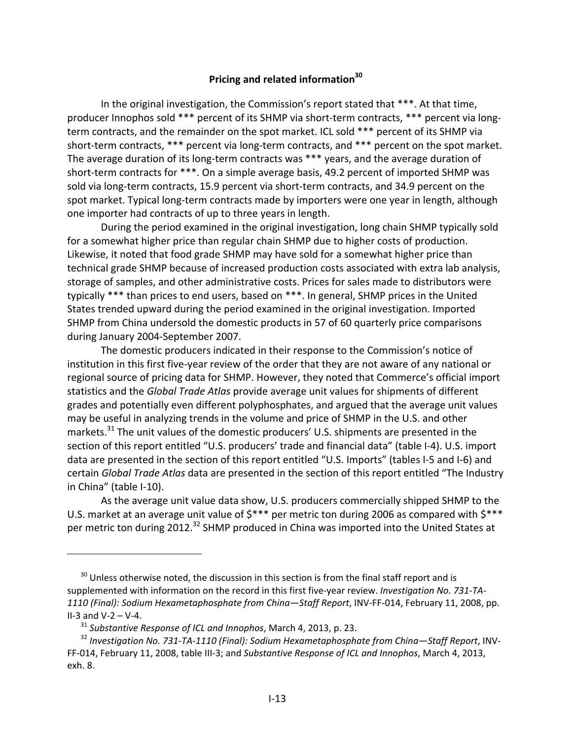# **Pricing and related information30**

In the original investigation, the Commission's report stated that \*\*\*. At that time, producer Innophos sold \*\*\* percent of its SHMP via short-term contracts, \*\*\* percent via longterm contracts, and the remainder on the spot market. ICL sold \*\*\* percent of its SHMP via short-term contracts, \*\*\* percent via long-term contracts, and \*\*\* percent on the spot market. The average duration of its long-term contracts was \*\*\* years, and the average duration of short-term contracts for \*\*\*. On a simple average basis, 49.2 percent of imported SHMP was sold via long-term contracts, 15.9 percent via short-term contracts, and 34.9 percent on the spot market. Typical long-term contracts made by importers were one year in length, although one importer had contracts of up to three years in length.

During the period examined in the original investigation, long chain SHMP typically sold for a somewhat higher price than regular chain SHMP due to higher costs of production. Likewise, it noted that food grade SHMP may have sold for a somewhat higher price than technical grade SHMP because of increased production costs associated with extra lab analysis, storage of samples, and other administrative costs. Prices for sales made to distributors were typically \*\*\* than prices to end users, based on \*\*\*. In general, SHMP prices in the United States trended upward during the period examined in the original investigation. Imported SHMP from China undersold the domestic products in 57 of 60 quarterly price comparisons during January 2004‐September 2007.

The domestic producers indicated in their response to the Commission's notice of institution in this first five‐year review of the order that they are not aware of any national or regional source of pricing data for SHMP. However, they noted that Commerce's official import statistics and the *Global Trade Atlas* provide average unit values for shipments of different grades and potentially even different polyphosphates, and argued that the average unit values may be useful in analyzing trends in the volume and price of SHMP in the U.S. and other markets.<sup>31</sup> The unit values of the domestic producers' U.S. shipments are presented in the section of this report entitled "U.S. producers' trade and financial data" (table I-4). U.S. import data are presented in the section of this report entitled "U.S. Imports" (tables I‐5 and I‐6) and certain *Global Trade Atlas* data are presented in the section of this report entitled "The Industry in China" (table I‐10).

As the average unit value data show, U.S. producers commercially shipped SHMP to the U.S. market at an average unit value of  $\frac{5***}{}$  per metric ton during 2006 as compared with  $\frac{5***}{}$ per metric ton during 2012.<sup>32</sup> SHMP produced in China was imported into the United States at

 $30$  Unless otherwise noted, the discussion in this section is from the final staff report and is supplemented with information on the record in this first five‐year review. *Investigation No. 731‐TA‐ 1110 (Final): Sodium Hexametaphosphate from China—Staff Report*, INV‐FF‐014, February 11, 2008, pp. II-3 and  $V - 2 - V - 4$ .

<sup>31</sup> *Substantive Response of ICL and Innophos*, March 4, 2013, p. 23.

<sup>32</sup> *Investigation No. 731‐TA‐1110 (Final): Sodium Hexametaphosphate from China—Staff Report*, INV‐ FF‐014, February 11, 2008, table III‐3; and *Substantive Response of ICL and Innophos*, March 4, 2013, exh. 8.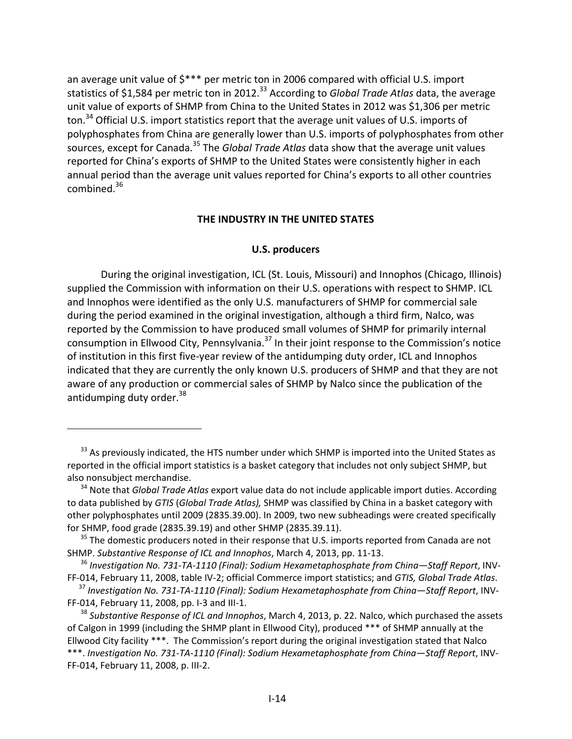an average unit value of \$\*\*\* per metric ton in 2006 compared with official U.S. import statistics of \$1,584 per metric ton in 2012.<sup>33</sup> According to *Global Trade Atlas* data, the average unit value of exports of SHMP from China to the United States in 2012 was \$1,306 per metric ton.<sup>34</sup> Official U.S. import statistics report that the average unit values of U.S. imports of polyphosphates from China are generally lower than U.S. imports of polyphosphates from other sources, except for Canada.35 The *Global Trade Atlas* data show that the average unit values reported for China's exports of SHMP to the United States were consistently higher in each annual period than the average unit values reported for China's exports to all other countries combined. $36$ 

#### **THE INDUSTRY IN THE UNITED STATES**

#### **U.S. producers**

During the original investigation, ICL (St. Louis, Missouri) and Innophos (Chicago, Illinois) supplied the Commission with information on their U.S. operations with respect to SHMP. ICL and Innophos were identified as the only U.S. manufacturers of SHMP for commercial sale during the period examined in the original investigation, although a third firm, Nalco, was reported by the Commission to have produced small volumes of SHMP for primarily internal consumption in Ellwood City, Pennsylvania.<sup>37</sup> In their joint response to the Commission's notice of institution in this first five‐year review of the antidumping duty order, ICL and Innophos indicated that they are currently the only known U.S. producers of SHMP and that they are not aware of any production or commercial sales of SHMP by Nalco since the publication of the antidumping duty order.<sup>38</sup>

<sup>&</sup>lt;sup>33</sup> As previously indicated, the HTS number under which SHMP is imported into the United States as reported in the official import statistics is a basket category that includes not only subject SHMP, but also nonsubject merchandise.

<sup>34</sup> Note that *Global Trade Atlas* export value data do not include applicable import duties. According to data published by *GTIS* (*Global Trade Atlas),* SHMP was classified by China in a basket category with other polyphosphates until 2009 (2835.39.00). In 2009, two new subheadings were created specifically for SHMP, food grade (2835.39.19) and other SHMP (2835.39.11).

 $35$  The domestic producers noted in their response that U.S. imports reported from Canada are not SHMP. *Substantive Response of ICL and Innophos*, March 4, 2013, pp. 11‐13.

<sup>36</sup> *Investigation No. 731‐TA‐1110 (Final): Sodium Hexametaphosphate from China—Staff Report*, INV‐ FF‐014, February 11, 2008, table IV‐2; official Commerce import statistics; and *GTIS, Global Trade Atlas*.

<sup>37</sup> *Investigation No. 731‐TA‐1110 (Final): Sodium Hexametaphosphate from China—Staff Report*, INV‐ FF‐014, February 11, 2008, pp. I‐3 and III‐1.

<sup>38</sup> *Substantive Response of ICL and Innophos*, March 4, 2013, p. 22. Nalco, which purchased the assets of Calgon in 1999 (including the SHMP plant in Ellwood City), produced \*\*\* of SHMP annually at the Ellwood City facility \*\*\*. The Commission's report during the original investigation stated that Nalco \*\*\*. *Investigation No. 731‐TA‐1110 (Final): Sodium Hexametaphosphate from China—Staff Report*, INV‐ FF‐014, February 11, 2008, p. III‐2.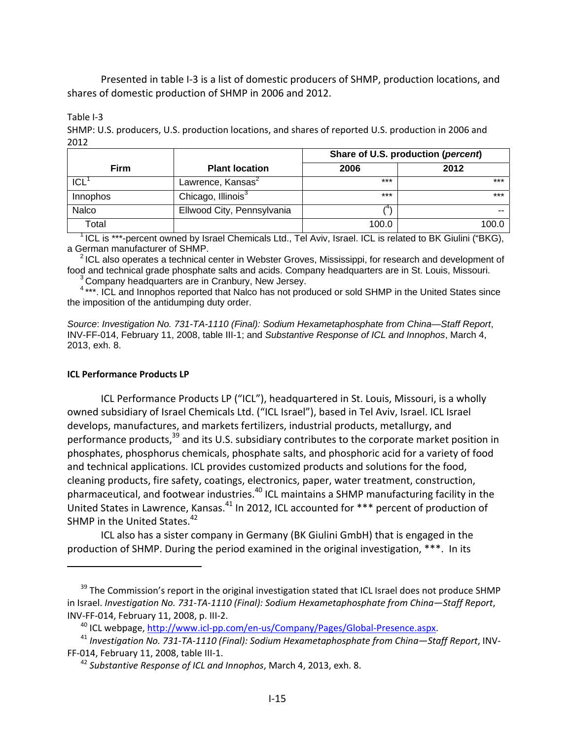Presented in table I‐3 is a list of domestic producers of SHMP, production locations, and shares of domestic production of SHMP in 2006 and 2012.

Table I‐3

SHMP: U.S. producers, U.S. production locations, and shares of reported U.S. production in 2006 and 2012

|             |                                | Share of U.S. production (percent) |       |  |
|-------------|--------------------------------|------------------------------------|-------|--|
| <b>Firm</b> | <b>Plant location</b>          | 2006                               | 2012  |  |
| ICL         | Lawrence, Kansas <sup>2</sup>  | ***                                | $***$ |  |
| Innophos    | Chicago, Illinois <sup>3</sup> | ***                                | $***$ |  |
| Nalco       | Ellwood City, Pennsylvania     | 14                                 |       |  |
| Total       |                                | 100.0                              | 100.0 |  |

<sup>1</sup> ICL is \*\*\*-percent owned by Israel Chemicals Ltd., Tel Aviv, Israel. ICL is related to BK Giulini ("BKG), a German manufacturer of SHMP.

 $<sup>2</sup>$  ICL also operates a technical center in Webster Groves, Mississippi, for research and development of</sup> food and technical grade phosphate salts and acids. Company headquarters are in St. Louis, Missouri.

<sup>3</sup> Company headquarters are in Cranbury, New Jersey.

<sup>4</sup>\*\*\*. ICL and Innophos reported that Nalco has not produced or sold SHMP in the United States since the imposition of the antidumping duty order.

*Source*: *Investigation No. 731-TA-1110 (Final): Sodium Hexametaphosphate from China—Staff Report*, INV-FF-014, February 11, 2008, table III-1; and *Substantive Response of ICL and Innophos*, March 4, 2013, exh. 8.

#### **ICL Performance Products LP**

ICL Performance Products LP ("ICL"), headquartered in St. Louis, Missouri, is a wholly owned subsidiary of Israel Chemicals Ltd. ("ICL Israel"), based in Tel Aviv, Israel. ICL Israel develops, manufactures, and markets fertilizers, industrial products, metallurgy, and performance products,<sup>39</sup> and its U.S. subsidiary contributes to the corporate market position in phosphates, phosphorus chemicals, phosphate salts, and phosphoric acid for a variety of food and technical applications. ICL provides customized products and solutions for the food, cleaning products, fire safety, coatings, electronics, paper, water treatment, construction, pharmaceutical, and footwear industries.<sup>40</sup> ICL maintains a SHMP manufacturing facility in the United States in Lawrence, Kansas.<sup>41</sup> In 2012, ICL accounted for \*\*\* percent of production of SHMP in the United States. $42$ 

ICL also has a sister company in Germany (BK Giulini GmbH) that is engaged in the production of SHMP. During the period examined in the original investigation, \*\*\*. In its

<sup>40</sup> ICL webpage, http://www.icl‐pp.com/en‐us/Company/Pages/Global‐Presence.aspx.

<sup>&</sup>lt;sup>39</sup> The Commission's report in the original investigation stated that ICL Israel does not produce SHMP in Israel. *Investigation No. 731‐TA‐1110 (Final): Sodium Hexametaphosphate from China—Staff Report*, INV‐FF‐014, February 11, 2008, p. III‐2.

<sup>41</sup> *Investigation No. 731‐TA‐1110 (Final): Sodium Hexametaphosphate from China—Staff Report*, INV‐ FF‐014, February 11, 2008, table III‐1.

<sup>42</sup> *Substantive Response of ICL and Innophos*, March 4, 2013, exh. 8.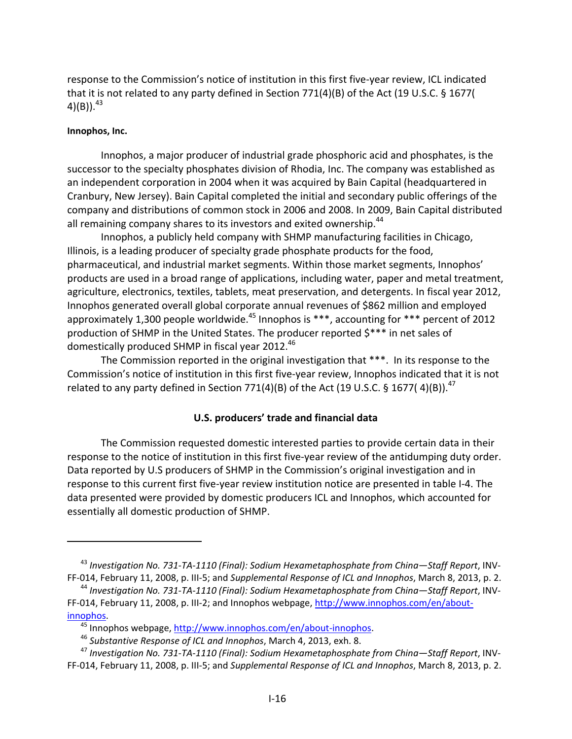response to the Commission's notice of institution in this first five‐year review, ICL indicated that it is not related to any party defined in Section 771(4)(B) of the Act (19 U.S.C. § 1677( 4)(B)). $^{43}$ 

#### **Innophos, Inc.**

Innophos, a major producer of industrial grade phosphoric acid and phosphates, is the successor to the specialty phosphates division of Rhodia, Inc. The company was established as an independent corporation in 2004 when it was acquired by Bain Capital (headquartered in Cranbury, New Jersey). Bain Capital completed the initial and secondary public offerings of the company and distributions of common stock in 2006 and 2008. In 2009, Bain Capital distributed all remaining company shares to its investors and exited ownership.<sup>44</sup>

Innophos, a publicly held company with SHMP manufacturing facilities in Chicago, Illinois, is a leading producer of specialty grade phosphate products for the food, pharmaceutical, and industrial market segments. Within those market segments, Innophos' products are used in a broad range of applications, including water, paper and metal treatment, agriculture, electronics, textiles, tablets, meat preservation, and detergents. In fiscal year 2012, Innophos generated overall global corporate annual revenues of \$862 million and employed approximately 1,300 people worldwide.<sup>45</sup> Innophos is  $***$ , accounting for  $***$  percent of 2012 production of SHMP in the United States. The producer reported \$\*\*\* in net sales of domestically produced SHMP in fiscal year 2012.<sup>46</sup>

The Commission reported in the original investigation that \*\*\*. In its response to the Commission's notice of institution in this first five‐year review, Innophos indicated that it is not related to any party defined in Section 771(4)(B) of the Act (19 U.S.C. § 1677(4)(B)).<sup>47</sup>

# **U.S. producers' trade and financial data**

The Commission requested domestic interested parties to provide certain data in their response to the notice of institution in this first five-year review of the antidumping duty order. Data reported by U.S producers of SHMP in the Commission's original investigation and in response to this current first five‐year review institution notice are presented in table I‐4. The data presented were provided by domestic producers ICL and Innophos, which accounted for essentially all domestic production of SHMP.

<sup>43</sup> *Investigation No. 731‐TA‐1110 (Final): Sodium Hexametaphosphate from China—Staff Report*, INV‐ FF‐014, February 11, 2008, p. III‐5; and *Supplemental Response of ICL and Innophos*, March 8, 2013, p. 2.

<sup>44</sup> *Investigation No. 731‐TA‐1110 (Final): Sodium Hexametaphosphate from China—Staff Report*, INV‐ FF-014, February 11, 2008, p. III-2; and Innophos webpage, http://www.innophos.com/en/aboutinnophos.

<sup>&</sup>lt;sup>45</sup> Innophos webpage, http://www.innophos.com/en/about-innophos.

<sup>46</sup> *Substantive Response of ICL and Innophos*, March 4, 2013, exh. 8.

<sup>47</sup> *Investigation No. 731‐TA‐1110 (Final): Sodium Hexametaphosphate from China—Staff Report*, INV‐ FF‐014, February 11, 2008, p. III‐5; and *Supplemental Response of ICL and Innophos*, March 8, 2013, p. 2.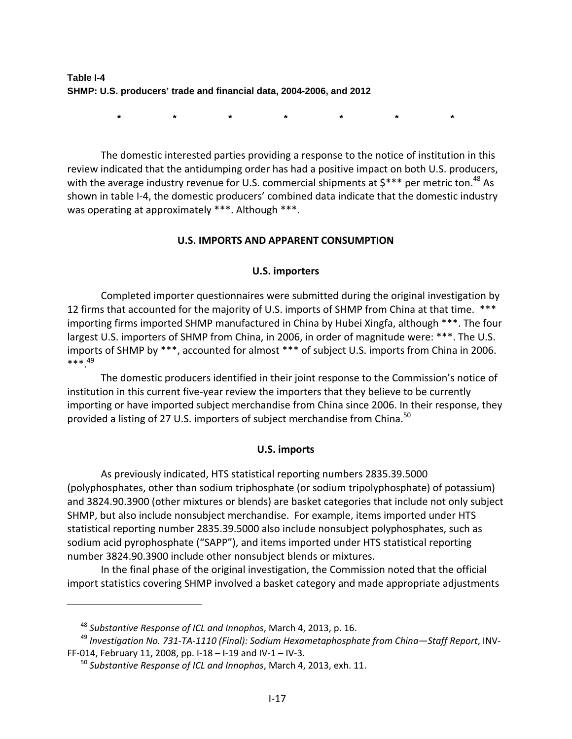**Table I-4 SHMP: U.S. producers' trade and financial data, 2004-2006, and 2012** 

**\* \* \* \* \* \* \***

The domestic interested parties providing a response to the notice of institution in this review indicated that the antidumping order has had a positive impact on both U.S. producers, with the average industry revenue for U.S. commercial shipments at  $\zeta^{***}$  per metric ton.<sup>48</sup> As shown in table I‐4, the domestic producers' combined data indicate that the domestic industry was operating at approximately \*\*\*. Although \*\*\*.

## **U.S. IMPORTS AND APPARENT CONSUMPTION**

#### **U.S. importers**

Completed importer questionnaires were submitted during the original investigation by 12 firms that accounted for the majority of U.S. imports of SHMP from China at that time. \*\*\* importing firms imported SHMP manufactured in China by Hubei Xingfa, although \*\*\*. The four largest U.S. importers of SHMP from China, in 2006, in order of magnitude were: \*\*\*. The U.S. imports of SHMP by \*\*\*, accounted for almost \*\*\* of subject U.S. imports from China in 2006. \*\*\*.49

The domestic producers identified in their joint response to the Commission's notice of institution in this current five‐year review the importers that they believe to be currently importing or have imported subject merchandise from China since 2006. In their response, they provided a listing of 27 U.S. importers of subject merchandise from China.<sup>50</sup>

## **U.S. imports**

As previously indicated, HTS statistical reporting numbers 2835.39.5000 (polyphosphates, other than sodium triphosphate (or sodium tripolyphosphate) of potassium) and 3824.90.3900 (other mixtures or blends) are basket categories that include not only subject SHMP, but also include nonsubject merchandise. For example, items imported under HTS statistical reporting number 2835.39.5000 also include nonsubject polyphosphates, such as sodium acid pyrophosphate ("SAPP"), and items imported under HTS statistical reporting number 3824.90.3900 include other nonsubject blends or mixtures.

In the final phase of the original investigation, the Commission noted that the official import statistics covering SHMP involved a basket category and made appropriate adjustments

<sup>48</sup> *Substantive Response of ICL and Innophos*, March 4, 2013, p. 16.

<sup>49</sup> *Investigation No. 731‐TA‐1110 (Final): Sodium Hexametaphosphate from China—Staff Report*, INV‐ FF‐014, February 11, 2008, pp. I‐18 – I‐19 and IV‐1 – IV‐3.

<sup>50</sup> *Substantive Response of ICL and Innophos*, March 4, 2013, exh. 11.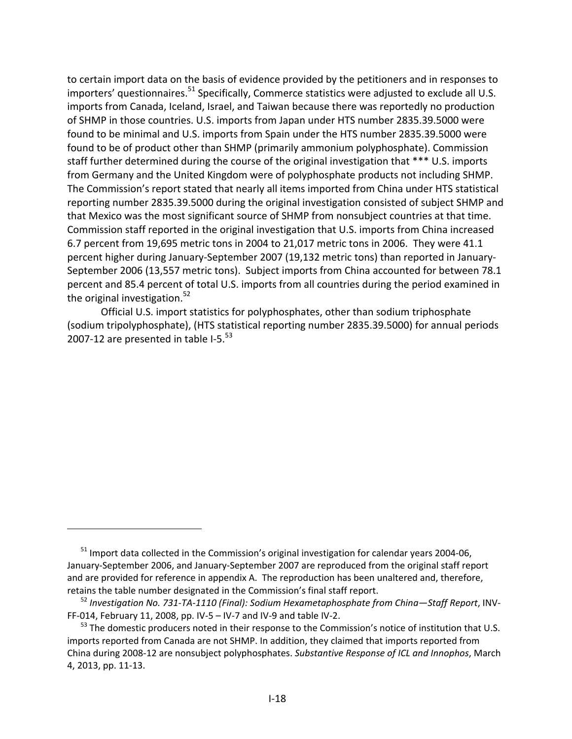to certain import data on the basis of evidence provided by the petitioners and in responses to importers' questionnaires.<sup>51</sup> Specifically, Commerce statistics were adjusted to exclude all U.S. imports from Canada, Iceland, Israel, and Taiwan because there was reportedly no production of SHMP in those countries. U.S. imports from Japan under HTS number 2835.39.5000 were found to be minimal and U.S. imports from Spain under the HTS number 2835.39.5000 were found to be of product other than SHMP (primarily ammonium polyphosphate). Commission staff further determined during the course of the original investigation that \*\*\* U.S. imports from Germany and the United Kingdom were of polyphosphate products not including SHMP. The Commission's report stated that nearly all items imported from China under HTS statistical reporting number 2835.39.5000 during the original investigation consisted of subject SHMP and that Mexico was the most significant source of SHMP from nonsubject countries at that time. Commission staff reported in the original investigation that U.S. imports from China increased 6.7 percent from 19,695 metric tons in 2004 to 21,017 metric tons in 2006. They were 41.1 percent higher during January‐September 2007 (19,132 metric tons) than reported in January‐ September 2006 (13,557 metric tons). Subject imports from China accounted for between 78.1 percent and 85.4 percent of total U.S. imports from all countries during the period examined in the original investigation. $52$ 

Official U.S. import statistics for polyphosphates, other than sodium triphosphate (sodium tripolyphosphate), (HTS statistical reporting number 2835.39.5000) for annual periods 2007-12 are presented in table I-5. $53$ 

<sup>&</sup>lt;sup>51</sup> Import data collected in the Commission's original investigation for calendar years 2004-06, January‐September 2006, and January‐September 2007 are reproduced from the original staff report and are provided for reference in appendix A. The reproduction has been unaltered and, therefore, retains the table number designated in the Commission's final staff report.

<sup>52</sup> *Investigation No. 731‐TA‐1110 (Final): Sodium Hexametaphosphate from China—Staff Report*, INV‐ FF‐014, February 11, 2008, pp. IV‐5 – IV‐7 and IV‐9 and table IV‐2.

<sup>&</sup>lt;sup>53</sup> The domestic producers noted in their response to the Commission's notice of institution that U.S. imports reported from Canada are not SHMP. In addition, they claimed that imports reported from China during 2008‐12 are nonsubject polyphosphates. *Substantive Response of ICL and Innophos*, March 4, 2013, pp. 11‐13.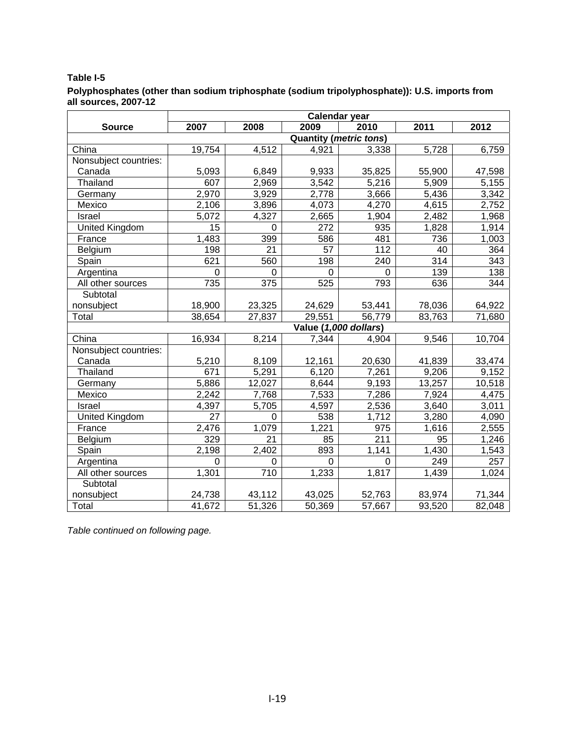#### **Table I-5**

#### **Polyphosphates (other than sodium triphosphate (sodium tripolyphosphate)): U.S. imports from all sources, 2007-12**

|                       | <b>Calendar year</b>          |                |                       |             |                  |                 |  |
|-----------------------|-------------------------------|----------------|-----------------------|-------------|------------------|-----------------|--|
| <b>Source</b>         | 2007                          | 2008           | 2009                  | 2010        | 2011             | 2012            |  |
|                       | <b>Quantity (metric tons)</b> |                |                       |             |                  |                 |  |
| China                 | 19,754                        | 4,512          | 4,921                 | 3,338       | 5,728            | 6,759           |  |
| Nonsubject countries: |                               |                |                       |             |                  |                 |  |
| Canada                | 5,093                         | 6,849          | 9,933                 | 35,825      | 55,900           | 47,598          |  |
| Thailand              | 607                           | 2,969          | 3,542                 | 5,216       | 5,909            | 5,155           |  |
| Germany               | 2,970                         | 3,929          | 2,778                 | 3,666       | 5,436            | 3,342           |  |
| Mexico                | 2,106                         | 3,896          | 4,073                 | 4,270       | 4,615            | 2,752           |  |
| Israel                | 5,072                         | 4,327          | 2,665                 | 1,904       | 2,482            | 1,968           |  |
| <b>United Kingdom</b> | $\overline{15}$               | $\overline{0}$ | 272                   | 935         | 1,828            | 1,914           |  |
| France                | 1,483                         | 399            | 586                   | 481         | 736              | 1,003           |  |
| Belgium               | 198                           | 21             | 57                    | 112         | 40               | 364             |  |
| Spain                 | 621                           | 560            | 198                   | 240         | $\overline{314}$ | $\frac{1}{343}$ |  |
| Argentina             | 0                             | 0              | 0                     | $\mathbf 0$ | 139              | 138             |  |
| All other sources     | 735                           | 375            | 525                   | 793         | 636              | 344             |  |
| Subtotal              |                               |                |                       |             |                  |                 |  |
| nonsubject            | 18,900                        | 23,325         | 24,629                | 53,441      | 78,036           | 64,922          |  |
| Total                 | 38,654                        | 27,837         | 29,551                | 56,779      | 83,763           | 71,680          |  |
|                       |                               |                | Value (1,000 dollars) |             |                  |                 |  |
| China                 | 16,934                        | 8,214          | 7,344                 | 4,904       | 9,546            | 10,704          |  |
| Nonsubject countries: |                               |                |                       |             |                  |                 |  |
| Canada                | 5,210                         | 8,109          | 12,161                | 20,630      | 41,839           | 33,474          |  |
| Thailand              | 671                           | 5,291          | 6,120                 | 7,261       | 9,206            | 9,152           |  |
| Germany               | 5,886                         | 12,027         | 8,644                 | 9,193       | 13,257           | 10,518          |  |
| Mexico                | 2,242                         | 7,768          | 7,533                 | 7,286       | 7,924            | 4,475           |  |
| Israel                | 4,397                         | 5,705          | 4,597                 | 2,536       | 3,640            | 3,011           |  |
| United Kingdom        | 27                            | 0              | 538                   | 1,712       | 3,280            | 4,090           |  |
| France                | 2,476                         | 1,079          | 1,221                 | 975         | 1,616            | 2,555           |  |
| Belgium               | 329                           | 21             | 85                    | 211         | 95               | 1,246           |  |
| Spain                 | 2,198                         | 2,402          | 893                   | 1,141       | 1,430            | 1,543           |  |
| Argentina             | $\Omega$                      | $\Omega$       | $\Omega$              | 0           | 249              | 257             |  |
| All other sources     | 1,301                         | 710            | 1,233                 | 1,817       | 1,439            | 1,024           |  |
| Subtotal              |                               |                |                       |             |                  |                 |  |
| nonsubject            | 24,738                        | 43,112         | 43,025                | 52,763      | 83,974           | 71,344          |  |
| Total                 | 41,672                        | 51,326         | 50,369                | 57,667      | 93,520           | 82,048          |  |

*Table continued on following page.*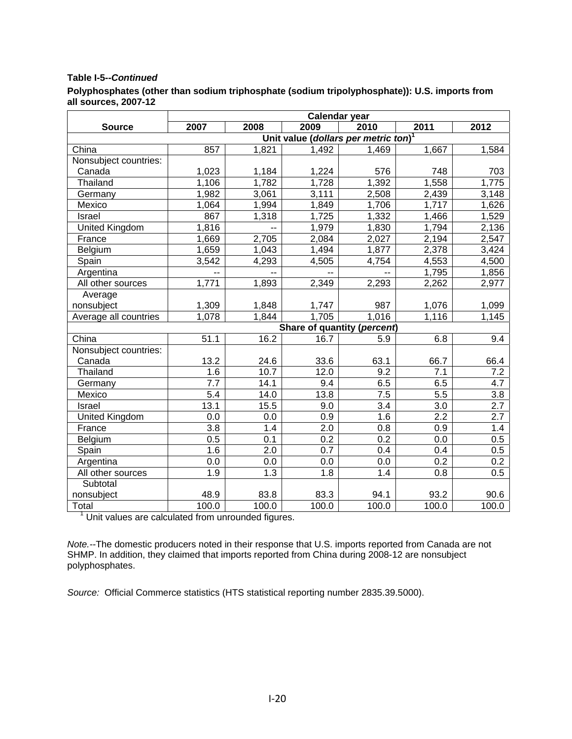#### **Table I-5--***Continued*

|                      | Polyphosphates (other than sodium triphosphate (sodium tripolyphosphate)): U.S. imports from |  |
|----------------------|----------------------------------------------------------------------------------------------|--|
| all sources, 2007-12 |                                                                                              |  |

|                       | <b>Calendar year</b> |       |                  |                                                  |                  |         |  |
|-----------------------|----------------------|-------|------------------|--------------------------------------------------|------------------|---------|--|
| <b>Source</b>         | 2007                 | 2008  | 2009             | 2010                                             | 2011             | 2012    |  |
|                       |                      |       |                  | Unit value (dollars per metric ton) <sup>1</sup> |                  |         |  |
| China                 | 857                  | 1,821 | 1,492            | 1,469                                            | 1,667            | 1,584   |  |
| Nonsubject countries: |                      |       |                  |                                                  |                  |         |  |
| Canada                | 1,023                | 1,184 | 1,224            | 576                                              | 748              | 703     |  |
| Thailand              | 1,106                | 1,782 | 1,728            | 1,392                                            | 1,558            | 1,775   |  |
| Germany               | 1,982                | 3,061 | 3,111            | 2,508                                            | 2,439            | 3,148   |  |
| Mexico                | 1,064                | 1,994 | 1,849            | 1,706                                            | 1,717            | 1,626   |  |
| Israel                | 867                  | 1,318 | 1,725            | 1,332                                            | 1,466            | 1,529   |  |
| <b>United Kingdom</b> | 1,816                | $-1$  | 1,979            | 1,830                                            | 1,794            | 2,136   |  |
| France                | 1,669                | 2,705 | 2,084            | 2,027                                            | 2,194            | 2,547   |  |
| Belgium               | 1,659                | 1,043 | 1,494            | 1,877                                            | 2,378            | 3,424   |  |
| Spain                 | 3,542                | 4,293 | 4,505            | 4,754                                            | 4,553            | 4,500   |  |
| Argentina             |                      |       |                  |                                                  | 1,795            | 1,856   |  |
| All other sources     | 1,771                | 1,893 | 2,349            | 2,293                                            | 2,262            | 2,977   |  |
| Average               |                      |       |                  |                                                  |                  |         |  |
| nonsubject            | 1,309                | 1,848 | 1,747            | 987                                              | 1,076            | 1,099   |  |
| Average all countries | 1,078                | 1,844 | 1,705            | 1,016                                            | 1,116            | 1,145   |  |
|                       |                      |       |                  | Share of quantity (percent)                      |                  |         |  |
| China                 | 51.1                 | 16.2  | 16.7             | 5.9                                              | 6.8              | 9.4     |  |
| Nonsubject countries: |                      |       |                  |                                                  |                  |         |  |
| Canada                | 13.2                 | 24.6  | 33.6             | 63.1                                             | 66.7             | 66.4    |  |
| Thailand              | 1.6                  | 10.7  | 12.0             | 9.2                                              | 7.1              | 7.2     |  |
| Germany               | 7.7                  | 14.1  | 9.4              | 6.5                                              | 6.5              | 4.7     |  |
| Mexico                | 5.4                  | 14.0  | 13.8             | 7.5                                              | $\overline{5.5}$ | 3.8     |  |
| Israel                | 13.1                 | 15.5  | 9.0              | 3.4                                              | 3.0              | 2.7     |  |
| <b>United Kingdom</b> | 0.0                  | 0.0   | 0.9              | 1.6                                              | $\overline{2.2}$ | 2.7     |  |
| France                | $\overline{3.8}$     | 1.4   | $\overline{2.0}$ | 0.8                                              | 0.9              | 1.4     |  |
| Belgium               | 0.5                  | 0.1   | $\overline{0.2}$ | $\overline{0.2}$                                 | 0.0              | 0.5     |  |
| Spain                 | 1.6                  | 2.0   | 0.7              | 0.4                                              | 0.4              | $0.5\,$ |  |
| Argentina             | 0.0                  | 0.0   | $0.0\,$          | 0.0                                              | 0.2              | 0.2     |  |
| All other sources     | $\overline{1.9}$     | 1.3   | 1.8              | 1.4                                              | 0.8              | 0.5     |  |
| Subtotal              |                      |       |                  |                                                  |                  |         |  |
| nonsubject            | 48.9                 | 83.8  | 83.3             | 94.1                                             | 93.2             | 90.6    |  |
| Total                 | 100.0                | 100.0 | 100.0            | 100.0                                            | 100.0            | 100.0   |  |

<sup>1</sup> Unit values are calculated from unrounded figures.

*Note.--*The domestic producers noted in their response that U.S. imports reported from Canada are not SHMP. In addition, they claimed that imports reported from China during 2008-12 are nonsubject polyphosphates.

*Source:* Official Commerce statistics (HTS statistical reporting number 2835.39.5000).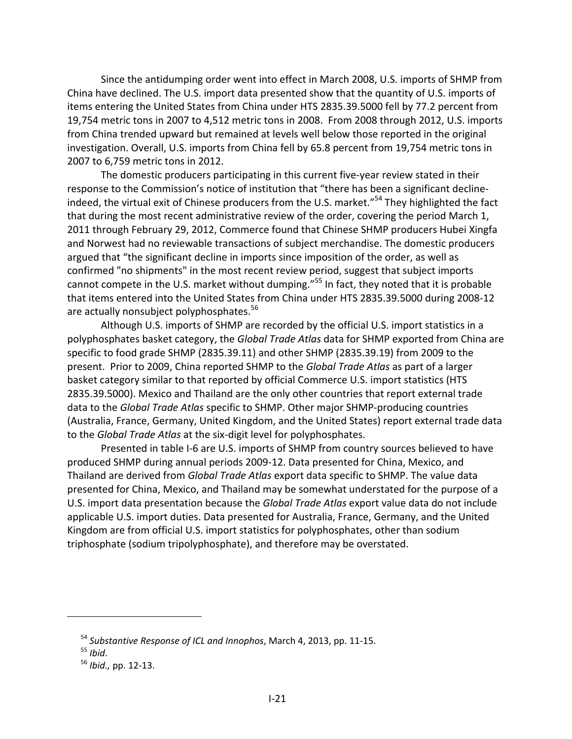Since the antidumping order went into effect in March 2008, U.S. imports of SHMP from China have declined. The U.S. import data presented show that the quantity of U.S. imports of items entering the United States from China under HTS 2835.39.5000 fell by 77.2 percent from 19,754 metric tons in 2007 to 4,512 metric tons in 2008. From 2008 through 2012, U.S. imports from China trended upward but remained at levels well below those reported in the original investigation. Overall, U.S. imports from China fell by 65.8 percent from 19,754 metric tons in 2007 to 6,759 metric tons in 2012.

The domestic producers participating in this current five-year review stated in their response to the Commission's notice of institution that "there has been a significant decline‐ indeed, the virtual exit of Chinese producers from the U.S. market."<sup>54</sup> They highlighted the fact that during the most recent administrative review of the order, covering the period March 1, 2011 through February 29, 2012, Commerce found that Chinese SHMP producers Hubei Xingfa and Norwest had no reviewable transactions of subject merchandise. The domestic producers argued that "the significant decline in imports since imposition of the order, as well as confirmed "no shipments" in the most recent review period, suggest that subject imports cannot compete in the U.S. market without dumping."<sup>55</sup> In fact, they noted that it is probable that items entered into the United States from China under HTS 2835.39.5000 during 2008‐12 are actually nonsubject polyphosphates.<sup>56</sup>

Although U.S. imports of SHMP are recorded by the official U.S. import statistics in a polyphosphates basket category, the *Global Trade Atlas* data for SHMP exported from China are specific to food grade SHMP (2835.39.11) and other SHMP (2835.39.19) from 2009 to the present. Prior to 2009, China reported SHMP to the *Global Trade Atlas* as part of a larger basket category similar to that reported by official Commerce U.S. import statistics (HTS 2835.39.5000). Mexico and Thailand are the only other countries that report external trade data to the *Global Trade Atlas* specific to SHMP. Other major SHMP‐producing countries (Australia, France, Germany, United Kingdom, and the United States) report external trade data to the *Global Trade Atlas* at the six‐digit level for polyphosphates.

Presented in table I‐6 are U.S. imports of SHMP from country sources believed to have produced SHMP during annual periods 2009‐12. Data presented for China, Mexico, and Thailand are derived from *Global Trade Atlas* export data specific to SHMP. The value data presented for China, Mexico, and Thailand may be somewhat understated for the purpose of a U.S. import data presentation because the *Global Trade Atlas* export value data do not include applicable U.S. import duties. Data presented for Australia, France, Germany, and the United Kingdom are from official U.S. import statistics for polyphosphates, other than sodium triphosphate (sodium tripolyphosphate), and therefore may be overstated.

<sup>54</sup> *Substantive Response of ICL and Innophos*, March 4, 2013, pp. 11‐15.

<sup>55</sup> *Ibid*.

<sup>56</sup> *Ibid.,* pp. 12‐13.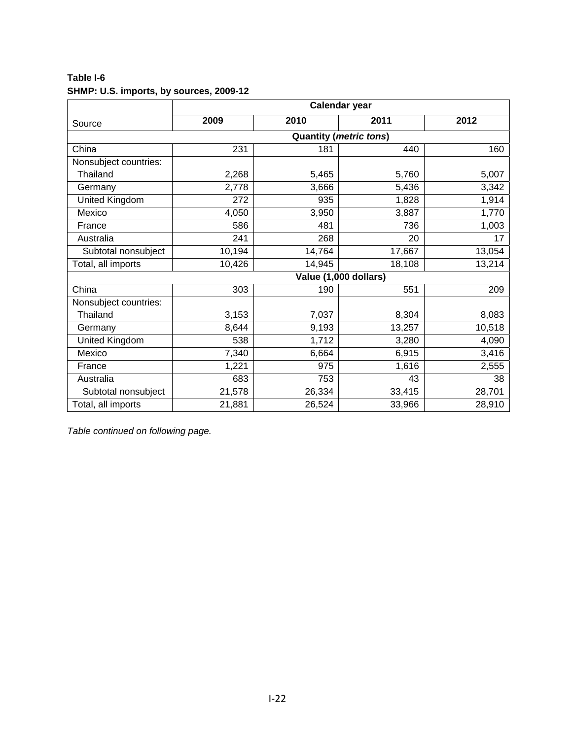**Table I-6 SHMP: U.S. imports, by sources, 2009-12** 

|                       | Calendar year |        |                               |        |  |
|-----------------------|---------------|--------|-------------------------------|--------|--|
| Source                | 2009          | 2010   | 2011                          | 2012   |  |
|                       |               |        | <b>Quantity (metric tons)</b> |        |  |
| China                 | 231           | 181    | 440                           | 160    |  |
| Nonsubject countries: |               |        |                               |        |  |
| Thailand              | 2,268         | 5,465  | 5,760                         | 5,007  |  |
| Germany               | 2,778         | 3,666  | 5,436                         | 3,342  |  |
| United Kingdom        | 272           | 935    | 1,828                         | 1,914  |  |
| Mexico                | 4,050         | 3,950  | 3,887                         | 1,770  |  |
| France                | 586           | 481    | 736                           | 1,003  |  |
| Australia             | 241           | 268    | 20                            | 17     |  |
| Subtotal nonsubject   | 10,194        | 14,764 | 17,667                        | 13,054 |  |
| Total, all imports    | 10,426        | 14,945 | 18,108                        | 13,214 |  |
|                       |               |        | Value (1,000 dollars)         |        |  |
| China                 | 303           | 190    | 551                           | 209    |  |
| Nonsubject countries: |               |        |                               |        |  |
| Thailand              | 3,153         | 7,037  | 8,304                         | 8,083  |  |
| Germany               | 8,644         | 9,193  | 13,257                        | 10,518 |  |
| <b>United Kingdom</b> | 538           | 1,712  | 3,280                         | 4,090  |  |
| Mexico                | 7,340         | 6,664  | 6,915                         | 3,416  |  |
| France                | 1,221         | 975    | 1,616                         | 2,555  |  |
| Australia             | 683           | 753    | 43                            | 38     |  |
| Subtotal nonsubject   | 21,578        | 26,334 | 33,415                        | 28,701 |  |
| Total, all imports    | 21,881        | 26,524 | 33,966                        | 28,910 |  |

*Table continued on following page.*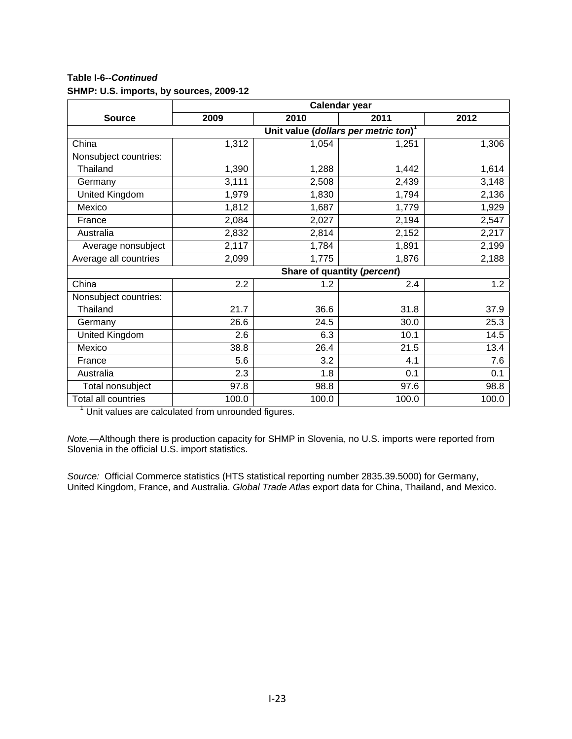**Table I-6--***Continued*  **SHMP: U.S. imports, by sources, 2009-12** 

|                       | Calendar year                                    |       |                             |       |  |  |  |  |  |
|-----------------------|--------------------------------------------------|-------|-----------------------------|-------|--|--|--|--|--|
| <b>Source</b>         | 2009                                             | 2010  | 2011                        | 2012  |  |  |  |  |  |
|                       | Unit value (dollars per metric ton) <sup>1</sup> |       |                             |       |  |  |  |  |  |
| China                 | 1,312                                            | 1,054 | 1,251                       | 1,306 |  |  |  |  |  |
| Nonsubject countries: |                                                  |       |                             |       |  |  |  |  |  |
| Thailand              | 1,390                                            | 1,288 | 1,442                       | 1,614 |  |  |  |  |  |
| Germany               | 3,111                                            | 2,508 | 2,439                       | 3,148 |  |  |  |  |  |
| United Kingdom        | 1,979                                            | 1,830 | 1,794                       | 2,136 |  |  |  |  |  |
| Mexico                | 1,812                                            | 1,687 | 1,779                       | 1,929 |  |  |  |  |  |
| France                | 2,084                                            | 2,027 | 2,194                       | 2,547 |  |  |  |  |  |
| Australia             | 2,832                                            | 2,814 | 2,152                       | 2,217 |  |  |  |  |  |
| Average nonsubject    | 2,117                                            | 1,784 | 1,891                       | 2,199 |  |  |  |  |  |
| Average all countries | 2,099                                            | 1,775 | 1,876                       | 2,188 |  |  |  |  |  |
|                       |                                                  |       | Share of quantity (percent) |       |  |  |  |  |  |
| China                 | 2.2                                              | 1.2   | 2.4                         | 1.2   |  |  |  |  |  |
| Nonsubject countries: |                                                  |       |                             |       |  |  |  |  |  |
| Thailand              | 21.7                                             | 36.6  | 31.8                        | 37.9  |  |  |  |  |  |
| Germany               | 26.6                                             | 24.5  | 30.0                        | 25.3  |  |  |  |  |  |
| United Kingdom        | 2.6                                              | 6.3   | 10.1                        | 14.5  |  |  |  |  |  |
| Mexico                | 38.8                                             | 26.4  | 21.5                        | 13.4  |  |  |  |  |  |
| France                | 5.6                                              | 3.2   | 4.1                         | 7.6   |  |  |  |  |  |
| Australia             | 2.3                                              | 1.8   | 0.1                         | 0.1   |  |  |  |  |  |
| Total nonsubject      | 97.8                                             | 98.8  | 97.6                        | 98.8  |  |  |  |  |  |
| Total all countries   | 100.0                                            | 100.0 | 100.0                       | 100.0 |  |  |  |  |  |

 $1$  Unit values are calculated from unrounded figures.

*Note.—*Although there is production capacity for SHMP in Slovenia, no U.S. imports were reported from Slovenia in the official U.S. import statistics.

*Source:* Official Commerce statistics (HTS statistical reporting number 2835.39.5000) for Germany, United Kingdom, France, and Australia. *Global Trade Atlas* export data for China, Thailand, and Mexico.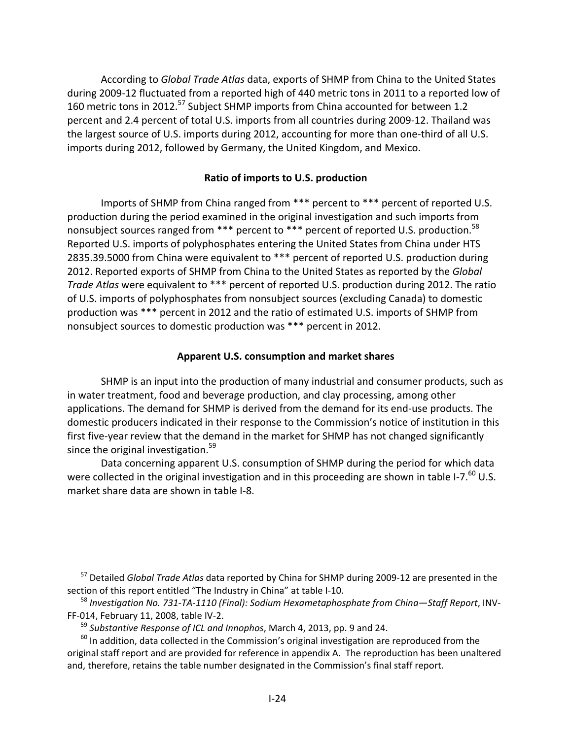According to *Global Trade Atlas* data, exports of SHMP from China to the United States during 2009‐12 fluctuated from a reported high of 440 metric tons in 2011 to a reported low of 160 metric tons in 2012.<sup>57</sup> Subject SHMP imports from China accounted for between 1.2 percent and 2.4 percent of total U.S. imports from all countries during 2009‐12. Thailand was the largest source of U.S. imports during 2012, accounting for more than one-third of all U.S. imports during 2012, followed by Germany, the United Kingdom, and Mexico.

## **Ratio of imports to U.S. production**

Imports of SHMP from China ranged from \*\*\* percent to \*\*\* percent of reported U.S. production during the period examined in the original investigation and such imports from nonsubject sources ranged from \*\*\* percent to \*\*\* percent of reported U.S. production.<sup>58</sup> Reported U.S. imports of polyphosphates entering the United States from China under HTS 2835.39.5000 from China were equivalent to \*\*\* percent of reported U.S. production during 2012. Reported exports of SHMP from China to the United States as reported by the *Global Trade Atlas* were equivalent to \*\*\* percent of reported U.S. production during 2012. The ratio of U.S. imports of polyphosphates from nonsubject sources (excluding Canada) to domestic production was \*\*\* percent in 2012 and the ratio of estimated U.S. imports of SHMP from nonsubject sources to domestic production was \*\*\* percent in 2012.

## **Apparent U.S. consumption and market shares**

SHMP is an input into the production of many industrial and consumer products, such as in water treatment, food and beverage production, and clay processing, among other applications. The demand for SHMP is derived from the demand for its end-use products. The domestic producers indicated in their response to the Commission's notice of institution in this first five-year review that the demand in the market for SHMP has not changed significantly since the original investigation.<sup>59</sup>

Data concerning apparent U.S. consumption of SHMP during the period for which data were collected in the original investigation and in this proceeding are shown in table I-7. $^{60}$  U.S. market share data are shown in table I‐8.

<sup>57</sup> Detailed *Global Trade Atlas* data reported by China for SHMP during 2009‐12 are presented in the section of this report entitled "The Industry in China" at table I-10.

<sup>58</sup> *Investigation No. 731‐TA‐1110 (Final): Sodium Hexametaphosphate from China—Staff Report*, INV‐ FF‐014, February 11, 2008, table IV‐2.

<sup>59</sup> *Substantive Response of ICL and Innophos*, March 4, 2013, pp. 9 and 24.

 $60$  In addition, data collected in the Commission's original investigation are reproduced from the original staff report and are provided for reference in appendix A. The reproduction has been unaltered and, therefore, retains the table number designated in the Commission's final staff report.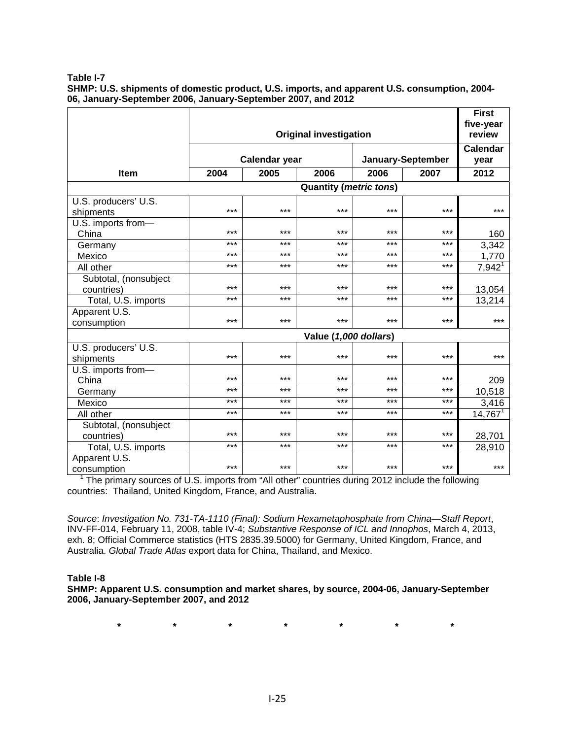**Table I-7** 

**SHMP: U.S. shipments of domestic product, U.S. imports, and apparent U.S. consumption, 2004- 06, January-September 2006, January-September 2007, and 2012** 

|                                     |                               |                      |                               |       |                   | <b>First</b><br>five-year |
|-------------------------------------|-------------------------------|----------------------|-------------------------------|-------|-------------------|---------------------------|
|                                     | <b>Original investigation</b> |                      |                               |       |                   | review                    |
|                                     |                               | <b>Calendar year</b> |                               |       | January-September | <b>Calendar</b><br>year   |
| <b>Item</b>                         | 2004                          | 2005                 | 2006                          | 2006  | 2007              | 2012                      |
|                                     |                               |                      |                               |       |                   |                           |
|                                     |                               |                      | <b>Quantity (metric tons)</b> |       |                   |                           |
| U.S. producers' U.S.<br>shipments   | ***                           | ***                  | ***                           | ***   | $***$             | $***$                     |
| U.S. imports from-<br>China         | ***                           | ***                  | ***                           | ***   | $***$             | 160                       |
| Germany                             | ***                           | ***                  | ***                           | $***$ | $***$             | 3,342                     |
| Mexico                              | ***                           | ***                  | $***$                         | $***$ | $***$             | 1,770                     |
| All other                           | ***                           | ***                  | ***                           | $***$ | $***$             | $7,942$ <sup>1</sup>      |
| Subtotal, (nonsubject<br>countries) | ***                           | ***                  | $***$                         | ***   | $***$             | 13,054                    |
| Total, U.S. imports                 | ***                           | ***                  | ***                           | $***$ | $***$             | 13,214                    |
| Apparent U.S.<br>consumption        | ***                           | ***                  | ***                           | $***$ | $***$             | $***$                     |
|                                     |                               |                      | Value (1,000 dollars)         |       |                   |                           |
| U.S. producers' U.S.<br>shipments   | ***                           | ***                  | ***                           | ***   | $***$             | $***$                     |
| U.S. imports from-<br>China         | ***                           | ***                  | ***                           | ***   | $***$             | 209                       |
| Germany                             | ***                           | ***                  | ***                           | $***$ | $***$             | 10,518                    |
| Mexico                              | ***                           | ***                  | $***$                         | $***$ | $***$             | 3,416                     |
| All other                           | ***                           | ***                  | ***                           | ***   | $***$             | $14,767^1$                |
| Subtotal, (nonsubject<br>countries) | ***                           | ***                  | ***                           | ***   | $***$             | 28,701                    |
| Total, U.S. imports                 | ***                           | ***                  | $***$                         | $***$ | $***$             | 28,910                    |
| Apparent U.S.<br>consumption        | ***                           | ***                  | $***$                         | ***   | $***$             | $***$                     |

<sup>1</sup> The primary sources of U.S. imports from "All other" countries during 2012 include the following countries: Thailand, United Kingdom, France, and Australia.

*Source*: *Investigation No. 731-TA-1110 (Final): Sodium Hexametaphosphate from China—Staff Report*, INV-FF-014, February 11, 2008, table IV-4; *Substantive Response of ICL and Innophos*, March 4, 2013, exh. 8; Official Commerce statistics (HTS 2835.39.5000) for Germany, United Kingdom, France, and Australia. *Global Trade Atlas* export data for China, Thailand, and Mexico.

#### **Table I-8**

**SHMP: Apparent U.S. consumption and market shares, by source, 2004-06, January-September 2006, January-September 2007, and 2012** 

**\* \* \* \* \* \* \***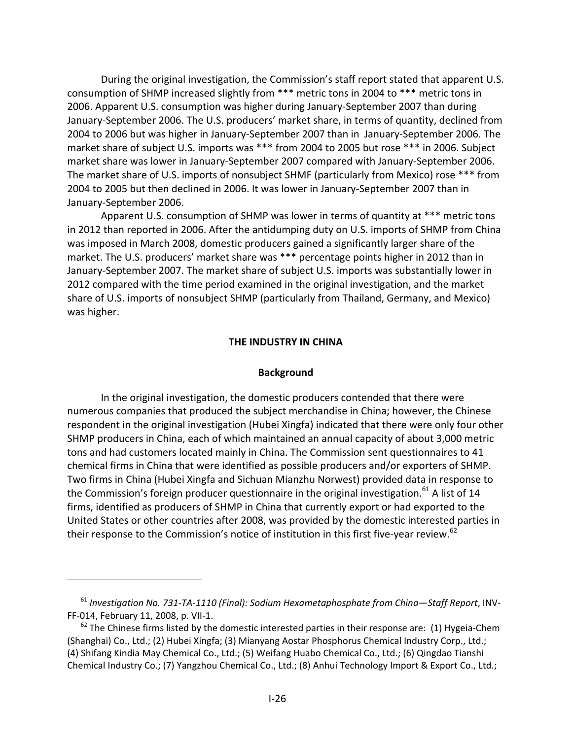During the original investigation, the Commission's staff report stated that apparent U.S. consumption of SHMP increased slightly from \*\*\* metric tons in 2004 to \*\*\* metric tons in 2006. Apparent U.S. consumption was higher during January‐September 2007 than during January‐September 2006. The U.S. producers' market share, in terms of quantity, declined from 2004 to 2006 but was higher in January‐September 2007 than in January‐September 2006. The market share of subject U.S. imports was \*\*\* from 2004 to 2005 but rose \*\*\* in 2006. Subject market share was lower in January‐September 2007 compared with January‐September 2006. The market share of U.S. imports of nonsubject SHMF (particularly from Mexico) rose \*\*\* from 2004 to 2005 but then declined in 2006. It was lower in January‐September 2007 than in January‐September 2006.

Apparent U.S. consumption of SHMP was lower in terms of quantity at \*\*\* metric tons in 2012 than reported in 2006. After the antidumping duty on U.S. imports of SHMP from China was imposed in March 2008, domestic producers gained a significantly larger share of the market. The U.S. producers' market share was \*\*\* percentage points higher in 2012 than in January‐September 2007. The market share of subject U.S. imports was substantially lower in 2012 compared with the time period examined in the original investigation, and the market share of U.S. imports of nonsubject SHMP (particularly from Thailand, Germany, and Mexico) was higher.

#### **THE INDUSTRY IN CHINA**

#### **Background**

In the original investigation, the domestic producers contended that there were numerous companies that produced the subject merchandise in China; however, the Chinese respondent in the original investigation (Hubei Xingfa) indicated that there were only four other SHMP producers in China, each of which maintained an annual capacity of about 3,000 metric tons and had customers located mainly in China. The Commission sent questionnaires to 41 chemical firms in China that were identified as possible producers and/or exporters of SHMP. Two firms in China (Hubei Xingfa and Sichuan Mianzhu Norwest) provided data in response to the Commission's foreign producer questionnaire in the original investigation. $^{61}$  A list of 14 firms, identified as producers of SHMP in China that currently export or had exported to the United States or other countries after 2008, was provided by the domestic interested parties in their response to the Commission's notice of institution in this first five-year review.<sup>62</sup>

<sup>61</sup> *Investigation No. 731‐TA‐1110 (Final): Sodium Hexametaphosphate from China—Staff Report*, INV‐ FF‐014, February 11, 2008, p. VII‐1.

 $62$  The Chinese firms listed by the domestic interested parties in their response are: (1) Hygeia-Chem (Shanghai) Co., Ltd.; (2) Hubei Xingfa; (3) Mianyang Aostar Phosphorus Chemical Industry Corp., Ltd.; (4) Shifang Kindia May Chemical Co., Ltd.; (5) Weifang Huabo Chemical Co., Ltd.; (6) Qingdao Tianshi Chemical Industry Co.; (7) Yangzhou Chemical Co., Ltd.; (8) Anhui Technology Import & Export Co., Ltd.;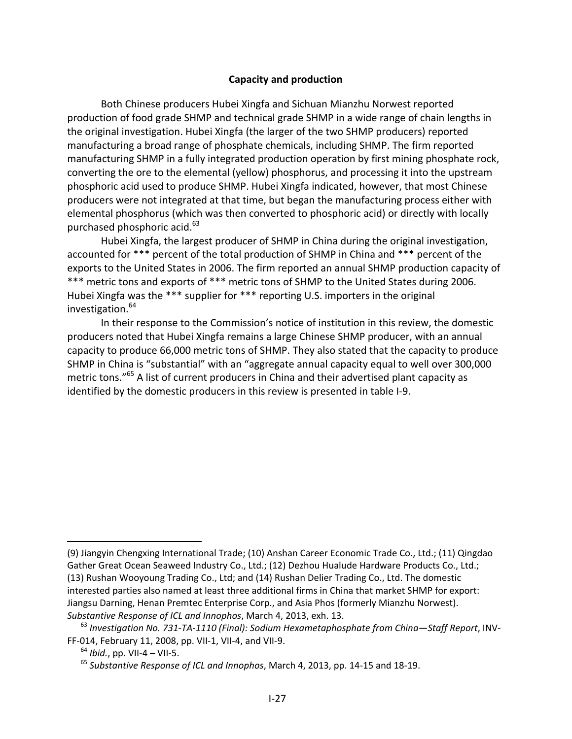## **Capacity and production**

Both Chinese producers Hubei Xingfa and Sichuan Mianzhu Norwest reported production of food grade SHMP and technical grade SHMP in a wide range of chain lengths in the original investigation. Hubei Xingfa (the larger of the two SHMP producers) reported manufacturing a broad range of phosphate chemicals, including SHMP. The firm reported manufacturing SHMP in a fully integrated production operation by first mining phosphate rock, converting the ore to the elemental (yellow) phosphorus, and processing it into the upstream phosphoric acid used to produce SHMP. Hubei Xingfa indicated, however, that most Chinese producers were not integrated at that time, but began the manufacturing process either with elemental phosphorus (which was then converted to phosphoric acid) or directly with locally purchased phosphoric acid. $63<sup>63</sup>$ 

Hubei Xingfa, the largest producer of SHMP in China during the original investigation, accounted for \*\*\* percent of the total production of SHMP in China and \*\*\* percent of the exports to the United States in 2006. The firm reported an annual SHMP production capacity of \*\*\* metric tons and exports of \*\*\* metric tons of SHMP to the United States during 2006. Hubei Xingfa was the \*\*\* supplier for \*\*\* reporting U.S. importers in the original investigation.<sup>64</sup>

In their response to the Commission's notice of institution in this review, the domestic producers noted that Hubei Xingfa remains a large Chinese SHMP producer, with an annual capacity to produce 66,000 metric tons of SHMP. They also stated that the capacity to produce SHMP in China is "substantial" with an "aggregate annual capacity equal to well over 300,000 metric tons."<sup>65</sup> A list of current producers in China and their advertised plant capacity as identified by the domestic producers in this review is presented in table I‐9.

<sup>(9)</sup> Jiangyin Chengxing International Trade; (10) Anshan Career Economic Trade Co., Ltd.; (11) Qingdao Gather Great Ocean Seaweed Industry Co., Ltd.; (12) Dezhou Hualude Hardware Products Co., Ltd.; (13) Rushan Wooyoung Trading Co., Ltd; and (14) Rushan Delier Trading Co., Ltd. The domestic interested parties also named at least three additional firms in China that market SHMP for export: Jiangsu Darning, Henan Premtec Enterprise Corp., and Asia Phos (formerly Mianzhu Norwest). *Substantive Response of ICL and Innophos*, March 4, 2013, exh. 13.

<sup>63</sup> *Investigation No. 731‐TA‐1110 (Final): Sodium Hexametaphosphate from China—Staff Report*, INV‐ FF‐014, February 11, 2008, pp. VII‐1, VII‐4, and VII‐9.

 $64$  *Ibid.*, pp. VII-4 – VII-5.

<sup>65</sup> *Substantive Response of ICL and Innophos*, March 4, 2013, pp. 14‐15 and 18‐19.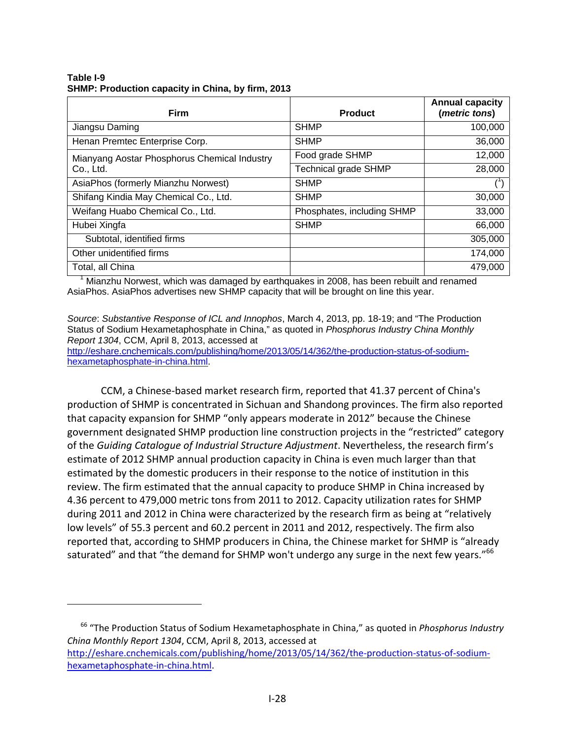**Table I-9 SHMP: Production capacity in China, by firm, 2013** 

| <b>Firm</b>                                  | <b>Product</b>              | <b>Annual capacity</b><br>(metric tons) |
|----------------------------------------------|-----------------------------|-----------------------------------------|
| Jiangsu Daming                               | <b>SHMP</b>                 | 100,000                                 |
| Henan Premtec Enterprise Corp.               | <b>SHMP</b>                 | 36,000                                  |
| Mianyang Aostar Phosphorus Chemical Industry | Food grade SHMP             | 12,000                                  |
| Co., Ltd.                                    | <b>Technical grade SHMP</b> | 28,000                                  |
| AsiaPhos (formerly Mianzhu Norwest)          | <b>SHMP</b>                 |                                         |
| Shifang Kindia May Chemical Co., Ltd.        | <b>SHMP</b>                 | 30,000                                  |
| Weifang Huabo Chemical Co., Ltd.             | Phosphates, including SHMP  | 33,000                                  |
| Hubei Xingfa                                 | <b>SHMP</b>                 | 66,000                                  |
| Subtotal, identified firms                   |                             | 305,000                                 |
| Other unidentified firms                     |                             | 174,000                                 |
| Total, all China                             |                             | 479,000                                 |

<sup>1</sup> Mianzhu Norwest, which was damaged by earthquakes in 2008, has been rebuilt and renamed AsiaPhos. AsiaPhos advertises new SHMP capacity that will be brought on line this year.

*Source*: *Substantive Response of ICL and Innophos*, March 4, 2013, pp. 18-19; and "The Production Status of Sodium Hexametaphosphate in China," as quoted in *Phosphorus Industry China Monthly Report 1304*, CCM, April 8, 2013, accessed at

http://eshare.cnchemicals.com/publishing/home/2013/05/14/362/the-production-status-of-sodiumhexametaphosphate-in-china.html.

CCM, a Chinese‐based market research firm, reported that 41.37 percent of China's production of SHMP is concentrated in Sichuan and Shandong provinces. The firm also reported that capacity expansion for SHMP "only appears moderate in 2012" because the Chinese government designated SHMP production line construction projects in the "restricted" category of the *Guiding Catalogue of Industrial Structure Adjustment*. Nevertheless, the research firm's estimate of 2012 SHMP annual production capacity in China is even much larger than that estimated by the domestic producers in their response to the notice of institution in this review. The firm estimated that the annual capacity to produce SHMP in China increased by 4.36 percent to 479,000 metric tons from 2011 to 2012. Capacity utilization rates for SHMP during 2011 and 2012 in China were characterized by the research firm as being at "relatively low levels" of 55.3 percent and 60.2 percent in 2011 and 2012, respectively. The firm also reported that, according to SHMP producers in China, the Chinese market for SHMP is "already saturated" and that "the demand for SHMP won't undergo any surge in the next few years."<sup>66</sup>

<sup>66</sup> "The Production Status of Sodium Hexametaphosphate in China," as quoted in *Phosphorus Industry China Monthly Report 1304*, CCM, April 8, 2013, accessed at

http://eshare.cnchemicals.com/publishing/home/2013/05/14/362/the-production-status-of-sodiumhexametaphosphate‐in‐china.html.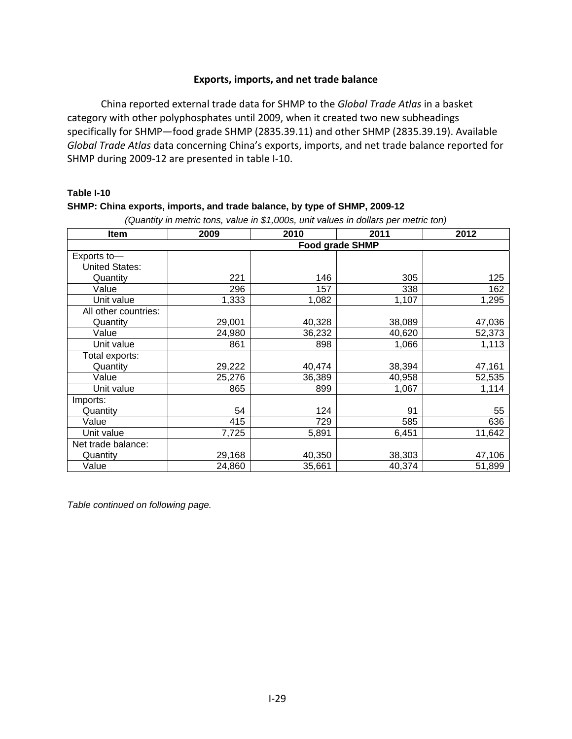## **Exports, imports, and net trade balance**

China reported external trade data for SHMP to the *Global Trade Atlas* in a basket category with other polyphosphates until 2009, when it created two new subheadings specifically for SHMP—food grade SHMP (2835.39.11) and other SHMP (2835.39.19). Available *Global Trade Atlas* data concerning China's exports, imports, and net trade balance reported for SHMP during 2009‐12 are presented in table I‐10.

#### **Table I-10**

#### **SHMP: China exports, imports, and trade balance, by type of SHMP, 2009-12**

| <b>Item</b>           | 2009                   | 2010   | 2011   | 2012   |  |  |
|-----------------------|------------------------|--------|--------|--------|--|--|
|                       | <b>Food grade SHMP</b> |        |        |        |  |  |
| Exports to-           |                        |        |        |        |  |  |
| <b>United States:</b> |                        |        |        |        |  |  |
| Quantity              | 221                    | 146    | 305    | 125    |  |  |
| Value                 | 296                    | 157    | 338    | 162    |  |  |
| Unit value            | 1,333                  | 1,082  | 1,107  | 1,295  |  |  |
| All other countries:  |                        |        |        |        |  |  |
| Quantity              | 29,001                 | 40,328 | 38,089 | 47,036 |  |  |
| Value                 | 24,980                 | 36,232 | 40,620 | 52,373 |  |  |
| Unit value            | 861                    | 898    | 1,066  | 1,113  |  |  |
| Total exports:        |                        |        |        |        |  |  |
| Quantity              | 29,222                 | 40,474 | 38,394 | 47,161 |  |  |
| Value                 | 25,276                 | 36,389 | 40,958 | 52,535 |  |  |
| Unit value            | 865                    | 899    | 1,067  | 1,114  |  |  |
| Imports:              |                        |        |        |        |  |  |
| Quantity              | 54                     | 124    | 91     | 55     |  |  |
| Value                 | 415                    | 729    | 585    | 636    |  |  |
| Unit value            | 7,725                  | 5,891  | 6,451  | 11,642 |  |  |
| Net trade balance:    |                        |        |        |        |  |  |
| Quantity              | 29,168                 | 40,350 | 38,303 | 47,106 |  |  |
| Value                 | 24,860                 | 35,661 | 40,374 | 51,899 |  |  |

*(Quantity in metric tons, value in \$1,000s, unit values in dollars per metric ton)* 

*Table continued on following page.*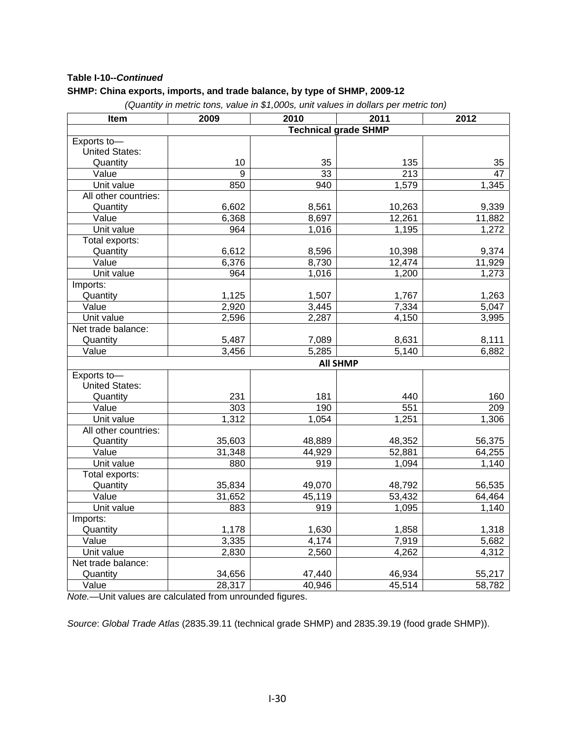## **Table I-10--***Continued*

#### **SHMP: China exports, imports, and trade balance, by type of SHMP, 2009-12**

*(Quantity in metric tons, value in \$1,000s, unit values in dollars per metric ton)*

| Item                  | 2009                        | 2010   | 2011            | 2012   |  |
|-----------------------|-----------------------------|--------|-----------------|--------|--|
|                       | <b>Technical grade SHMP</b> |        |                 |        |  |
| Exports to-           |                             |        |                 |        |  |
| <b>United States:</b> |                             |        |                 |        |  |
| Quantity              | 10                          | 35     | 135             | 35     |  |
| Value                 | $\overline{9}$              | 33     | 213             | 47     |  |
| Unit value            | 850                         | 940    | 1,579           | 1,345  |  |
| All other countries:  |                             |        |                 |        |  |
| Quantity              | 6,602                       | 8,561  | 10,263          | 9,339  |  |
| Value                 | 6,368                       | 8,697  | 12,261          | 11,882 |  |
| Unit value            | 964                         | 1,016  | 1,195           | 1,272  |  |
| Total exports:        |                             |        |                 |        |  |
| Quantity              | 6,612                       | 8,596  | 10,398          | 9,374  |  |
| Value                 | 6,376                       | 8,730  | 12,474          | 11,929 |  |
| Unit value            | 964                         | 1,016  | 1,200           | 1,273  |  |
| Imports:              |                             |        |                 |        |  |
| Quantity              | 1,125                       | 1,507  | 1,767           | 1,263  |  |
| Value                 | 2,920                       | 3,445  | 7,334           | 5,047  |  |
| Unit value            | 2,596                       | 2,287  | 4,150           | 3,995  |  |
| Net trade balance:    |                             |        |                 |        |  |
| Quantity              | 5,487                       | 7,089  | 8,631           | 8,111  |  |
| Value                 | 3,456                       | 5,285  | 5,140           | 6,882  |  |
|                       |                             |        | <b>All SHMP</b> |        |  |
| Exports to-           |                             |        |                 |        |  |
| United States:        |                             |        |                 |        |  |
| Quantity              | 231                         | 181    | 440             | 160    |  |
| Value                 | 303                         | 190    | 551             | 209    |  |
| Unit value            | 1,312                       | 1,054  | 1,251           | 1,306  |  |
| All other countries:  |                             |        |                 |        |  |
| Quantity              | 35,603                      | 48,889 | 48,352          | 56,375 |  |
| Value                 | 31,348                      | 44,929 | 52,881          | 64,255 |  |
| Unit value            | 880                         | 919    | 1,094           | 1,140  |  |
| Total exports:        |                             |        |                 |        |  |
| Quantity              | 35,834                      | 49,070 | 48,792          | 56,535 |  |
| Value                 | 31,652                      | 45,119 | 53,432          | 64,464 |  |
| Unit value            | 883                         | 919    | 1,095           | 1,140  |  |
| Imports:              |                             |        |                 |        |  |
| Quantity              | 1,178                       | 1,630  | 1,858           | 1,318  |  |
| Value                 | 3,335                       | 4,174  | 7,919           | 5,682  |  |
| Unit value            | 2,830                       | 2,560  | 4,262           | 4,312  |  |
| Net trade balance:    |                             |        |                 |        |  |
| Quantity              | 34,656                      | 47,440 | 46,934          | 55,217 |  |
| Value                 | 28,317                      | 40,946 | 45,514          | 58,782 |  |

*Note.—*Unit values are calculated from unrounded figures.

*Source*: *Global Trade Atlas* (2835.39.11 (technical grade SHMP) and 2835.39.19 (food grade SHMP)).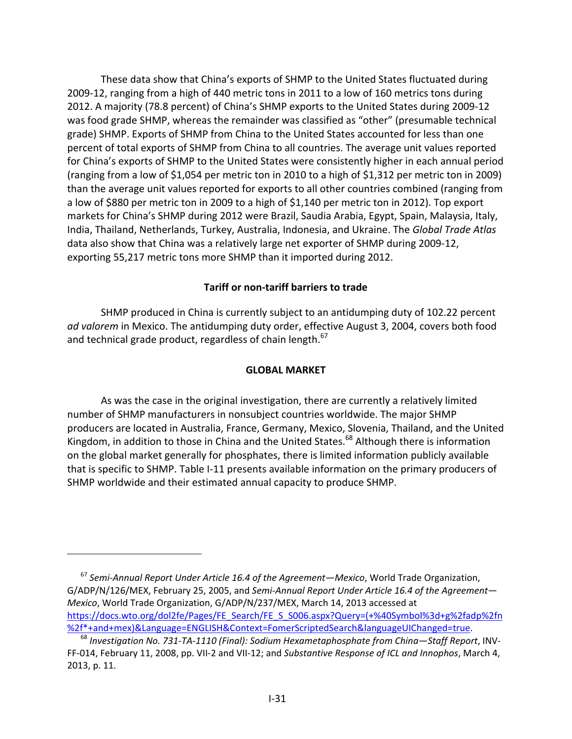These data show that China's exports of SHMP to the United States fluctuated during 2009‐12, ranging from a high of 440 metric tons in 2011 to a low of 160 metrics tons during 2012. A majority (78.8 percent) of China's SHMP exports to the United States during 2009‐12 was food grade SHMP, whereas the remainder was classified as "other" (presumable technical grade) SHMP. Exports of SHMP from China to the United States accounted for less than one percent of total exports of SHMP from China to all countries. The average unit values reported for China's exports of SHMP to the United States were consistently higher in each annual period (ranging from a low of \$1,054 per metric ton in 2010 to a high of \$1,312 per metric ton in 2009) than the average unit values reported for exports to all other countries combined (ranging from a low of \$880 per metric ton in 2009 to a high of \$1,140 per metric ton in 2012). Top export markets for China's SHMP during 2012 were Brazil, Saudia Arabia, Egypt, Spain, Malaysia, Italy, India, Thailand, Netherlands, Turkey, Australia, Indonesia, and Ukraine. The *Global Trade Atlas* data also show that China was a relatively large net exporter of SHMP during 2009‐12, exporting 55,217 metric tons more SHMP than it imported during 2012.

## **Tariff or non‐tariff barriers to trade**

SHMP produced in China is currently subject to an antidumping duty of 102.22 percent *ad valorem* in Mexico. The antidumping duty order, effective August 3, 2004, covers both food and technical grade product, regardless of chain length. $67$ 

## **GLOBAL MARKET**

As was the case in the original investigation, there are currently a relatively limited number of SHMP manufacturers in nonsubject countries worldwide. The major SHMP producers are located in Australia, France, Germany, Mexico, Slovenia, Thailand, and the United Kingdom, in addition to those in China and the United States.<sup>68</sup> Although there is information on the global market generally for phosphates, there is limited information publicly available that is specific to SHMP. Table I‐11 presents available information on the primary producers of SHMP worldwide and their estimated annual capacity to produce SHMP.

<sup>67</sup> *Semi‐Annual Report Under Article 16.4 of the Agreement—Mexico*, World Trade Organization, G/ADP/N/126/MEX, February 25, 2005, and *Semi‐Annual Report Under Article 16.4 of the Agreement— Mexico*, World Trade Organization, G/ADP/N/237/MEX, March 14, 2013 accessed at https://docs.wto.org/dol2fe/Pages/FE\_Search/FE\_S\_S006.aspx?Query=(+%40Symbol%3d+g%2fadp%2fn %2f\*+and+mex)&Language=ENGLISH&Context=FomerScriptedSearch&languageUIChanged=true.

<sup>68</sup> *Investigation No. 731‐TA‐1110 (Final): Sodium Hexametaphosphate from China—Staff Report*, INV‐ FF‐014, February 11, 2008, pp. VII‐2 and VII‐12; and *Substantive Response of ICL and Innophos*, March 4, 2013, p. 11.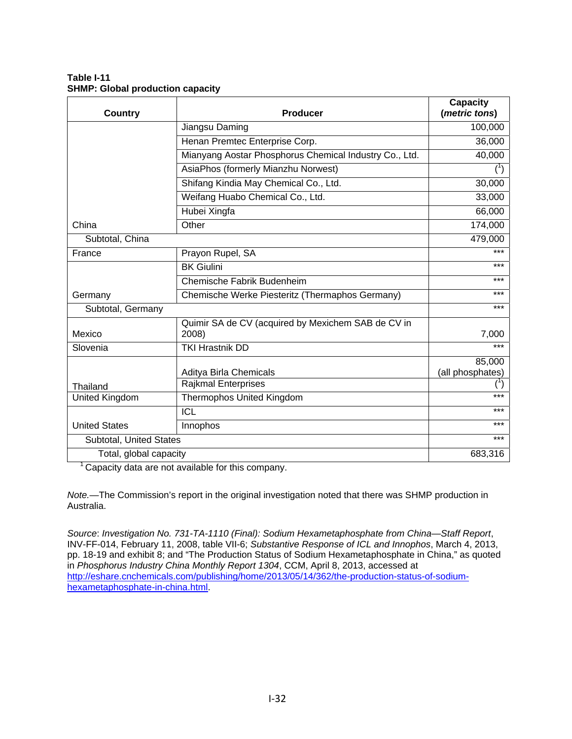#### **Table I-11 SHMP: Global production capacity**

| <b>Country</b>          | <b>Producer</b>                                             | <b>Capacity</b><br>(metric tons) |
|-------------------------|-------------------------------------------------------------|----------------------------------|
|                         | Jiangsu Daming                                              | 100,000                          |
|                         | Henan Premtec Enterprise Corp.                              | 36,000                           |
|                         | Mianyang Aostar Phosphorus Chemical Industry Co., Ltd.      | 40,000                           |
|                         | AsiaPhos (formerly Mianzhu Norwest)                         |                                  |
|                         | Shifang Kindia May Chemical Co., Ltd.                       | 30,000                           |
|                         | Weifang Huabo Chemical Co., Ltd.                            | 33,000                           |
|                         | Hubei Xingfa                                                | 66,000                           |
| China                   | Other                                                       | 174,000                          |
| Subtotal, China         |                                                             | 479,000                          |
| France                  | Prayon Rupel, SA                                            | $***$                            |
|                         | <b>BK Giulini</b>                                           | $***$                            |
|                         | Chemische Fabrik Budenheim                                  | $***$                            |
| Germany                 | Chemische Werke Piesteritz (Thermaphos Germany)             | ***                              |
| Subtotal, Germany       |                                                             | ***                              |
| Mexico                  | Quimir SA de CV (acquired by Mexichem SAB de CV in<br>2008) | 7,000                            |
| Slovenia                | <b>TKI Hrastnik DD</b>                                      | $***$                            |
|                         | Aditya Birla Chemicals                                      | 85,000<br>(all phosphates)       |
| Thailand                | <b>Rajkmal Enterprises</b>                                  |                                  |
| United Kingdom          | <b>Thermophos United Kingdom</b>                            | $***$                            |
|                         | <b>ICL</b>                                                  | $***$                            |
| <b>United States</b>    | Innophos                                                    | $***$                            |
| Subtotal, United States |                                                             | $***$                            |
| Total, global capacity  | 683,316                                                     |                                  |

<sup>1</sup> Capacity data are not available for this company.

*Note.—*The Commission's report in the original investigation noted that there was SHMP production in Australia.

*Source*: *Investigation No. 731-TA-1110 (Final): Sodium Hexametaphosphate from China—Staff Report*, INV-FF-014, February 11, 2008, table VII-6; *Substantive Response of ICL and Innophos*, March 4, 2013, pp. 18-19 and exhibit 8; and "The Production Status of Sodium Hexametaphosphate in China," as quoted in *Phosphorus Industry China Monthly Report 1304*, CCM, April 8, 2013, accessed at http://eshare.cnchemicals.com/publishing/home/2013/05/14/362/the-production-status-of-sodiumhexametaphosphate-in-china.html.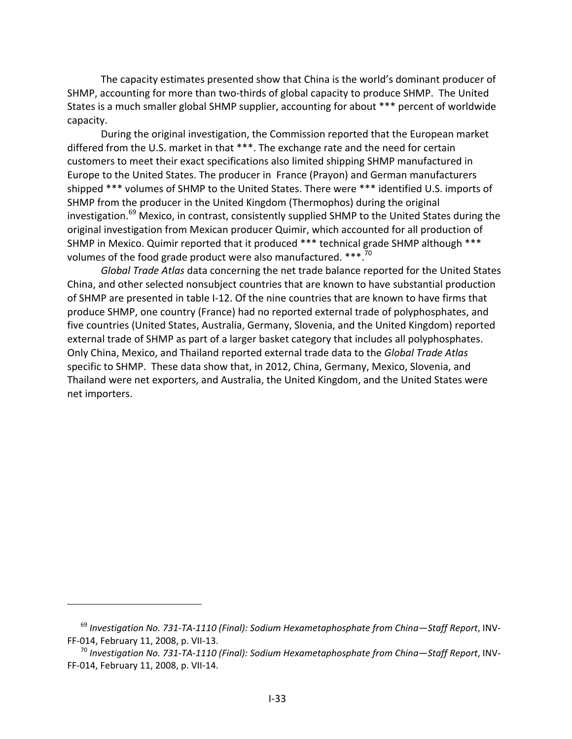The capacity estimates presented show that China is the world's dominant producer of SHMP, accounting for more than two-thirds of global capacity to produce SHMP. The United States is a much smaller global SHMP supplier, accounting for about \*\*\* percent of worldwide capacity.

During the original investigation, the Commission reported that the European market differed from the U.S. market in that \*\*\*. The exchange rate and the need for certain customers to meet their exact specifications also limited shipping SHMP manufactured in Europe to the United States. The producer in France (Prayon) and German manufacturers shipped \*\*\* volumes of SHMP to the United States. There were \*\*\* identified U.S. imports of SHMP from the producer in the United Kingdom (Thermophos) during the original investigation.<sup>69</sup> Mexico, in contrast, consistently supplied SHMP to the United States during the original investigation from Mexican producer Quimir, which accounted for all production of SHMP in Mexico. Quimir reported that it produced \*\*\* technical grade SHMP although \*\*\* volumes of the food grade product were also manufactured. \*\*\*.<sup>70</sup>

*Global Trade Atlas* data concerning the net trade balance reported for the United States China, and other selected nonsubject countries that are known to have substantial production of SHMP are presented in table I‐12. Of the nine countries that are known to have firms that produce SHMP, one country (France) had no reported external trade of polyphosphates, and five countries (United States, Australia, Germany, Slovenia, and the United Kingdom) reported external trade of SHMP as part of a larger basket category that includes all polyphosphates. Only China, Mexico, and Thailand reported external trade data to the *Global Trade Atlas* specific to SHMP. These data show that, in 2012, China, Germany, Mexico, Slovenia, and Thailand were net exporters, and Australia, the United Kingdom, and the United States were net importers.

<sup>69</sup> *Investigation No. 731‐TA‐1110 (Final): Sodium Hexametaphosphate from China—Staff Report*, INV‐ FF‐014, February 11, 2008, p. VII‐13.

<sup>70</sup> *Investigation No. 731‐TA‐1110 (Final): Sodium Hexametaphosphate from China—Staff Report*, INV‐ FF‐014, February 11, 2008, p. VII‐14.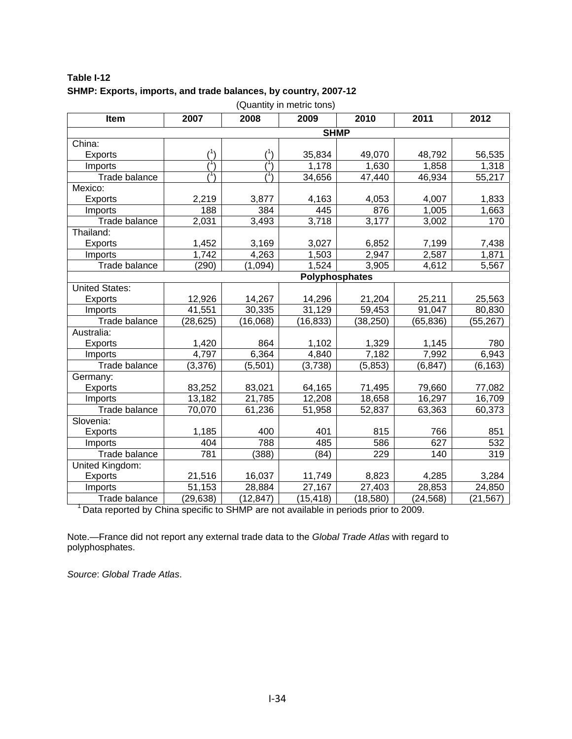| Table I-12                                                      |  |
|-----------------------------------------------------------------|--|
| SHMP: Exports, imports, and trade balances, by country, 2007-12 |  |

| Item                  | 2007        | 2008      | 2009           | 2010      | 2011      | 2012      |
|-----------------------|-------------|-----------|----------------|-----------|-----------|-----------|
|                       | <b>SHMP</b> |           |                |           |           |           |
| China:                |             |           |                |           |           |           |
| <b>Exports</b>        |             |           | 35,834         | 49,070    | 48,792    | 56,535    |
| Imports               |             |           | 1,178          | 1,630     | 1,858     | 1,318     |
| Trade balance         |             |           | 34,656         | 47,440    | 46,934    | 55,217    |
| Mexico:               |             |           |                |           |           |           |
| <b>Exports</b>        | 2,219       | 3,877     | 4,163          | 4,053     | 4,007     | 1,833     |
| Imports               | 188         | 384       | 445            | 876       | 1,005     | 1,663     |
| Trade balance         | 2,031       | 3,493     | 3,718          | 3,177     | 3,002     | 170       |
| Thailand:             |             |           |                |           |           |           |
| <b>Exports</b>        | 1,452       | 3,169     | 3,027          | 6,852     | 7,199     | 7,438     |
| Imports               | 1,742       | 4,263     | 1,503          | 2,947     | 2,587     | 1,871     |
| Trade balance         | (290)       | (1,094)   | 1,524          | 3,905     | 4,612     | 5,567     |
|                       |             |           | Polyphosphates |           |           |           |
| <b>United States:</b> |             |           |                |           |           |           |
| <b>Exports</b>        | 12,926      | 14,267    | 14,296         | 21,204    | 25,211    | 25,563    |
| Imports               | 41,551      | 30,335    | 31,129         | 59,453    | 91,047    | 80,830    |
| Trade balance         | (28, 625)   | (16,068)  | (16, 833)      | (38, 250) | (65, 836) | (55, 267) |
| Australia:            |             |           |                |           |           |           |
| <b>Exports</b>        | 1,420       | 864       | 1,102          | 1,329     | 1,145     | 780       |
| Imports               | 4,797       | 6,364     | 4,840          | 7,182     | 7,992     | 6,943     |
| Trade balance         | (3,376)     | (5,501)   | (3,738)        | (5, 853)  | (6, 847)  | (6, 163)  |
| Germany:              |             |           |                |           |           |           |
| <b>Exports</b>        | 83,252      | 83,021    | 64,165         | 71,495    | 79,660    | 77,082    |
| Imports               | 13,182      | 21,785    | 12,208         | 18,658    | 16,297    | 16,709    |
| Trade balance         | 70,070      | 61,236    | 51,958         | 52,837    | 63,363    | 60,373    |
| Slovenia:             |             |           |                |           |           |           |
| <b>Exports</b>        | 1,185       | 400       | 401            | 815       | 766       | 851       |
| Imports               | 404         | 788       | 485            | 586       | 627       | 532       |
| Trade balance         | 781         | (388)     | (84)           | 229       | 140       | 319       |
| United Kingdom:       |             |           |                |           |           |           |
| Exports               | 21,516      | 16,037    | 11,749         | 8,823     | 4,285     | 3,284     |
| Imports               | 51,153      | 28,884    | 27,167         | 27,403    | 28,853    | 24,850    |
| Trade balance         | (29, 638)   | (12, 847) | (15, 418)      | (18, 580) | (24, 568) | (21, 567) |

(Quantity in metric tons)

<sup>1</sup> Data reported by China specific to SHMP are not available in periods prior to 2009.

Note.—France did not report any external trade data to the *Global Trade Atlas* with regard to polyphosphates.

*Source*: *Global Trade Atlas*.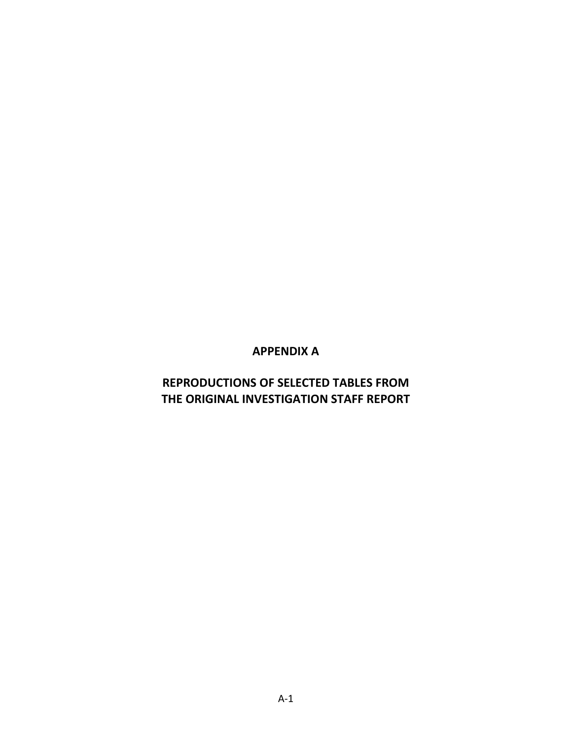# **APPENDIX A**

# **REPRODUCTIONS OF SELECTED TABLES FROM THE ORIGINAL INVESTIGATION STAFF REPORT**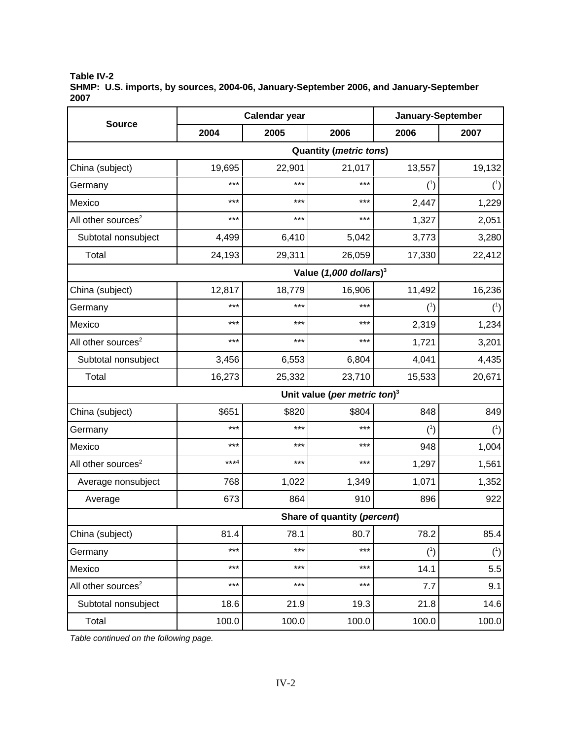**Table IV-2 SHMP: U.S. imports, by sources, 2004-06, January-September 2006, and January-September 2007**

|                                |                             | <b>Calendar year</b> | January-September                    |          |          |  |
|--------------------------------|-----------------------------|----------------------|--------------------------------------|----------|----------|--|
| <b>Source</b>                  | 2004                        | 2005                 | 2006                                 | 2006     | 2007     |  |
| <b>Quantity (metric tons)</b>  |                             |                      |                                      |          |          |  |
| China (subject)                | 19,695                      | 22,901               | 21,017                               | 13,557   | 19,132   |  |
| Germany                        | $***$                       | ***                  | ***                                  | (1)      | $(^1)$   |  |
| Mexico                         | ***                         | ***                  | ***                                  | 2,447    | 1,229    |  |
| All other sources <sup>2</sup> | ***                         | $***$                | ***                                  | 1,327    | 2,051    |  |
| Subtotal nonsubject            | 4,499                       | 6,410                | 5,042                                | 3,773    | 3,280    |  |
| Total                          | 24,193                      | 29,311               | 26,059                               | 17,330   | 22,412   |  |
|                                |                             |                      | Value $(1,000$ dollars) <sup>3</sup> |          |          |  |
| China (subject)                | 12,817                      | 18,779               | 16,906                               | 11,492   | 16,236   |  |
| Germany                        | $***$                       | ***                  | ***                                  | (1)      | (1)      |  |
| Mexico                         | ***                         | $***$                | ***                                  | 2,319    | 1,234    |  |
| All other sources <sup>2</sup> | $***$                       | $***$                | $***$                                | 1,721    | 3,201    |  |
| Subtotal nonsubject            | 3,456                       | 6,553                | 6,804                                | 4,041    | 4,435    |  |
| Total                          | 16,273                      | 25,332               | 23,710                               | 15,533   | 20,671   |  |
|                                |                             |                      | Unit value (per metric ton) $3$      |          |          |  |
| China (subject)                | \$651                       | \$820                | \$804                                | 848      | 849      |  |
| Germany                        | ***                         | ***                  | ***                                  | $(^{1})$ | $(^{1})$ |  |
| Mexico                         | ***                         | $***$                | ***                                  | 948      | 1,004    |  |
| All other sources <sup>2</sup> | $***4$                      | $***$                | ***                                  | 1,297    | 1,561    |  |
| Average nonsubject             | 768                         | 1,022                | 1,349                                | 1,071    | 1,352    |  |
| Average                        | 673                         | 864                  | 910                                  | 896      | 922      |  |
|                                | Share of quantity (percent) |                      |                                      |          |          |  |
| China (subject)                | 81.4                        | 78.1                 | 80.7                                 | 78.2     | 85.4     |  |
| Germany                        | $***$                       | ***                  | ***                                  | $(^{1})$ | $(^{1})$ |  |
| Mexico                         | $***$                       | $***$                | ***                                  | 14.1     | 5.5      |  |
| All other sources <sup>2</sup> | $***$                       | ***                  | $***$                                | 7.7      | 9.1      |  |
| Subtotal nonsubject            | 18.6                        | 21.9                 | 19.3                                 | 21.8     | 14.6     |  |
| Total                          | 100.0                       | 100.0                | 100.0                                | 100.0    | 100.0    |  |

*Table continued on the following page.*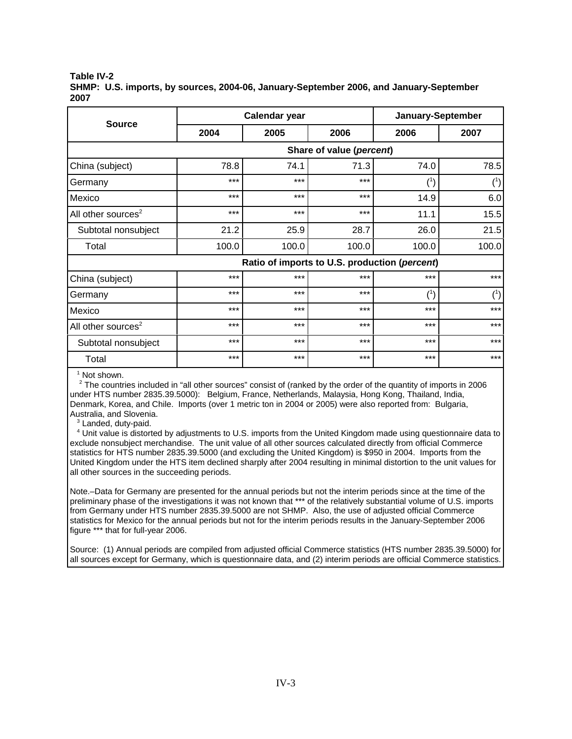**Table IV-2**

**SHMP: U.S. imports, by sources, 2004-06, January-September 2006, and January-September 2007**

|                                |                                               | Calendar year | January-September |        |        |  |
|--------------------------------|-----------------------------------------------|---------------|-------------------|--------|--------|--|
| <b>Source</b>                  | 2004                                          | 2006<br>2005  |                   | 2006   | 2007   |  |
|                                | Share of value (percent)                      |               |                   |        |        |  |
| China (subject)                | 78.8                                          | 74.1          | 71.3              | 74.0   | 78.5   |  |
| Germany                        | ***                                           | ***           | ***               | $(^1)$ | $(^1)$ |  |
| Mexico                         | $***$                                         | $***$         | ***               | 14.9   | 6.0    |  |
| All other sources <sup>2</sup> | $***$                                         | $***$         | ***               | 11.1   | 15.5   |  |
| Subtotal nonsubject            | 21.2                                          | 25.9          | 28.7              | 26.0   | 21.5   |  |
| Total                          | 100.0                                         | 100.0         | 100.0             | 100.0  | 100.0  |  |
|                                | Ratio of imports to U.S. production (percent) |               |                   |        |        |  |
| China (subject)                | $***$                                         | $***$         | $***$             | ***    | ***    |  |
| Germany                        | ***                                           | $***$         | $***$             | (1)    | (1)    |  |
| Mexico                         | ***                                           | $***$         | $***$             | ***    | ***    |  |
| All other sources <sup>2</sup> | $***$                                         | $***$         | ***               | ***    | $***$  |  |
| Subtotal nonsubject            | ***                                           | $***$         | $***$             | ***    | $***$  |  |
| Total                          | ***                                           | $***$         | $***$             | ***    | ***    |  |

<sup>1</sup> Not shown.

<sup>2</sup> The countries included in "all other sources" consist of (ranked by the order of the quantity of imports in 2006 under HTS number 2835.39.5000): Belgium, France, Netherlands, Malaysia, Hong Kong, Thailand, India, Denmark, Korea, and Chile. Imports (over 1 metric ton in 2004 or 2005) were also reported from: Bulgaria, Australia, and Slovenia.

<sup>3</sup> Landed, duty-paid.

 4 Unit value is distorted by adjustments to U.S. imports from the United Kingdom made using questionnaire data to exclude nonsubject merchandise. The unit value of all other sources calculated directly from official Commerce statistics for HTS number 2835.39.5000 (and excluding the United Kingdom) is \$950 in 2004. Imports from the United Kingdom under the HTS item declined sharply after 2004 resulting in minimal distortion to the unit values for all other sources in the succeeding periods.

Note.–Data for Germany are presented for the annual periods but not the interim periods since at the time of the preliminary phase of the investigations it was not known that \*\*\* of the relatively substantial volume of U.S. imports from Germany under HTS number 2835.39.5000 are not SHMP. Also, the use of adjusted official Commerce statistics for Mexico for the annual periods but not for the interim periods results in the January-September 2006 figure \*\*\* that for full-year 2006.

Source: (1) Annual periods are compiled from adjusted official Commerce statistics (HTS number 2835.39.5000) for all sources except for Germany, which is questionnaire data, and (2) interim periods are official Commerce statistics.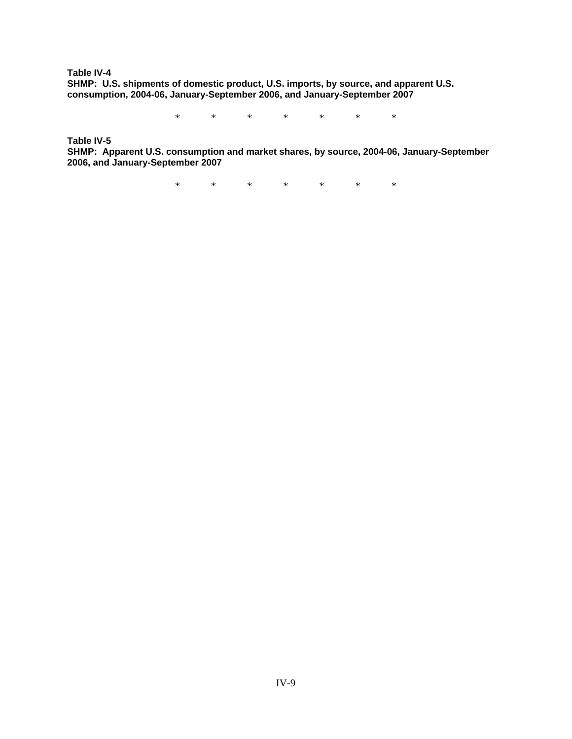**Table IV-4 SHMP: U.S. shipments of domestic product, U.S. imports, by source, and apparent U.S. consumption, 2004-06, January-September 2006, and January-September 2007**

\* \* \* \* \* \* \*

**Table IV-5**

**SHMP: Apparent U.S. consumption and market shares, by source, 2004-06, January-September 2006, and January-September 2007**

\* \* \* \* \* \* \*